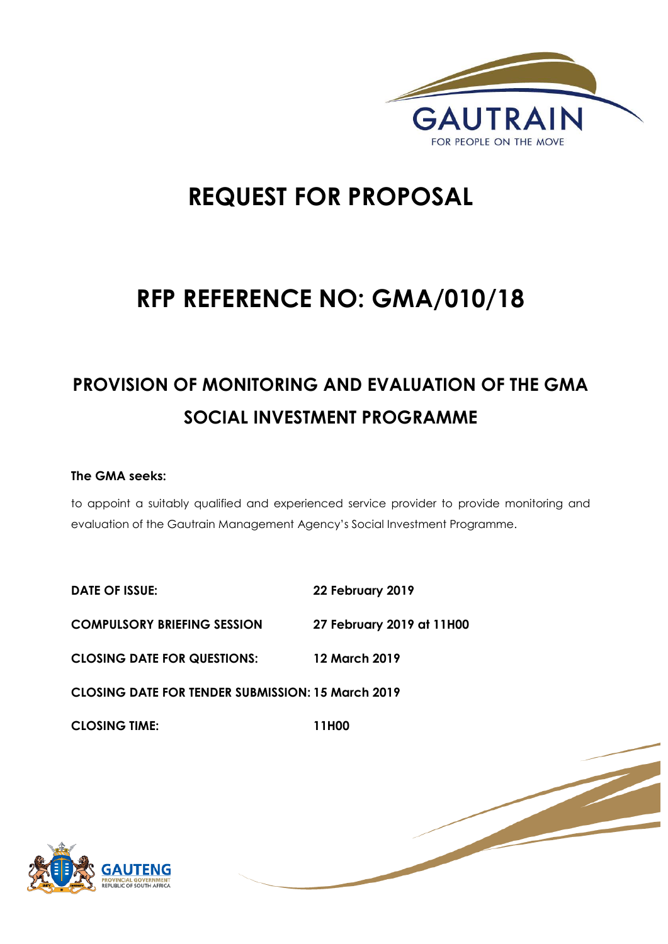

1 | P a g e

# **REQUEST FOR PROPOSAL**

# **RFP REFERENCE NO: GMA/010/18**

## **PROVISION OF MONITORING AND EVALUATION OF THE GMA SOCIAL INVESTMENT PROGRAMME**

## **The GMA seeks:**

to appoint a suitably qualified and experienced service provider to provide monitoring and evaluation of the Gautrain Management Agency's Social Investment Programme.

**DATE OF ISSUE: 22 February 2019 COMPULSORY BRIEFING SESSION 27 February 2019 at 11H00 CLOSING DATE FOR QUESTIONS: 12 March 2019 CLOSING DATE FOR TENDER SUBMISSION: 15 March 2019 CLOSING TIME: 11H00** 

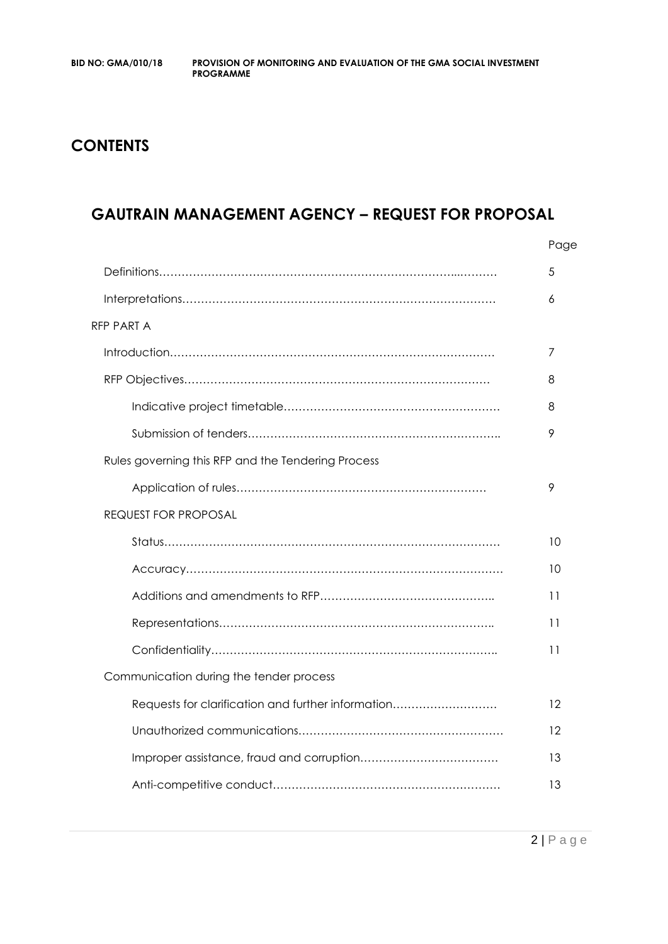## **CONTENTS**

## **GAUTRAIN MANAGEMENT AGENCY – REQUEST FOR PROPOSAL**

|                                                    | Page |
|----------------------------------------------------|------|
|                                                    | 5    |
|                                                    | 6    |
| <b>RFP PART A</b>                                  |      |
|                                                    | 7    |
|                                                    | 8    |
|                                                    | 8    |
|                                                    | 9    |
| Rules governing this RFP and the Tendering Process |      |
|                                                    | 9    |
| <b>REQUEST FOR PROPOSAL</b>                        |      |
|                                                    | 10   |
|                                                    | 10   |
|                                                    | 11   |
|                                                    | 11   |
|                                                    | 11   |
| Communication during the tender process            |      |
| Requests for clarification and further information | 12   |
|                                                    | 12   |
|                                                    | 13   |
|                                                    | 13   |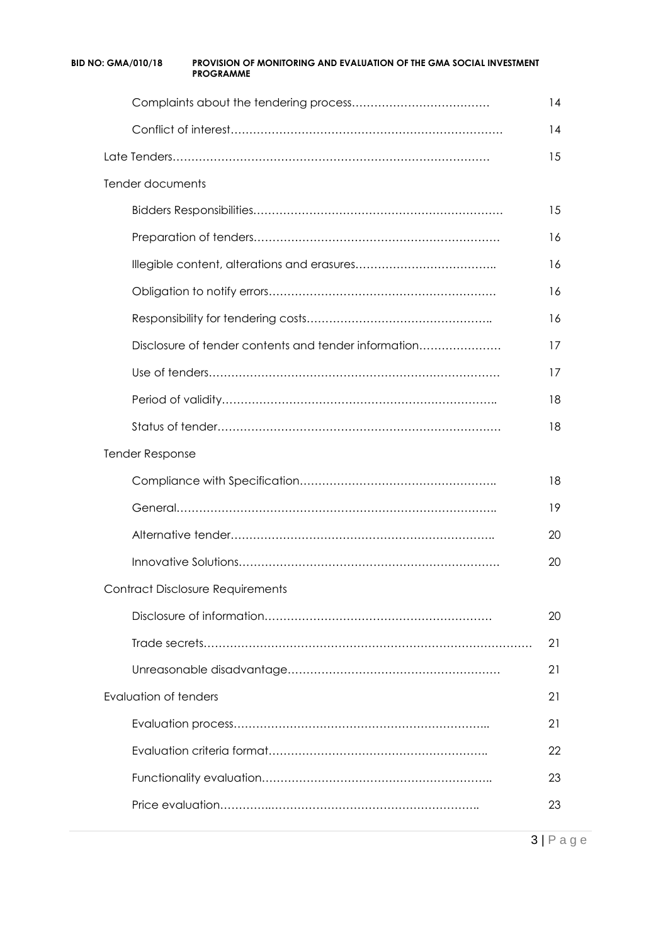| BID NO: GMA/010/18    | <b>PROVISION OF MONITORING AND EVALUATION OF THE GMA SOCIAL INVESTMENT</b><br><b>PROGRAMME</b> |    |
|-----------------------|------------------------------------------------------------------------------------------------|----|
|                       |                                                                                                | 14 |
|                       |                                                                                                | 14 |
|                       |                                                                                                | 15 |
| Tender documents      |                                                                                                |    |
|                       |                                                                                                | 15 |
|                       |                                                                                                | 16 |
|                       |                                                                                                | 16 |
|                       |                                                                                                | 16 |
|                       |                                                                                                | 16 |
|                       | Disclosure of tender contents and tender information                                           | 17 |
|                       |                                                                                                | 17 |
|                       |                                                                                                | 18 |
|                       |                                                                                                | 18 |
| Tender Response       |                                                                                                |    |
|                       |                                                                                                | 18 |
|                       |                                                                                                | 19 |
|                       |                                                                                                | 20 |
|                       | <b>Innovative Solutions</b>                                                                    | 20 |
|                       | <b>Contract Disclosure Requirements</b>                                                        |    |
|                       |                                                                                                | 20 |
|                       |                                                                                                | 21 |
|                       |                                                                                                | 21 |
| Evaluation of tenders |                                                                                                | 21 |
|                       |                                                                                                | 21 |
|                       |                                                                                                | 22 |
|                       |                                                                                                | 23 |
|                       |                                                                                                | 23 |
|                       |                                                                                                |    |

3 | P a g e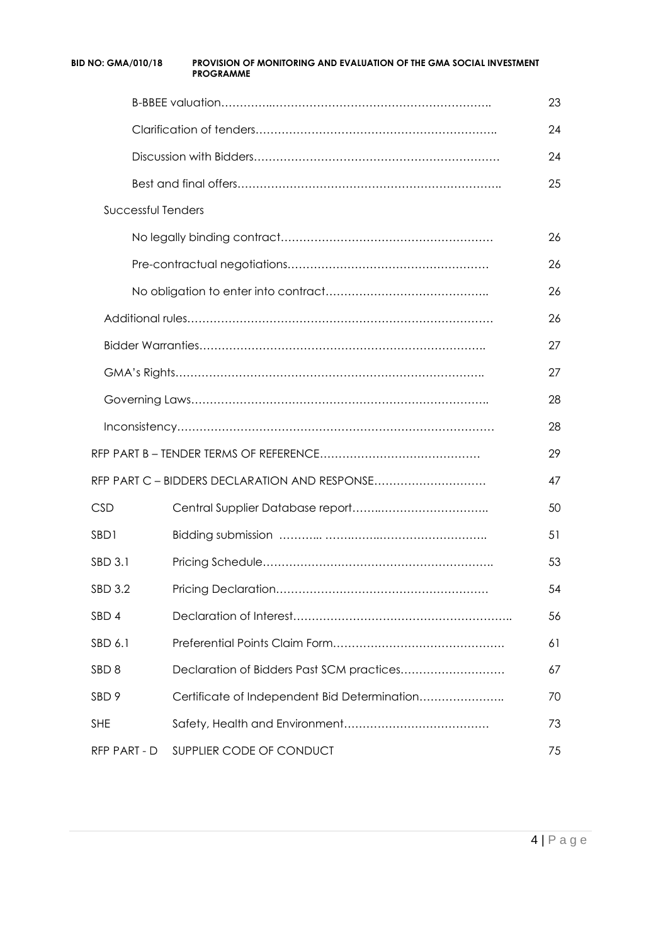| <b>BID NO: GMA/010/18</b> | <b>PROVISION OF MONITORING AND EVALUATION OF THE GMA SOCIAL INVESTMENT</b><br><b>PROGRAMME</b> |    |
|---------------------------|------------------------------------------------------------------------------------------------|----|
|                           |                                                                                                | 23 |
|                           |                                                                                                | 24 |
|                           |                                                                                                | 24 |
|                           |                                                                                                | 25 |
| Successful Tenders        |                                                                                                |    |
|                           |                                                                                                | 26 |
|                           |                                                                                                | 26 |
|                           |                                                                                                | 26 |
|                           |                                                                                                | 26 |
|                           |                                                                                                | 27 |
|                           |                                                                                                | 27 |
|                           |                                                                                                | 28 |
|                           |                                                                                                | 28 |
|                           |                                                                                                | 29 |
|                           | RFP PART C - BIDDERS DECLARATION AND RESPONSE                                                  | 47 |
| <b>CSD</b>                |                                                                                                | 50 |
| SBD1                      |                                                                                                | 51 |
| SBD 3.1                   |                                                                                                | 53 |
| <b>SBD 3.2</b>            |                                                                                                | 54 |
| SBD 4                     |                                                                                                | 56 |
| SBD 6.1                   |                                                                                                | 61 |
| SBD <sub>8</sub>          |                                                                                                | 67 |
| SBD <sub>9</sub>          | Certificate of Independent Bid Determination                                                   | 70 |
| <b>SHE</b>                |                                                                                                | 73 |
| RFP PART - D              | SUPPLIER CODE OF CONDUCT                                                                       | 75 |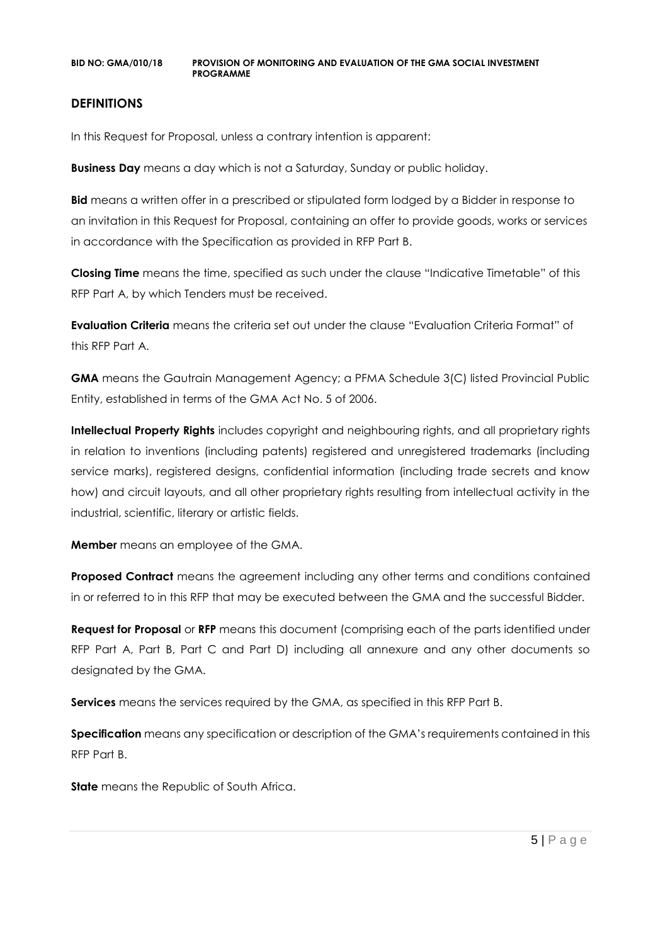#### **DEFINITIONS**

In this Request for Proposal, unless a contrary intention is apparent:

**Business Day** means a day which is not a Saturday, Sunday or public holiday.

**Bid** means a written offer in a prescribed or stipulated form lodged by a Bidder in response to an invitation in this Request for Proposal, containing an offer to provide goods, works or services in accordance with the Specification as provided in RFP Part B.

**Closing Time** means the time, specified as such under the clause "Indicative Timetable" of this RFP Part A, by which Tenders must be received.

**Evaluation Criteria** means the criteria set out under the clause "Evaluation Criteria Format" of this RFP Part A.

**GMA** means the Gautrain Management Agency; a PFMA Schedule 3(C) listed Provincial Public Entity, established in terms of the GMA Act No. 5 of 2006.

**Intellectual Property Rights** includes copyright and neighbouring rights, and all proprietary rights in relation to inventions (including patents) registered and unregistered trademarks (including service marks), registered designs, confidential information (including trade secrets and know how) and circuit layouts, and all other proprietary rights resulting from intellectual activity in the industrial, scientific, literary or artistic fields.

**Member** means an employee of the GMA.

**Proposed Contract** means the agreement including any other terms and conditions contained in or referred to in this RFP that may be executed between the GMA and the successful Bidder.

**Request for Proposal** or **RFP** means this document (comprising each of the parts identified under RFP Part A, Part B, Part C and Part D) including all annexure and any other documents so designated by the GMA.

**Services** means the services required by the GMA, as specified in this RFP Part B.

**Specification** means any specification or description of the GMA's requirements contained in this RFP Part B.

**State** means the Republic of South Africa.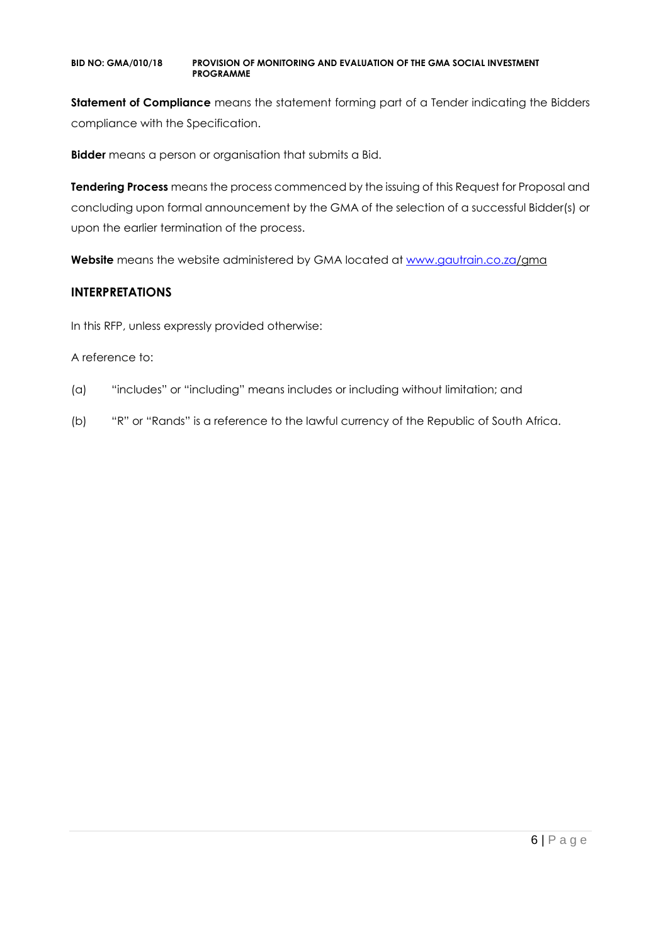**Statement of Compliance** means the statement forming part of a Tender indicating the Bidders compliance with the Specification.

**Bidder** means a person or organisation that submits a Bid.

**Tendering Process** means the process commenced by the issuing of this Request for Proposal and concluding upon formal announcement by the GMA of the selection of a successful Bidder(s) or upon the earlier termination of the process.

**Website** means the website administered by GMA located at [www.gautrain.co.za/](http://www.gautrain.co.za/)gma

#### **INTERPRETATIONS**

In this RFP, unless expressly provided otherwise:

#### A reference to:

- (a) "includes" or "including" means includes or including without limitation; and
- (b) "R" or "Rands" is a reference to the lawful currency of the Republic of South Africa.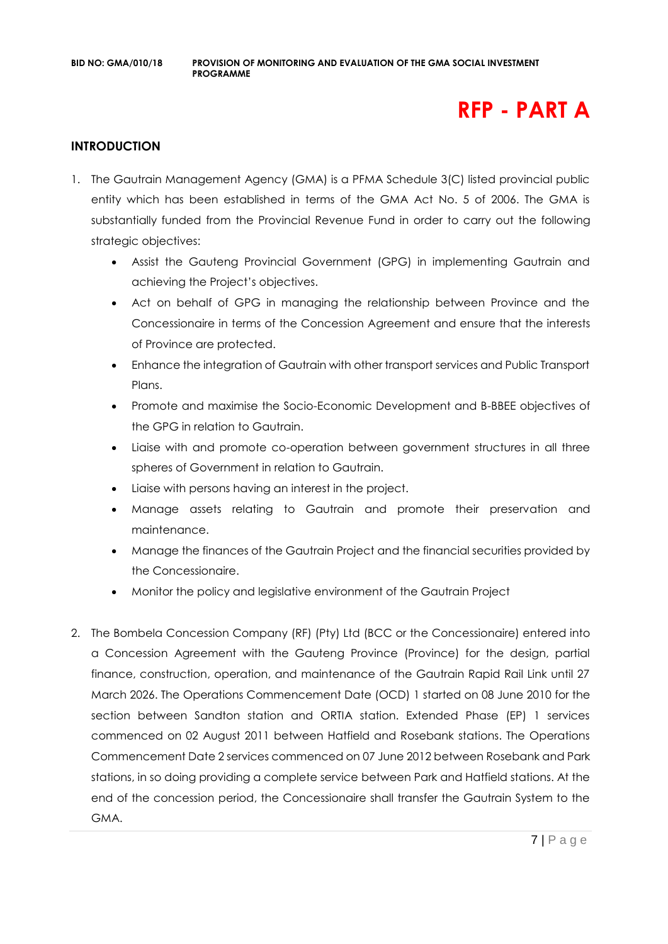## **RFP - PART A**

#### **INTRODUCTION**

- 1. The Gautrain Management Agency (GMA) is a PFMA Schedule 3(C) listed provincial public entity which has been established in terms of the GMA Act No. 5 of 2006. The GMA is substantially funded from the Provincial Revenue Fund in order to carry out the following strategic objectives:
	- Assist the Gauteng Provincial Government (GPG) in implementing Gautrain and achieving the Project's objectives.
	- Act on behalf of GPG in managing the relationship between Province and the Concessionaire in terms of the Concession Agreement and ensure that the interests of Province are protected.
	- Enhance the integration of Gautrain with other transport services and Public Transport Plans.
	- Promote and maximise the Socio-Economic Development and B-BBEE objectives of the GPG in relation to Gautrain.
	- Liaise with and promote co-operation between government structures in all three spheres of Government in relation to Gautrain.
	- Liaise with persons having an interest in the project.
	- Manage assets relating to Gautrain and promote their preservation and maintenance.
	- Manage the finances of the Gautrain Project and the financial securities provided by the Concessionaire.
	- Monitor the policy and legislative environment of the Gautrain Project
- 2. The Bombela Concession Company (RF) (Pty) Ltd (BCC or the Concessionaire) entered into a Concession Agreement with the Gauteng Province (Province) for the design, partial finance, construction, operation, and maintenance of the Gautrain Rapid Rail Link until 27 March 2026. The Operations Commencement Date (OCD) 1 started on 08 June 2010 for the section between Sandton station and ORTIA station. Extended Phase (EP) 1 services commenced on 02 August 2011 between Hatfield and Rosebank stations. The Operations Commencement Date 2 services commenced on 07 June 2012 between Rosebank and Park stations, in so doing providing a complete service between Park and Hatfield stations. At the end of the concession period, the Concessionaire shall transfer the Gautrain System to the GMA.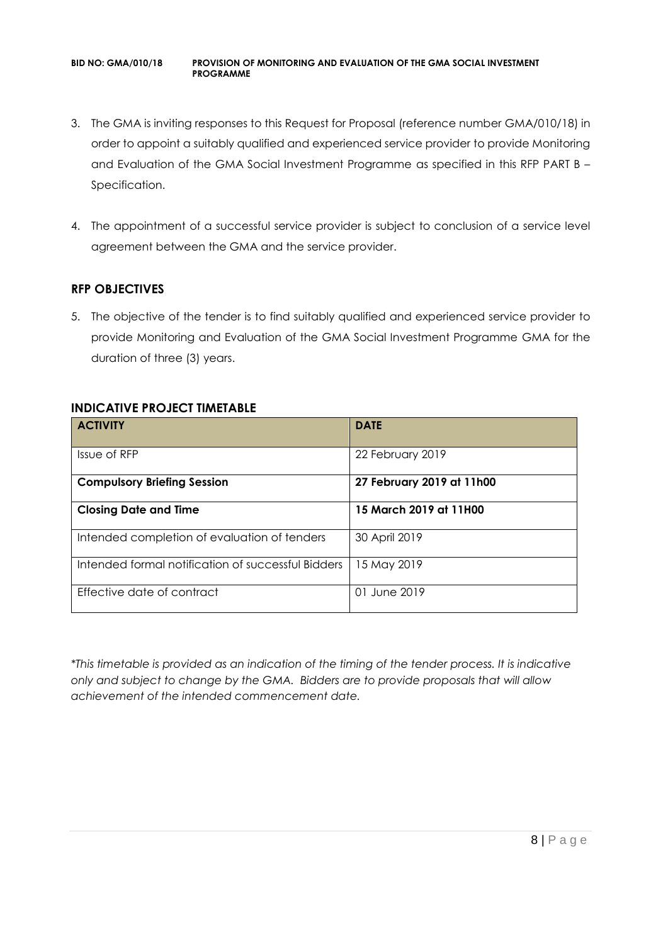- 3. The GMA is inviting responses to this Request for Proposal (reference number GMA/010/18) in order to appoint a suitably qualified and experienced service provider to provide Monitoring and Evaluation of the GMA Social Investment Programme as specified in this RFP PART B – Specification.
- 4. The appointment of a successful service provider is subject to conclusion of a service level agreement between the GMA and the service provider.

## **RFP OBJECTIVES**

5. The objective of the tender is to find suitably qualified and experienced service provider to provide Monitoring and Evaluation of the GMA Social Investment Programme GMA for the duration of three (3) years.

#### **INDICATIVE PROJECT TIMETABLE**

| <b>ACTIVITY</b>                                    | <b>DATE</b>               |
|----------------------------------------------------|---------------------------|
| Issue of RFP                                       | 22 February 2019          |
| <b>Compulsory Briefing Session</b>                 | 27 February 2019 at 11h00 |
| <b>Closing Date and Time</b>                       | 15 March 2019 at 11H00    |
| Intended completion of evaluation of tenders       | 30 April 2019             |
| Intended formal notification of successful Bidders | 15 May 2019               |
| Effective date of contract                         | 01 June 2019              |

*\*This timetable is provided as an indication of the timing of the tender process. It is indicative only and subject to change by the GMA. Bidders are to provide proposals that will allow achievement of the intended commencement date.*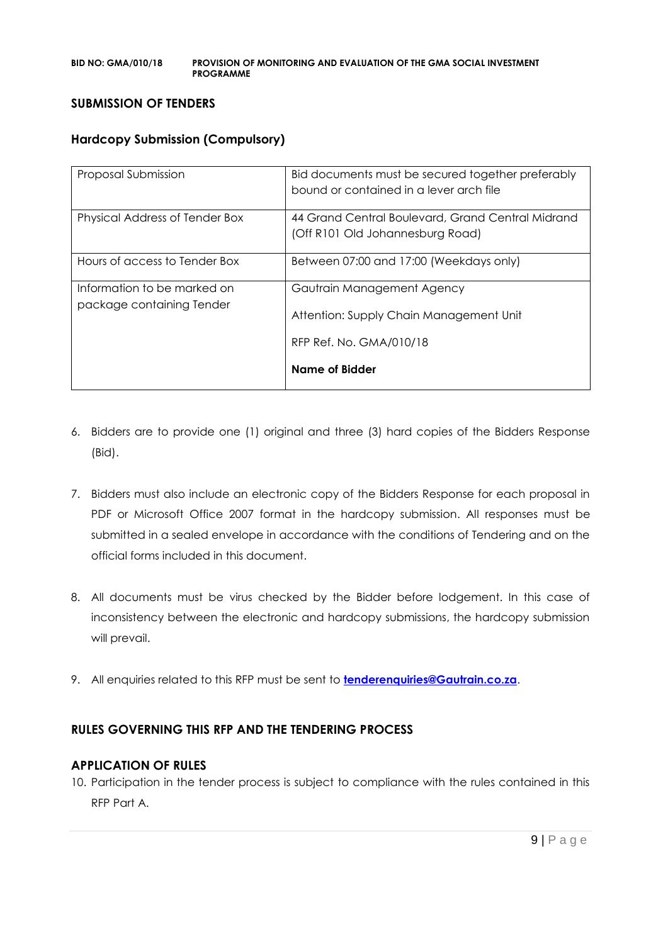#### **SUBMISSION OF TENDERS**

#### **Hardcopy Submission (Compulsory)**

| Proposal Submission                                      | Bid documents must be secured together preferably<br>bound or contained in a lever arch file |
|----------------------------------------------------------|----------------------------------------------------------------------------------------------|
| Physical Address of Tender Box                           | 44 Grand Central Boulevard, Grand Central Midrand<br>(Off R101 Old Johannesburg Road)        |
| Hours of access to Tender Box                            | Between 07:00 and 17:00 (Weekdays only)                                                      |
| Information to be marked on<br>package containing Tender | Gautrain Management Agency<br>Attention: Supply Chain Management Unit                        |
|                                                          | RFP Ref. No. GMA/010/18<br>Name of Bidder                                                    |

- 6. Bidders are to provide one (1) original and three (3) hard copies of the Bidders Response (Bid).
- 7. Bidders must also include an electronic copy of the Bidders Response for each proposal in PDF or Microsoft Office 2007 format in the hardcopy submission. All responses must be submitted in a sealed envelope in accordance with the conditions of Tendering and on the official forms included in this document.
- 8. All documents must be virus checked by the Bidder before lodgement. In this case of inconsistency between the electronic and hardcopy submissions, the hardcopy submission will prevail.
- 9. All enquiries related to this RFP must be sent to **[tenderenquiries@Gautrain.co.za](mailto:tenderenquiries@Gautrain.co.za)**.

## **RULES GOVERNING THIS RFP AND THE TENDERING PROCESS**

#### **APPLICATION OF RULES**

10. Participation in the tender process is subject to compliance with the rules contained in this RFP Part A.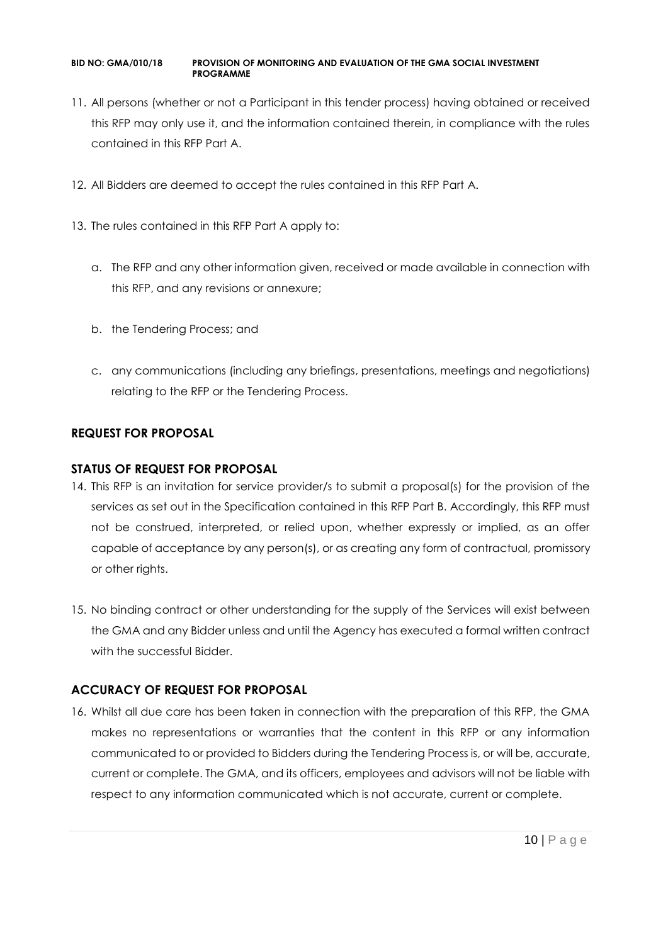- 11. All persons (whether or not a Participant in this tender process) having obtained or received this RFP may only use it, and the information contained therein, in compliance with the rules contained in this RFP Part A.
- 12. All Bidders are deemed to accept the rules contained in this RFP Part A.
- 13. The rules contained in this RFP Part A apply to:
	- a. The RFP and any other information given, received or made available in connection with this RFP, and any revisions or annexure;
	- b. the Tendering Process; and
	- c. any communications (including any briefings, presentations, meetings and negotiations) relating to the RFP or the Tendering Process.

## **REQUEST FOR PROPOSAL**

#### **STATUS OF REQUEST FOR PROPOSAL**

- 14. This RFP is an invitation for service provider/s to submit a proposal(s) for the provision of the services as set out in the Specification contained in this RFP Part B. Accordingly, this RFP must not be construed, interpreted, or relied upon, whether expressly or implied, as an offer capable of acceptance by any person(s), or as creating any form of contractual, promissory or other rights.
- 15. No binding contract or other understanding for the supply of the Services will exist between the GMA and any Bidder unless and until the Agency has executed a formal written contract with the successful Bidder.

## **ACCURACY OF REQUEST FOR PROPOSAL**

16. Whilst all due care has been taken in connection with the preparation of this RFP, the GMA makes no representations or warranties that the content in this RFP or any information communicated to or provided to Bidders during the Tendering Process is, or will be, accurate, current or complete. The GMA, and its officers, employees and advisors will not be liable with respect to any information communicated which is not accurate, current or complete.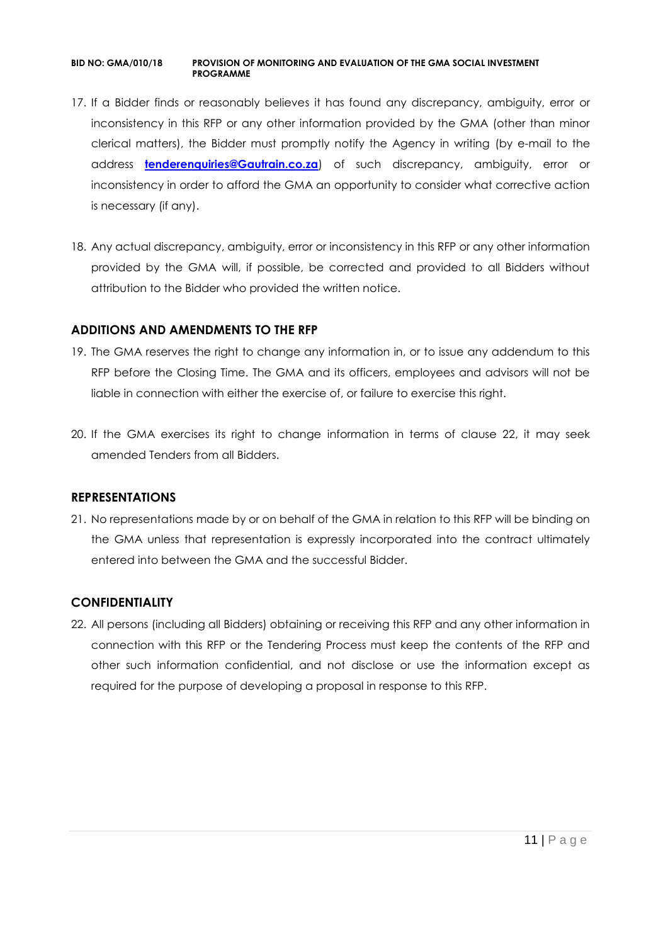- 17. If a Bidder finds or reasonably believes it has found any discrepancy, ambiguity, error or inconsistency in this RFP or any other information provided by the GMA (other than minor clerical matters), the Bidder must promptly notify the Agency in writing (by e-mail to the address **[tenderenquiries@Gautrain.co.za](mailto:tenderenquiries@gautrainpo.co.za)**) of such discrepancy, ambiguity, error or inconsistency in order to afford the GMA an opportunity to consider what corrective action is necessary (if any).
- 18. Any actual discrepancy, ambiguity, error or inconsistency in this RFP or any other information provided by the GMA will, if possible, be corrected and provided to all Bidders without attribution to the Bidder who provided the written notice.

#### **ADDITIONS AND AMENDMENTS TO THE RFP**

- 19. The GMA reserves the right to change any information in, or to issue any addendum to this RFP before the Closing Time. The GMA and its officers, employees and advisors will not be liable in connection with either the exercise of, or failure to exercise this right.
- 20. If the GMA exercises its right to change information in terms of clause 22, it may seek amended Tenders from all Bidders.

#### **REPRESENTATIONS**

21. No representations made by or on behalf of the GMA in relation to this RFP will be binding on the GMA unless that representation is expressly incorporated into the contract ultimately entered into between the GMA and the successful Bidder.

## **CONFIDENTIALITY**

22. All persons (including all Bidders) obtaining or receiving this RFP and any other information in connection with this RFP or the Tendering Process must keep the contents of the RFP and other such information confidential, and not disclose or use the information except as required for the purpose of developing a proposal in response to this RFP.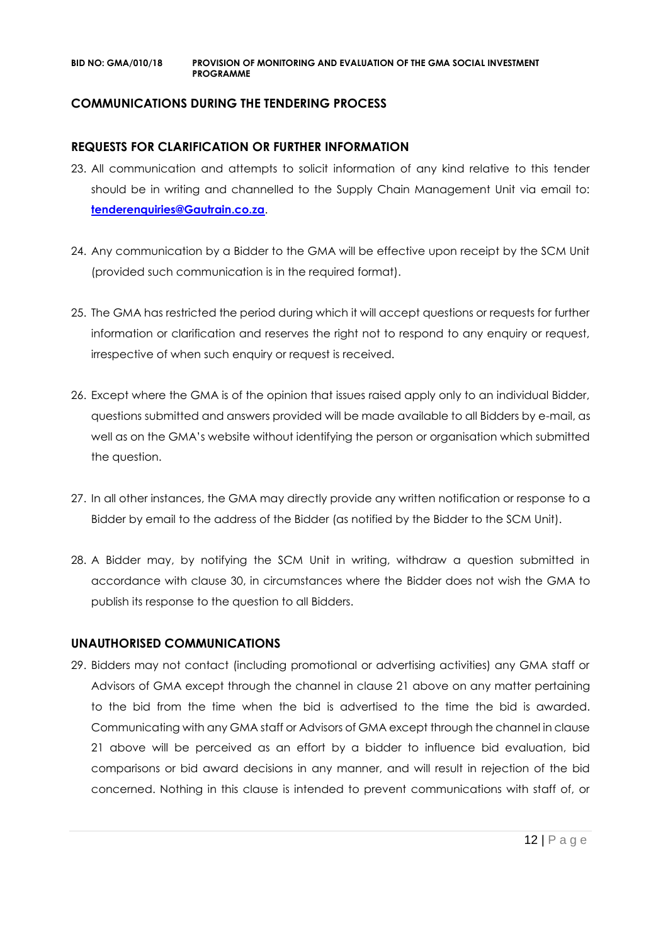#### **COMMUNICATIONS DURING THE TENDERING PROCESS**

#### **REQUESTS FOR CLARIFICATION OR FURTHER INFORMATION**

- 23. All communication and attempts to solicit information of any kind relative to this tender should be in writing and channelled to the Supply Chain Management Unit via email to: **[tenderenquiries@Gautrain.co.za](mailto:tenderenquiries@gautrainpo.co.za)**.
- 24. Any communication by a Bidder to the GMA will be effective upon receipt by the SCM Unit (provided such communication is in the required format).
- 25. The GMA has restricted the period during which it will accept questions or requests for further information or clarification and reserves the right not to respond to any enquiry or request, irrespective of when such enquiry or request is received.
- 26. Except where the GMA is of the opinion that issues raised apply only to an individual Bidder, questions submitted and answers provided will be made available to all Bidders by e-mail, as well as on the GMA's website without identifying the person or organisation which submitted the question.
- 27. In all other instances, the GMA may directly provide any written notification or response to a Bidder by email to the address of the Bidder (as notified by the Bidder to the SCM Unit).
- 28. A Bidder may, by notifying the SCM Unit in writing, withdraw a question submitted in accordance with clause 30, in circumstances where the Bidder does not wish the GMA to publish its response to the question to all Bidders.

#### **UNAUTHORISED COMMUNICATIONS**

29. Bidders may not contact (including promotional or advertising activities) any GMA staff or Advisors of GMA except through the channel in clause 21 above on any matter pertaining to the bid from the time when the bid is advertised to the time the bid is awarded. Communicating with any GMA staff or Advisors of GMA except through the channel in clause 21 above will be perceived as an effort by a bidder to influence bid evaluation, bid comparisons or bid award decisions in any manner, and will result in rejection of the bid concerned. Nothing in this clause is intended to prevent communications with staff of, or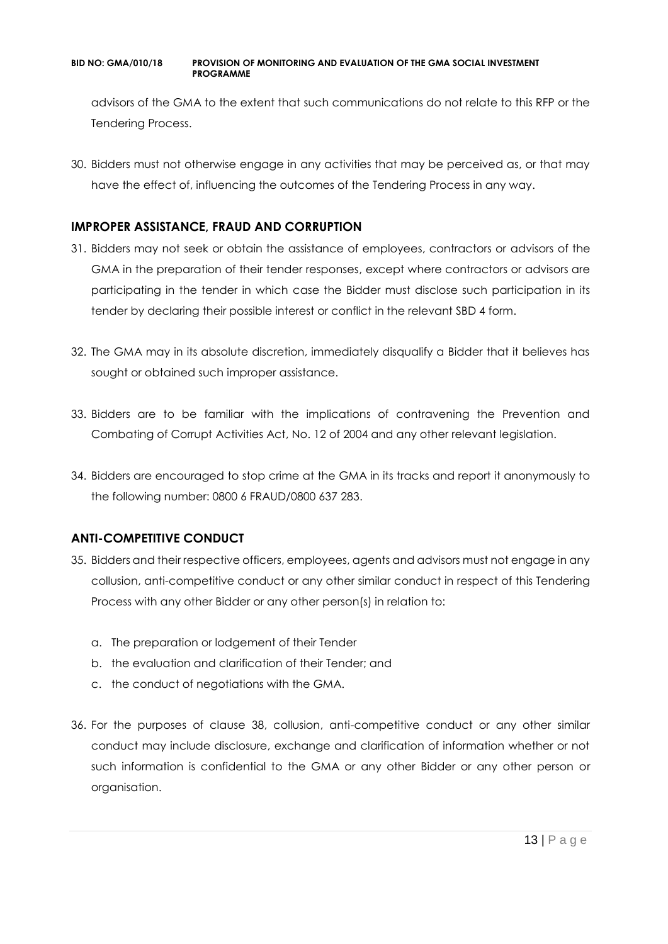advisors of the GMA to the extent that such communications do not relate to this RFP or the Tendering Process.

30. Bidders must not otherwise engage in any activities that may be perceived as, or that may have the effect of, influencing the outcomes of the Tendering Process in any way.

## **IMPROPER ASSISTANCE, FRAUD AND CORRUPTION**

- 31. Bidders may not seek or obtain the assistance of employees, contractors or advisors of the GMA in the preparation of their tender responses, except where contractors or advisors are participating in the tender in which case the Bidder must disclose such participation in its tender by declaring their possible interest or conflict in the relevant SBD 4 form.
- 32. The GMA may in its absolute discretion, immediately disqualify a Bidder that it believes has sought or obtained such improper assistance.
- 33. Bidders are to be familiar with the implications of contravening the Prevention and Combating of Corrupt Activities Act, No. 12 of 2004 and any other relevant legislation.
- 34. Bidders are encouraged to stop crime at the GMA in its tracks and report it anonymously to the following number: 0800 6 FRAUD/0800 637 283.

## **ANTI-COMPETITIVE CONDUCT**

- 35. Bidders and their respective officers, employees, agents and advisors must not engage in any collusion, anti-competitive conduct or any other similar conduct in respect of this Tendering Process with any other Bidder or any other person(s) in relation to:
	- a. The preparation or lodgement of their Tender
	- b. the evaluation and clarification of their Tender; and
	- c. the conduct of negotiations with the GMA.
- 36. For the purposes of clause 38, collusion, anti-competitive conduct or any other similar conduct may include disclosure, exchange and clarification of information whether or not such information is confidential to the GMA or any other Bidder or any other person or organisation.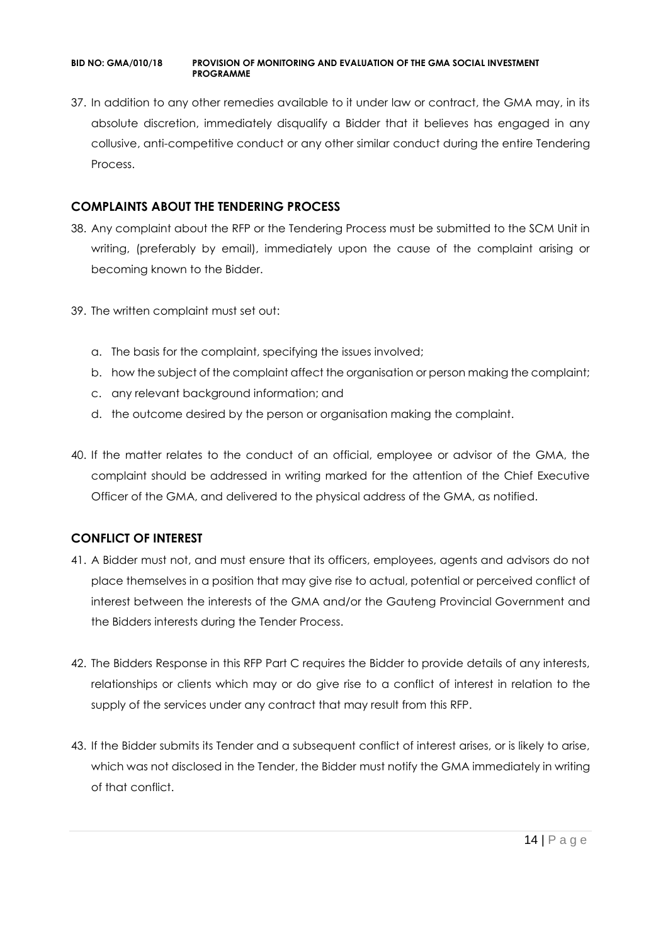37. In addition to any other remedies available to it under law or contract, the GMA may, in its absolute discretion, immediately disqualify a Bidder that it believes has engaged in any collusive, anti-competitive conduct or any other similar conduct during the entire Tendering Process.

## **COMPLAINTS ABOUT THE TENDERING PROCESS**

- 38. Any complaint about the RFP or the Tendering Process must be submitted to the SCM Unit in writing, (preferably by email), immediately upon the cause of the complaint arising or becoming known to the Bidder.
- 39. The written complaint must set out:
	- a. The basis for the complaint, specifying the issues involved;
	- b. how the subject of the complaint affect the organisation or person making the complaint;
	- c. any relevant background information; and
	- d. the outcome desired by the person or organisation making the complaint.
- 40. If the matter relates to the conduct of an official, employee or advisor of the GMA, the complaint should be addressed in writing marked for the attention of the Chief Executive Officer of the GMA, and delivered to the physical address of the GMA, as notified.

## **CONFLICT OF INTEREST**

- 41. A Bidder must not, and must ensure that its officers, employees, agents and advisors do not place themselves in a position that may give rise to actual, potential or perceived conflict of interest between the interests of the GMA and/or the Gauteng Provincial Government and the Bidders interests during the Tender Process.
- 42. The Bidders Response in this RFP Part C requires the Bidder to provide details of any interests, relationships or clients which may or do give rise to a conflict of interest in relation to the supply of the services under any contract that may result from this RFP.
- 43. If the Bidder submits its Tender and a subsequent conflict of interest arises, or is likely to arise, which was not disclosed in the Tender, the Bidder must notify the GMA immediately in writing of that conflict.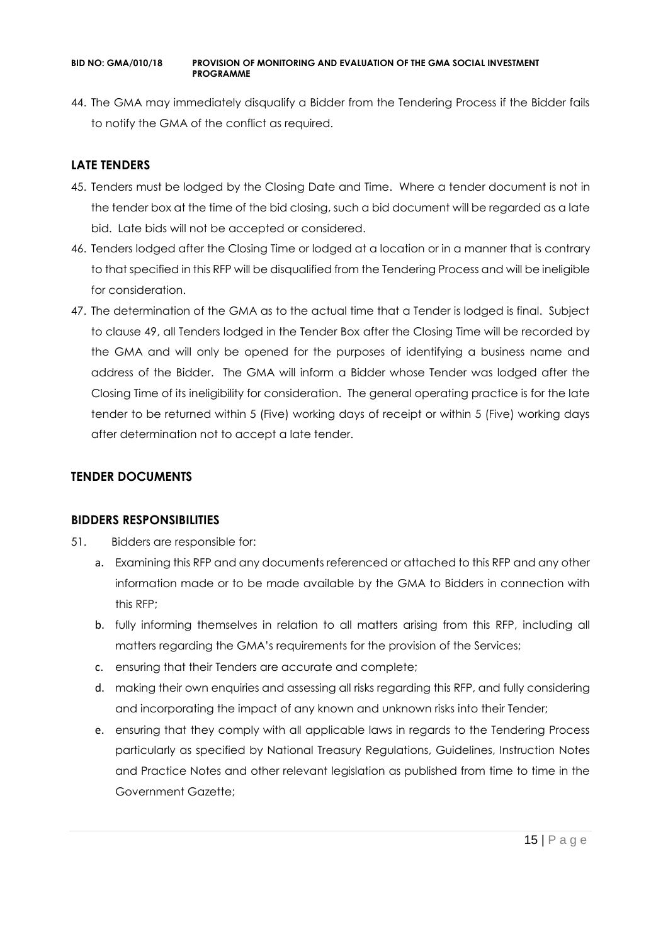44. The GMA may immediately disqualify a Bidder from the Tendering Process if the Bidder fails to notify the GMA of the conflict as required.

## **LATE TENDERS**

- 45. Tenders must be lodged by the Closing Date and Time. Where a tender document is not in the tender box at the time of the bid closing, such a bid document will be regarded as a late bid. Late bids will not be accepted or considered.
- 46. Tenders lodged after the Closing Time or lodged at a location or in a manner that is contrary to that specified in this RFP will be disqualified from the Tendering Process and will be ineligible for consideration.
- 47. The determination of the GMA as to the actual time that a Tender is lodged is final. Subject to clause 49, all Tenders lodged in the Tender Box after the Closing Time will be recorded by the GMA and will only be opened for the purposes of identifying a business name and address of the Bidder. The GMA will inform a Bidder whose Tender was lodged after the Closing Time of its ineligibility for consideration. The general operating practice is for the late tender to be returned within 5 (Five) working days of receipt or within 5 (Five) working days after determination not to accept a late tender.

## **TENDER DOCUMENTS**

## **BIDDERS RESPONSIBILITIES**

- 51. Bidders are responsible for:
	- a. Examining this RFP and any documents referenced or attached to this RFP and any other information made or to be made available by the GMA to Bidders in connection with this RFP;
	- b. fully informing themselves in relation to all matters arising from this RFP, including all matters regarding the GMA's requirements for the provision of the Services;
	- c. ensuring that their Tenders are accurate and complete;
	- d. making their own enquiries and assessing all risks regarding this RFP, and fully considering and incorporating the impact of any known and unknown risks into their Tender;
	- e. ensuring that they comply with all applicable laws in regards to the Tendering Process particularly as specified by National Treasury Regulations, Guidelines, Instruction Notes and Practice Notes and other relevant legislation as published from time to time in the Government Gazette;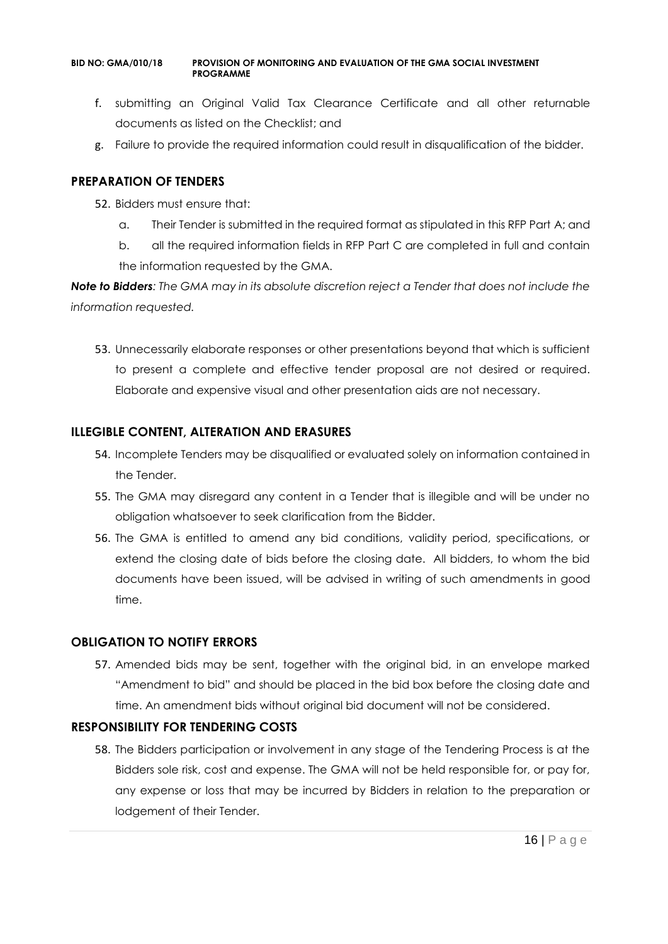- f. submitting an Original Valid Tax Clearance Certificate and all other returnable documents as listed on the Checklist; and
- g. Failure to provide the required information could result in disqualification of the bidder.

#### **PREPARATION OF TENDERS**

- 52. Bidders must ensure that:
	- a. Their Tender is submitted in the required format as stipulated in this RFP Part A; and
	- b. all the required information fields in RFP Part C are completed in full and contain the information requested by the GMA.

*Note to Bidders: The GMA may in its absolute discretion reject a Tender that does not include the information requested.*

53. Unnecessarily elaborate responses or other presentations beyond that which is sufficient to present a complete and effective tender proposal are not desired or required. Elaborate and expensive visual and other presentation aids are not necessary.

## **ILLEGIBLE CONTENT, ALTERATION AND ERASURES**

- 54. Incomplete Tenders may be disqualified or evaluated solely on information contained in the Tender.
- 55. The GMA may disregard any content in a Tender that is illegible and will be under no obligation whatsoever to seek clarification from the Bidder.
- 56. The GMA is entitled to amend any bid conditions, validity period, specifications, or extend the closing date of bids before the closing date. All bidders, to whom the bid documents have been issued, will be advised in writing of such amendments in good time.

## **OBLIGATION TO NOTIFY ERRORS**

57. Amended bids may be sent, together with the original bid, in an envelope marked "Amendment to bid" and should be placed in the bid box before the closing date and time. An amendment bids without original bid document will not be considered.

## **RESPONSIBILITY FOR TENDERING COSTS**

58. The Bidders participation or involvement in any stage of the Tendering Process is at the Bidders sole risk, cost and expense. The GMA will not be held responsible for, or pay for, any expense or loss that may be incurred by Bidders in relation to the preparation or lodgement of their Tender.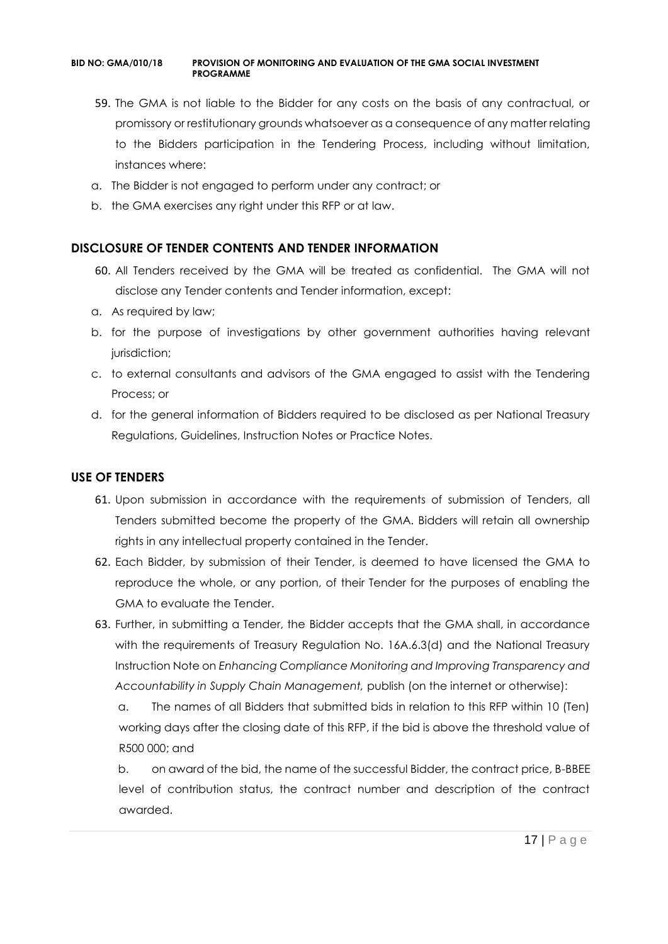- 59. The GMA is not liable to the Bidder for any costs on the basis of any contractual, or promissory or restitutionary grounds whatsoever as a consequence of any matter relating to the Bidders participation in the Tendering Process, including without limitation, instances where:
- a. The Bidder is not engaged to perform under any contract; or
- b. the GMA exercises any right under this RFP or at law.

#### **DISCLOSURE OF TENDER CONTENTS AND TENDER INFORMATION**

- 60. All Tenders received by the GMA will be treated as confidential. The GMA will not disclose any Tender contents and Tender information, except:
- a. As required by law;
- b. for the purpose of investigations by other government authorities having relevant jurisdiction;
- c. to external consultants and advisors of the GMA engaged to assist with the Tendering Process; or
- d. for the general information of Bidders required to be disclosed as per National Treasury Regulations, Guidelines, Instruction Notes or Practice Notes.

#### **USE OF TENDERS**

- 61. Upon submission in accordance with the requirements of submission of Tenders, all Tenders submitted become the property of the GMA. Bidders will retain all ownership rights in any intellectual property contained in the Tender.
- 62. Each Bidder, by submission of their Tender, is deemed to have licensed the GMA to reproduce the whole, or any portion, of their Tender for the purposes of enabling the GMA to evaluate the Tender.
- 63. Further, in submitting a Tender, the Bidder accepts that the GMA shall, in accordance with the requirements of Treasury Regulation No. 16A.6.3(d) and the National Treasury Instruction Note on *Enhancing Compliance Monitoring and Improving Transparency and Accountability in Supply Chain Management,* publish (on the internet or otherwise):

a. The names of all Bidders that submitted bids in relation to this RFP within 10 (Ten) working days after the closing date of this RFP, if the bid is above the threshold value of R500 000; and

b. on award of the bid, the name of the successful Bidder, the contract price, B-BBEE level of contribution status, the contract number and description of the contract awarded.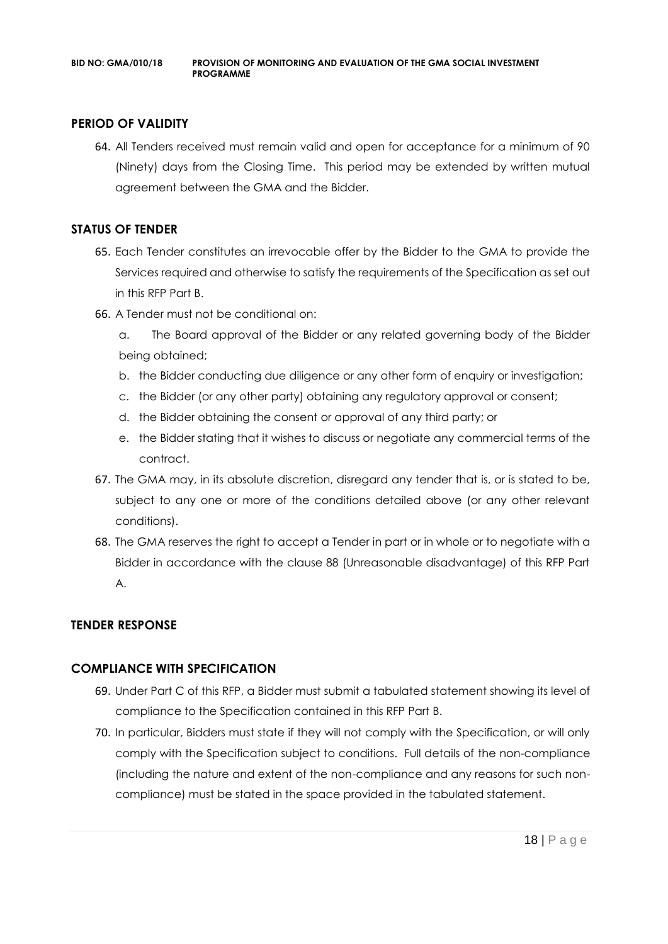## **PERIOD OF VALIDITY**

64. All Tenders received must remain valid and open for acceptance for a minimum of 90 (Ninety) days from the Closing Time. This period may be extended by written mutual agreement between the GMA and the Bidder.

#### **STATUS OF TENDER**

- 65. Each Tender constitutes an irrevocable offer by the Bidder to the GMA to provide the Services required and otherwise to satisfy the requirements of the Specification as set out in this RFP Part B.
- 66. A Tender must not be conditional on:
	- a. The Board approval of the Bidder or any related governing body of the Bidder being obtained;
	- b. the Bidder conducting due diligence or any other form of enquiry or investigation;
	- c. the Bidder (or any other party) obtaining any regulatory approval or consent;
	- d. the Bidder obtaining the consent or approval of any third party; or
	- e. the Bidder stating that it wishes to discuss or negotiate any commercial terms of the contract.
- 67. The GMA may, in its absolute discretion, disregard any tender that is, or is stated to be, subject to any one or more of the conditions detailed above (or any other relevant conditions).
- 68. The GMA reserves the right to accept a Tender in part or in whole or to negotiate with a Bidder in accordance with the clause 88 (Unreasonable disadvantage) of this RFP Part A.

## **TENDER RESPONSE**

## **COMPLIANCE WITH SPECIFICATION**

- 69. Under Part C of this RFP, a Bidder must submit a tabulated statement showing its level of compliance to the Specification contained in this RFP Part B.
- 70. In particular, Bidders must state if they will not comply with the Specification, or will only comply with the Specification subject to conditions. Full details of the non-compliance (including the nature and extent of the non-compliance and any reasons for such noncompliance) must be stated in the space provided in the tabulated statement.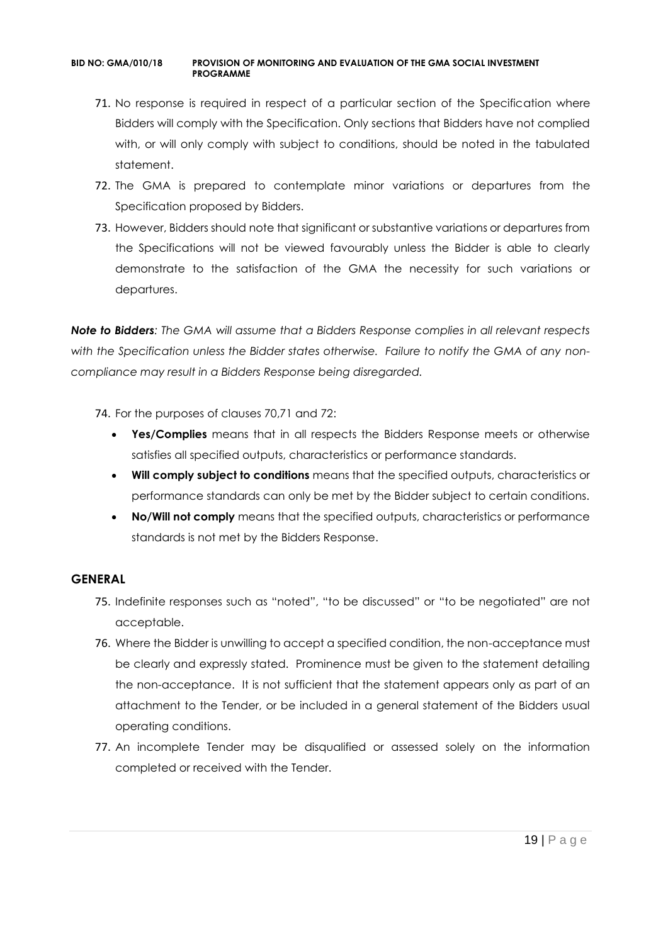- 71. No response is required in respect of a particular section of the Specification where Bidders will comply with the Specification. Only sections that Bidders have not complied with, or will only comply with subject to conditions, should be noted in the tabulated statement.
- 72. The GMA is prepared to contemplate minor variations or departures from the Specification proposed by Bidders.
- 73. However, Bidders should note that significant or substantive variations or departures from the Specifications will not be viewed favourably unless the Bidder is able to clearly demonstrate to the satisfaction of the GMA the necessity for such variations or departures.

*Note to Bidders: The GMA will assume that a Bidders Response complies in all relevant respects with the Specification unless the Bidder states otherwise. Failure to notify the GMA of any noncompliance may result in a Bidders Response being disregarded.*

- 74. For the purposes of clauses 70,71 and 72:
	- **Yes/Complies** means that in all respects the Bidders Response meets or otherwise satisfies all specified outputs, characteristics or performance standards.
	- **Will comply subject to conditions** means that the specified outputs, characteristics or performance standards can only be met by the Bidder subject to certain conditions.
	- **No/Will not comply** means that the specified outputs, characteristics or performance standards is not met by the Bidders Response.

## **GENERAL**

- 75. Indefinite responses such as "noted", "to be discussed" or "to be negotiated" are not acceptable.
- 76. Where the Bidder is unwilling to accept a specified condition, the non-acceptance must be clearly and expressly stated. Prominence must be given to the statement detailing the non-acceptance. It is not sufficient that the statement appears only as part of an attachment to the Tender, or be included in a general statement of the Bidders usual operating conditions.
- 77. An incomplete Tender may be disqualified or assessed solely on the information completed or received with the Tender.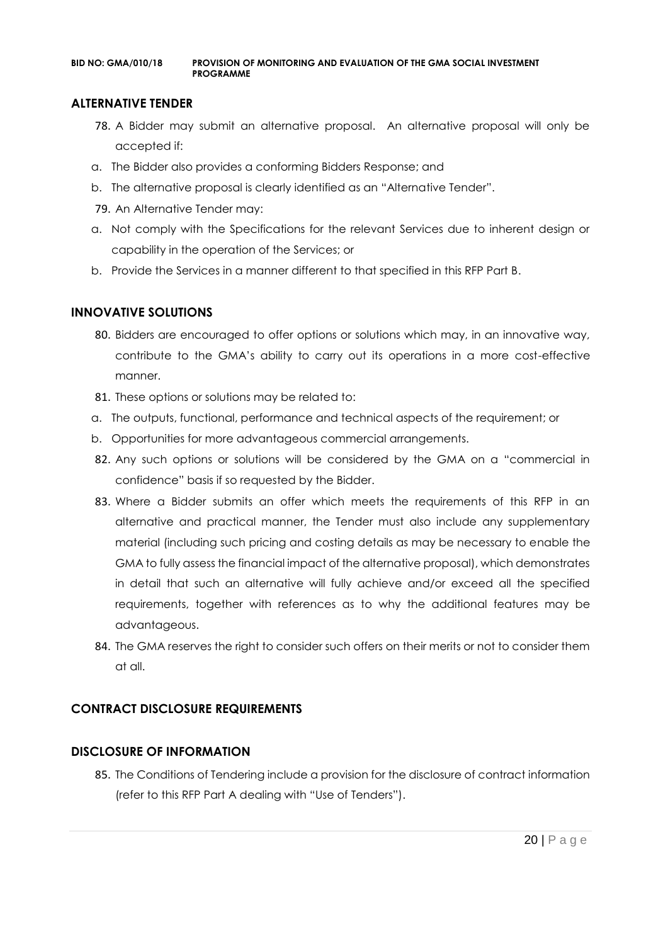#### **ALTERNATIVE TENDER**

- 78. A Bidder may submit an alternative proposal. An alternative proposal will only be accepted if:
- a. The Bidder also provides a conforming Bidders Response; and
- b. The alternative proposal is clearly identified as an "Alternative Tender".
- 79. An Alternative Tender may:
- a. Not comply with the Specifications for the relevant Services due to inherent design or capability in the operation of the Services; or
- b. Provide the Services in a manner different to that specified in this RFP Part B.

#### **INNOVATIVE SOLUTIONS**

- 80. Bidders are encouraged to offer options or solutions which may, in an innovative way, contribute to the GMA's ability to carry out its operations in a more cost-effective manner.
- 81. These options or solutions may be related to:
- a. The outputs, functional, performance and technical aspects of the requirement; or
- b. Opportunities for more advantageous commercial arrangements.
- 82. Any such options or solutions will be considered by the GMA on a "commercial in confidence" basis if so requested by the Bidder.
- 83. Where a Bidder submits an offer which meets the requirements of this RFP in an alternative and practical manner, the Tender must also include any supplementary material (including such pricing and costing details as may be necessary to enable the GMA to fully assess the financial impact of the alternative proposal), which demonstrates in detail that such an alternative will fully achieve and/or exceed all the specified requirements, together with references as to why the additional features may be advantageous.
- 84. The GMA reserves the right to consider such offers on their merits or not to consider them at all.

## **CONTRACT DISCLOSURE REQUIREMENTS**

## **DISCLOSURE OF INFORMATION**

85. The Conditions of Tendering include a provision for the disclosure of contract information (refer to this RFP Part A dealing with "Use of Tenders").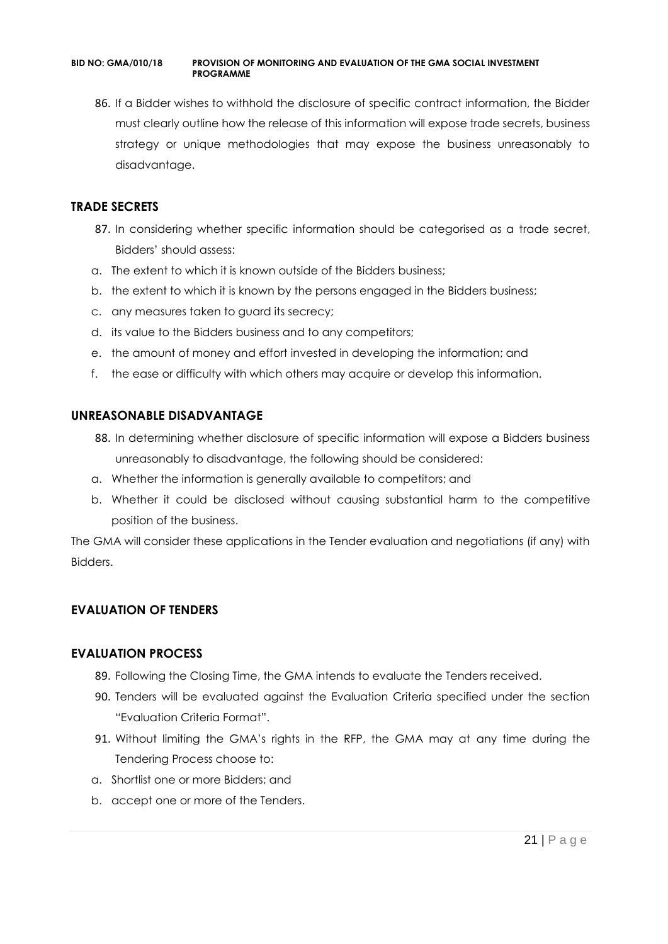86. If a Bidder wishes to withhold the disclosure of specific contract information, the Bidder must clearly outline how the release of this information will expose trade secrets, business strategy or unique methodologies that may expose the business unreasonably to disadvantage.

#### **TRADE SECRETS**

- 87. In considering whether specific information should be categorised as a trade secret, Bidders' should assess:
- a. The extent to which it is known outside of the Bidders business;
- b. the extent to which it is known by the persons engaged in the Bidders business;
- c. any measures taken to guard its secrecy;
- d. its value to the Bidders business and to any competitors;
- e. the amount of money and effort invested in developing the information; and
- f. the ease or difficulty with which others may acquire or develop this information.

#### **UNREASONABLE DISADVANTAGE**

- 88. In determining whether disclosure of specific information will expose a Bidders business unreasonably to disadvantage, the following should be considered:
- a. Whether the information is generally available to competitors; and
- b. Whether it could be disclosed without causing substantial harm to the competitive position of the business.

The GMA will consider these applications in the Tender evaluation and negotiations (if any) with Bidders.

## **EVALUATION OF TENDERS**

#### **EVALUATION PROCESS**

- 89. Following the Closing Time, the GMA intends to evaluate the Tenders received.
- 90. Tenders will be evaluated against the Evaluation Criteria specified under the section "Evaluation Criteria Format".
- 91. Without limiting the GMA's rights in the RFP, the GMA may at any time during the Tendering Process choose to:
- a. Shortlist one or more Bidders; and
- b. accept one or more of the Tenders.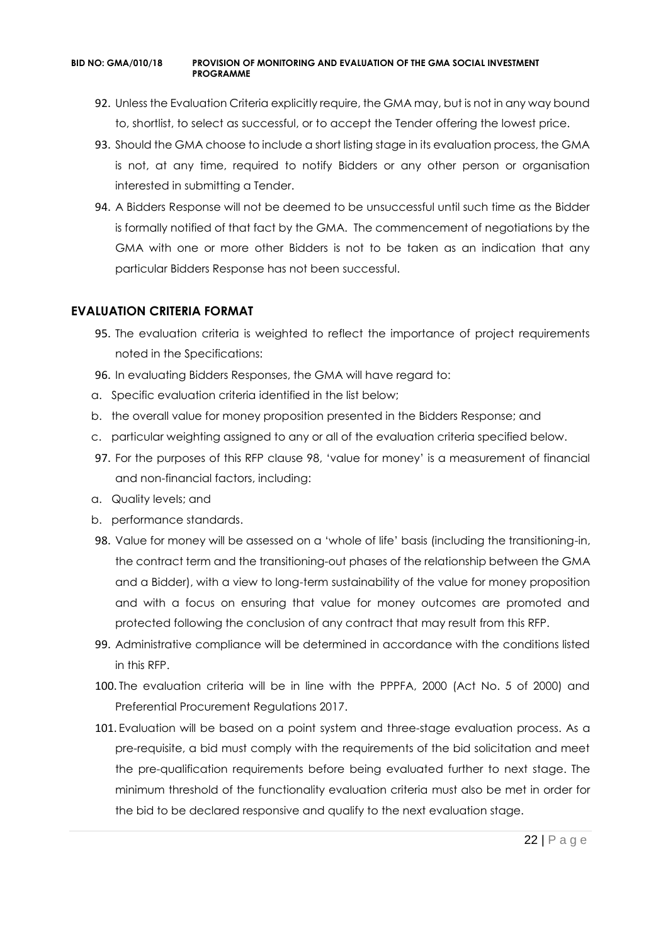- 92. Unless the Evaluation Criteria explicitly require, the GMA may, but is not in any way bound to, shortlist, to select as successful, or to accept the Tender offering the lowest price.
- 93. Should the GMA choose to include a short listing stage in its evaluation process, the GMA is not, at any time, required to notify Bidders or any other person or organisation interested in submitting a Tender.
- 94. A Bidders Response will not be deemed to be unsuccessful until such time as the Bidder is formally notified of that fact by the GMA. The commencement of negotiations by the GMA with one or more other Bidders is not to be taken as an indication that any particular Bidders Response has not been successful.

#### **EVALUATION CRITERIA FORMAT**

- 95. The evaluation criteria is weighted to reflect the importance of project requirements noted in the Specifications:
- 96. In evaluating Bidders Responses, the GMA will have regard to:
- a. Specific evaluation criteria identified in the list below;
- b. the overall value for money proposition presented in the Bidders Response; and
- c. particular weighting assigned to any or all of the evaluation criteria specified below.
- 97. For the purposes of this RFP clause 98, 'value for money' is a measurement of financial and non-financial factors, including:
- a. Quality levels; and
- b. performance standards.
- 98. Value for money will be assessed on a 'whole of life' basis (including the transitioning-in, the contract term and the transitioning-out phases of the relationship between the GMA and a Bidder), with a view to long-term sustainability of the value for money proposition and with a focus on ensuring that value for money outcomes are promoted and protected following the conclusion of any contract that may result from this RFP.
- 99. Administrative compliance will be determined in accordance with the conditions listed in this RFP.
- 100. The evaluation criteria will be in line with the PPPFA, 2000 (Act No. 5 of 2000) and Preferential Procurement Regulations 2017.
- 101. Evaluation will be based on a point system and three-stage evaluation process. As a pre-requisite, a bid must comply with the requirements of the bid solicitation and meet the pre-qualification requirements before being evaluated further to next stage. The minimum threshold of the functionality evaluation criteria must also be met in order for the bid to be declared responsive and qualify to the next evaluation stage.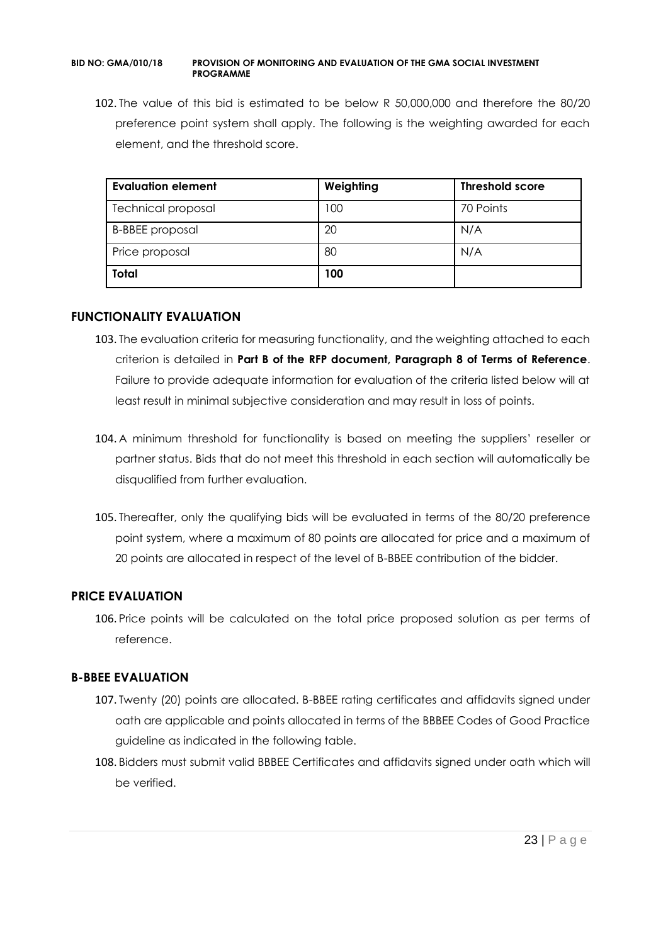102. The value of this bid is estimated to be below R 50,000,000 and therefore the 80/20 preference point system shall apply. The following is the weighting awarded for each element, and the threshold score.

| <b>Evaluation element</b> | Weighting | <b>Threshold score</b> |
|---------------------------|-----------|------------------------|
| <b>Technical proposal</b> | 100       | 70 Points              |
| <b>B-BBEE</b> proposal    | 20        | N/A                    |
| Price proposal            | 80        | N/A                    |
| <b>Total</b>              | 100       |                        |

#### **FUNCTIONALITY EVALUATION**

- 103. The evaluation criteria for measuring functionality, and the weighting attached to each criterion is detailed in **Part B of the RFP document, Paragraph 8 of Terms of Reference**. Failure to provide adequate information for evaluation of the criteria listed below will at least result in minimal subjective consideration and may result in loss of points.
- 104. A minimum threshold for functionality is based on meeting the suppliers' reseller or partner status. Bids that do not meet this threshold in each section will automatically be disqualified from further evaluation.
- 105. Thereafter, only the qualifying bids will be evaluated in terms of the 80/20 preference point system, where a maximum of 80 points are allocated for price and a maximum of 20 points are allocated in respect of the level of B-BBEE contribution of the bidder.

## **PRICE EVALUATION**

106. Price points will be calculated on the total price proposed solution as per terms of reference.

## **B-BBEE EVALUATION**

- 107. Twenty (20) points are allocated. B-BBEE rating certificates and affidavits signed under oath are applicable and points allocated in terms of the BBBEE Codes of Good Practice guideline as indicated in the following table.
- 108. Bidders must submit valid BBBEE Certificates and affidavits signed under oath which will be verified.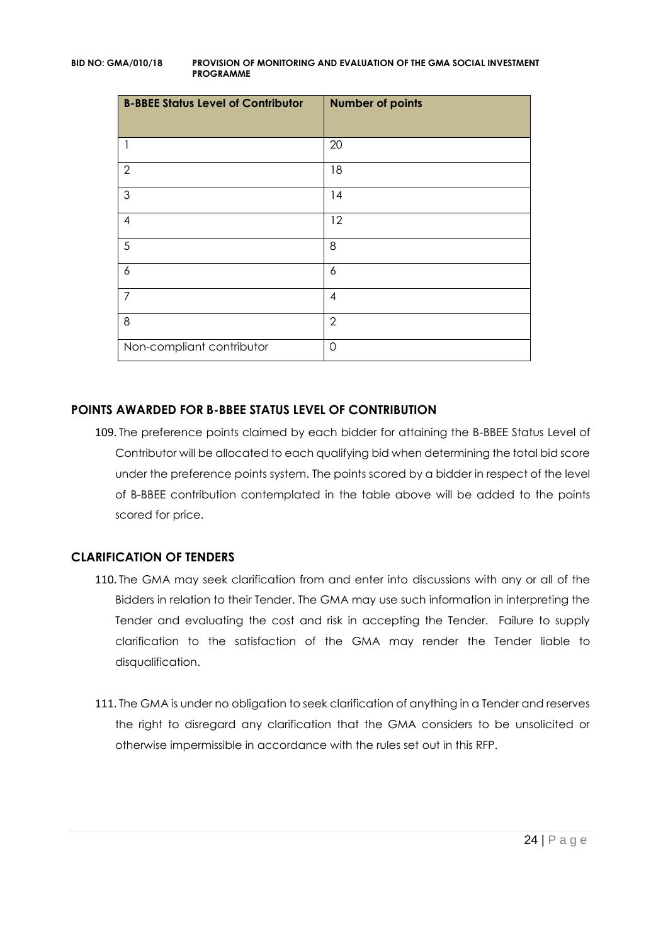| <b>B-BBEE Status Level of Contributor</b> | <b>Number of points</b> |
|-------------------------------------------|-------------------------|
| 1                                         | 20                      |
| $\mathbf{2}$                              | 18                      |
| 3                                         | 14                      |
| $\overline{\mathcal{A}}$                  | 12                      |
| 5                                         | 8                       |
| 6                                         | 6                       |
| 7                                         | $\overline{4}$          |
| 8                                         | $\overline{2}$          |
| Non-compliant contributor                 | $\mathbf 0$             |

## **POINTS AWARDED FOR B-BBEE STATUS LEVEL OF CONTRIBUTION**

109. The preference points claimed by each bidder for attaining the B-BBEE Status Level of Contributor will be allocated to each qualifying bid when determining the total bid score under the preference points system. The points scored by a bidder in respect of the level of B-BBEE contribution contemplated in the table above will be added to the points scored for price.

## **CLARIFICATION OF TENDERS**

- 110. The GMA may seek clarification from and enter into discussions with any or all of the Bidders in relation to their Tender. The GMA may use such information in interpreting the Tender and evaluating the cost and risk in accepting the Tender. Failure to supply clarification to the satisfaction of the GMA may render the Tender liable to disqualification.
- 111. The GMA is under no obligation to seek clarification of anything in a Tender and reserves the right to disregard any clarification that the GMA considers to be unsolicited or otherwise impermissible in accordance with the rules set out in this RFP.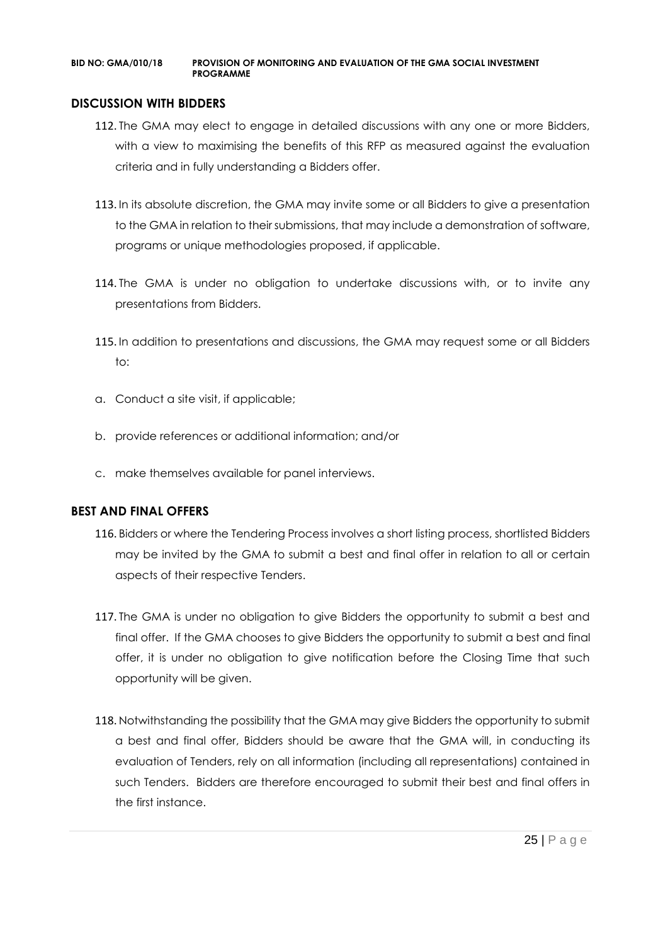#### **DISCUSSION WITH BIDDERS**

- 112. The GMA may elect to engage in detailed discussions with any one or more Bidders, with a view to maximising the benefits of this RFP as measured against the evaluation criteria and in fully understanding a Bidders offer.
- 113. In its absolute discretion, the GMA may invite some or all Bidders to give a presentation to the GMA in relation to their submissions, that may include a demonstration of software, programs or unique methodologies proposed, if applicable.
- 114. The GMA is under no obligation to undertake discussions with, or to invite any presentations from Bidders.
- 115. In addition to presentations and discussions, the GMA may request some or all Bidders to:
- a. Conduct a site visit, if applicable;
- b. provide references or additional information; and/or
- c. make themselves available for panel interviews.

#### **BEST AND FINAL OFFERS**

- 116. Bidders or where the Tendering Process involves a short listing process, shortlisted Bidders may be invited by the GMA to submit a best and final offer in relation to all or certain aspects of their respective Tenders.
- 117. The GMA is under no obligation to give Bidders the opportunity to submit a best and final offer. If the GMA chooses to give Bidders the opportunity to submit a best and final offer, it is under no obligation to give notification before the Closing Time that such opportunity will be given.
- 118. Notwithstanding the possibility that the GMA may give Bidders the opportunity to submit a best and final offer, Bidders should be aware that the GMA will, in conducting its evaluation of Tenders, rely on all information (including all representations) contained in such Tenders. Bidders are therefore encouraged to submit their best and final offers in the first instance.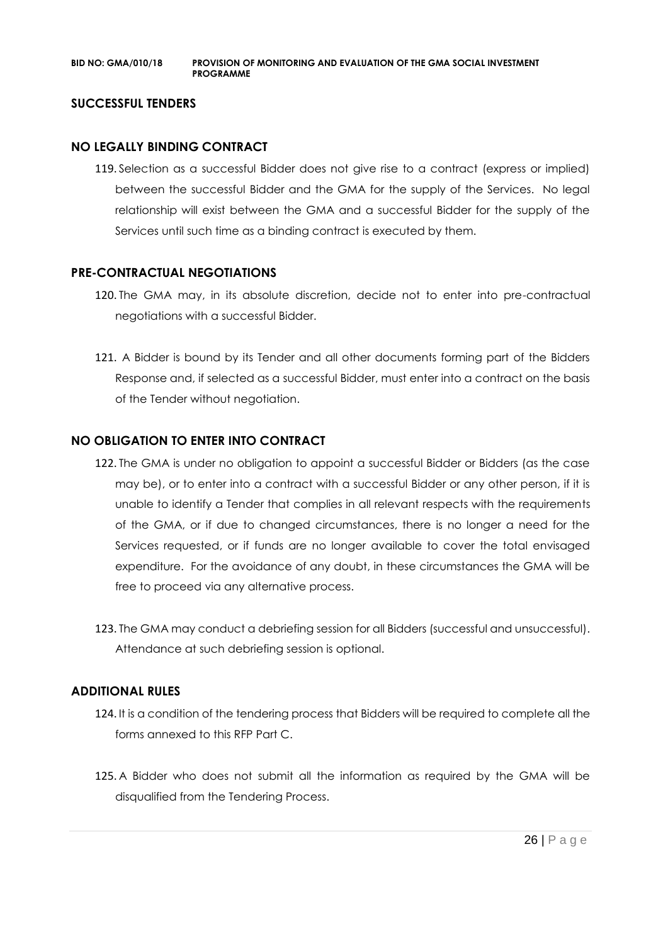#### **SUCCESSFUL TENDERS**

#### **NO LEGALLY BINDING CONTRACT**

119. Selection as a successful Bidder does not give rise to a contract (express or implied) between the successful Bidder and the GMA for the supply of the Services. No legal relationship will exist between the GMA and a successful Bidder for the supply of the Services until such time as a binding contract is executed by them.

#### **PRE-CONTRACTUAL NEGOTIATIONS**

- 120. The GMA may, in its absolute discretion, decide not to enter into pre-contractual negotiations with a successful Bidder.
- 121. A Bidder is bound by its Tender and all other documents forming part of the Bidders Response and, if selected as a successful Bidder, must enter into a contract on the basis of the Tender without negotiation.

#### **NO OBLIGATION TO ENTER INTO CONTRACT**

- 122. The GMA is under no obligation to appoint a successful Bidder or Bidders (as the case may be), or to enter into a contract with a successful Bidder or any other person, if it is unable to identify a Tender that complies in all relevant respects with the requirements of the GMA, or if due to changed circumstances, there is no longer a need for the Services requested, or if funds are no longer available to cover the total envisaged expenditure. For the avoidance of any doubt, in these circumstances the GMA will be free to proceed via any alternative process.
- 123. The GMA may conduct a debriefing session for all Bidders (successful and unsuccessful). Attendance at such debriefing session is optional.

#### **ADDITIONAL RULES**

- 124. It is a condition of the tendering process that Bidders will be required to complete all the forms annexed to this RFP Part C.
- 125. A Bidder who does not submit all the information as required by the GMA will be disqualified from the Tendering Process.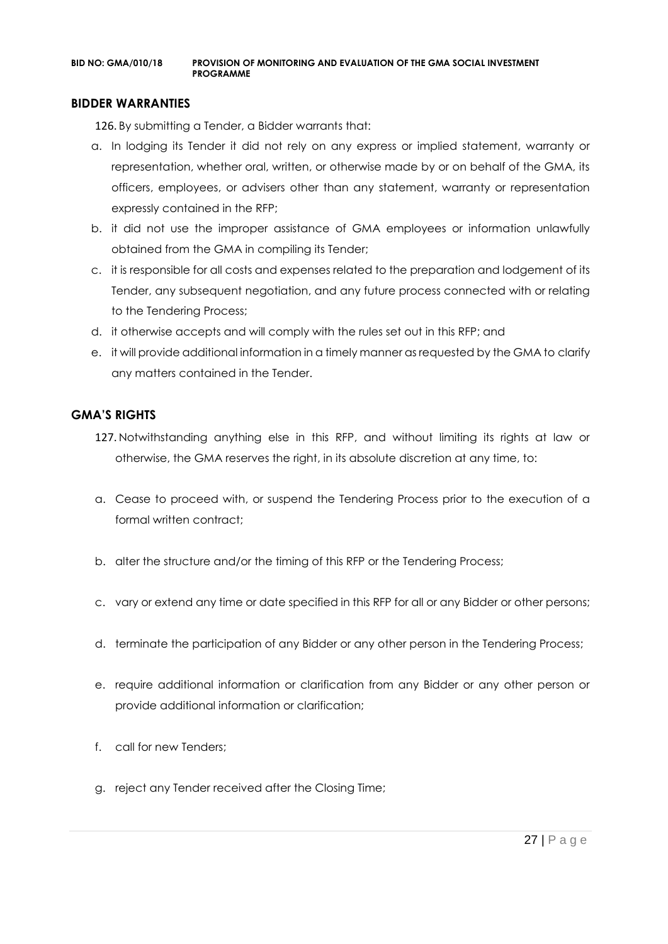#### **BIDDER WARRANTIES**

126. By submitting a Tender, a Bidder warrants that:

- a. In lodging its Tender it did not rely on any express or implied statement, warranty or representation, whether oral, written, or otherwise made by or on behalf of the GMA, its officers, employees, or advisers other than any statement, warranty or representation expressly contained in the RFP;
- b. it did not use the improper assistance of GMA employees or information unlawfully obtained from the GMA in compiling its Tender;
- c. it is responsible for all costs and expenses related to the preparation and lodgement of its Tender, any subsequent negotiation, and any future process connected with or relating to the Tendering Process;
- d. it otherwise accepts and will comply with the rules set out in this RFP; and
- e. it will provide additional information in a timely manner as requested by the GMA to clarify any matters contained in the Tender.

#### **GMA'S RIGHTS**

- 127. Notwithstanding anything else in this RFP, and without limiting its rights at law or otherwise, the GMA reserves the right, in its absolute discretion at any time, to:
- a. Cease to proceed with, or suspend the Tendering Process prior to the execution of a formal written contract:
- b. alter the structure and/or the timing of this RFP or the Tendering Process;
- c. vary or extend any time or date specified in this RFP for all or any Bidder or other persons;
- d. terminate the participation of any Bidder or any other person in the Tendering Process;
- e. require additional information or clarification from any Bidder or any other person or provide additional information or clarification;
- f. call for new Tenders;
- g. reject any Tender received after the Closing Time;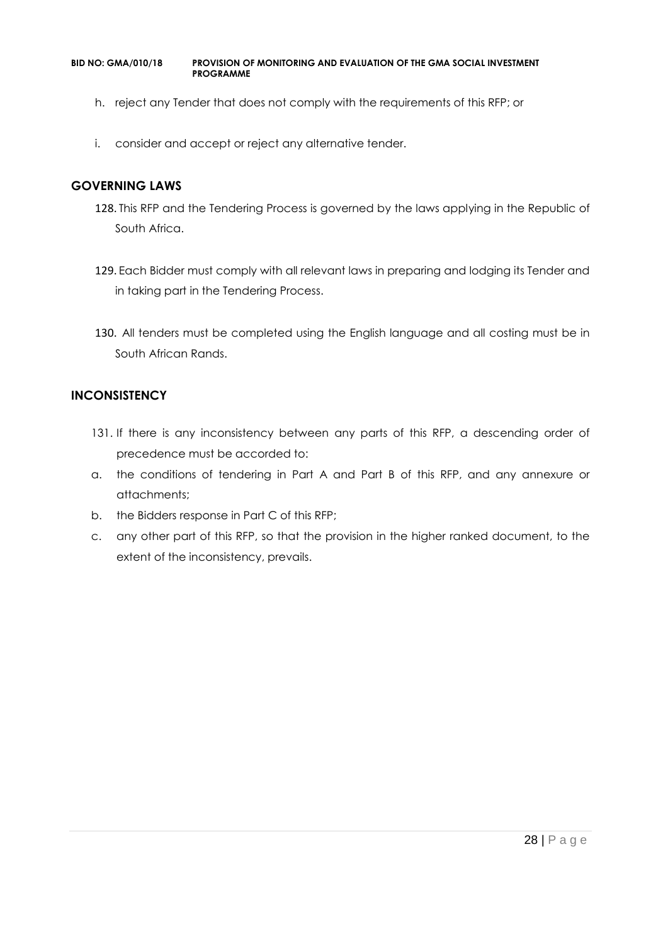- h. reject any Tender that does not comply with the requirements of this RFP; or
- i. consider and accept or reject any alternative tender.

#### **GOVERNING LAWS**

- 128. This RFP and the Tendering Process is governed by the laws applying in the Republic of South Africa.
- 129. Each Bidder must comply with all relevant laws in preparing and lodging its Tender and in taking part in the Tendering Process.
- 130. All tenders must be completed using the English language and all costing must be in South African Rands.

#### **INCONSISTENCY**

- 131. If there is any inconsistency between any parts of this RFP, a descending order of precedence must be accorded to:
- a. the conditions of tendering in Part A and Part B of this RFP, and any annexure or attachments;
- b. the Bidders response in Part C of this RFP;
- c. any other part of this RFP, so that the provision in the higher ranked document, to the extent of the inconsistency, prevails.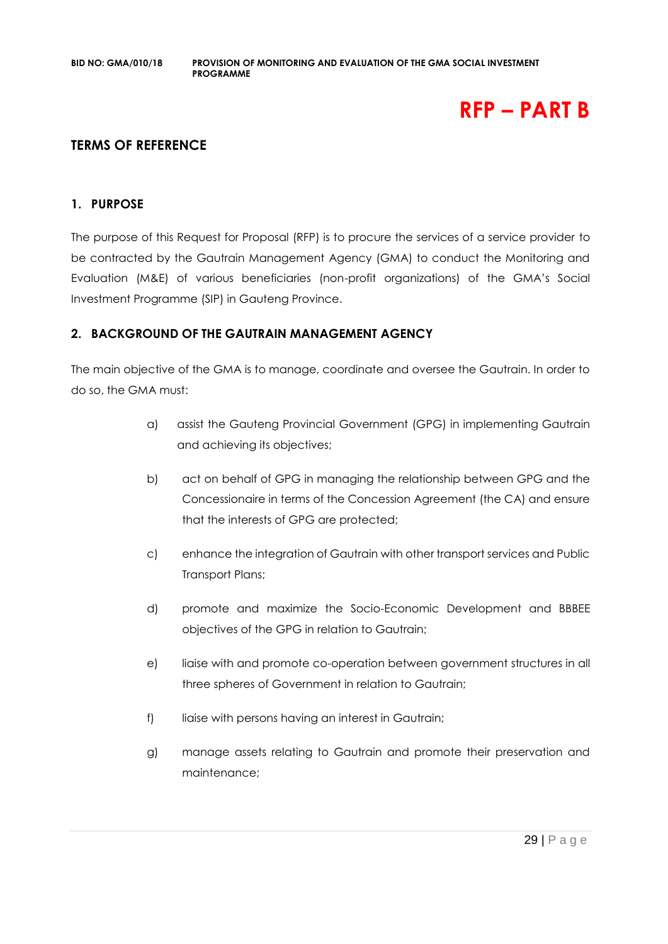## **RFP – PART B**

## **TERMS OF REFERENCE**

#### **1. PURPOSE**

The purpose of this Request for Proposal (RFP) is to procure the services of a service provider to be contracted by the Gautrain Management Agency (GMA) to conduct the Monitoring and Evaluation (M&E) of various beneficiaries (non-profit organizations) of the GMA's Social Investment Programme (SIP) in Gauteng Province.

#### **2. BACKGROUND OF THE GAUTRAIN MANAGEMENT AGENCY**

The main objective of the GMA is to manage, coordinate and oversee the Gautrain. In order to do so, the GMA must:

- a) assist the Gauteng Provincial Government (GPG) in implementing Gautrain and achieving its objectives;
- b) act on behalf of GPG in managing the relationship between GPG and the Concessionaire in terms of the Concession Agreement (the CA) and ensure that the interests of GPG are protected;
- c) enhance the integration of Gautrain with other transport services and Public Transport Plans;
- d) promote and maximize the Socio-Economic Development and BBBEE objectives of the GPG in relation to Gautrain;
- e) liaise with and promote co-operation between government structures in all three spheres of Government in relation to Gautrain;
- f) liaise with persons having an interest in Gautrain;
- g) manage assets relating to Gautrain and promote their preservation and maintenance;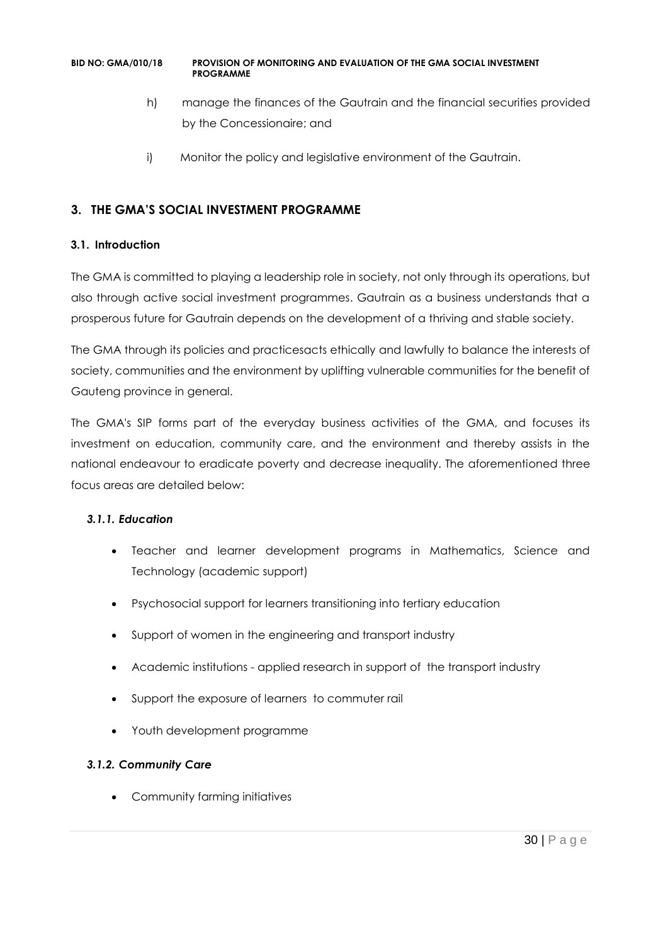- h) manage the finances of the Gautrain and the financial securities provided by the Concessionaire; and
- i) Monitor the policy and legislative environment of the Gautrain.

## **3. THE GMA'S SOCIAL INVESTMENT PROGRAMME**

#### **3.1. Introduction**

The GMA is committed to playing a leadership role in society, not only through its operations, but also through active social investment programmes. Gautrain as a business understands that a prosperous future for Gautrain depends on the development of a thriving and stable society.

The GMA through its policies and practicesacts ethically and lawfully to balance the interests of society, communities and the environment by uplifting vulnerable communities for the benefit of Gauteng province in general.

The GMA's SIP forms part of the everyday business activities of the GMA, and focuses its investment on education, community care, and the environment and thereby assists in the national endeavour to eradicate poverty and decrease inequality. The aforementioned three focus areas are detailed below:

#### *3.1.1. Education*

- Teacher and learner development programs in Mathematics, Science and Technology (academic support)
- Psychosocial support for learners transitioning into tertiary education
- Support of women in the engineering and transport industry
- Academic institutions applied research in support of the transport industry
- Support the exposure of learners to commuter rail
- Youth development programme

## *3.1.2. Community Care*

• Community farming initiatives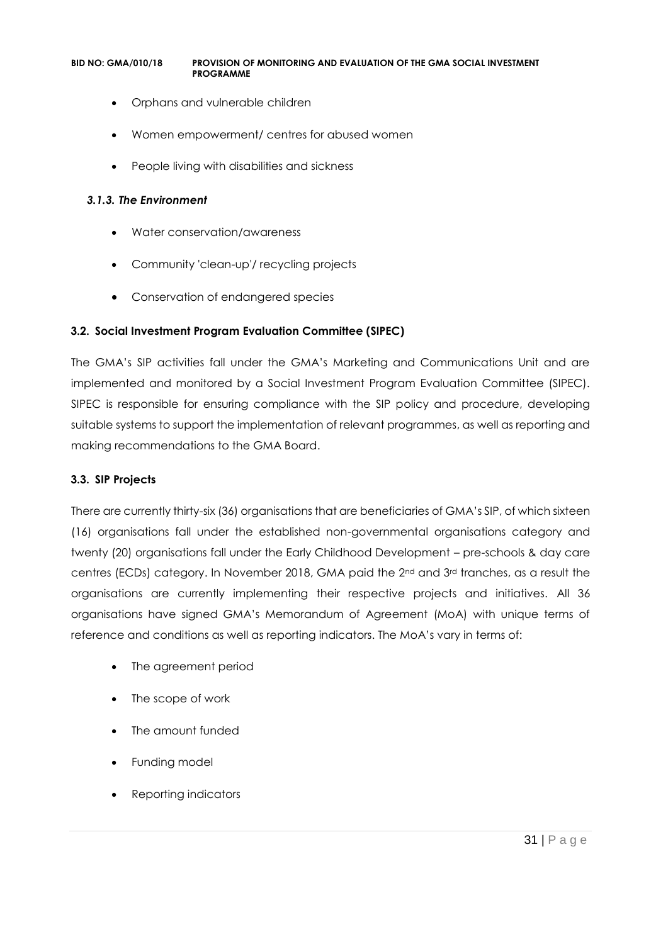- Orphans and vulnerable children
- Women empowerment/ centres for abused women
- People living with disabilities and sickness

#### *3.1.3. The Environment*

- Water conservation/awareness
- Community 'clean-up'/ recycling projects
- Conservation of endangered species

#### **3.2. Social Investment Program Evaluation Committee (SIPEC)**

The GMA's SIP activities fall under the GMA's Marketing and Communications Unit and are implemented and monitored by a Social Investment Program Evaluation Committee (SIPEC). SIPEC is responsible for ensuring compliance with the SIP policy and procedure, developing suitable systems to support the implementation of relevant programmes, as well as reporting and making recommendations to the GMA Board.

#### **3.3. SIP Projects**

There are currently thirty-six (36) organisations that are beneficiaries of GMA's SIP, of which sixteen (16) organisations fall under the established non-governmental organisations category and twenty (20) organisations fall under the Early Childhood Development – pre-schools & day care centres (ECDs) category. In November 2018, GMA paid the 2<sup>nd</sup> and 3<sup>rd</sup> tranches, as a result the organisations are currently implementing their respective projects and initiatives. All 36 organisations have signed GMA's Memorandum of Agreement (MoA) with unique terms of reference and conditions as well as reporting indicators. The MoA's vary in terms of:

- The agreement period
- The scope of work
- The amount funded
- Funding model
- Reporting indicators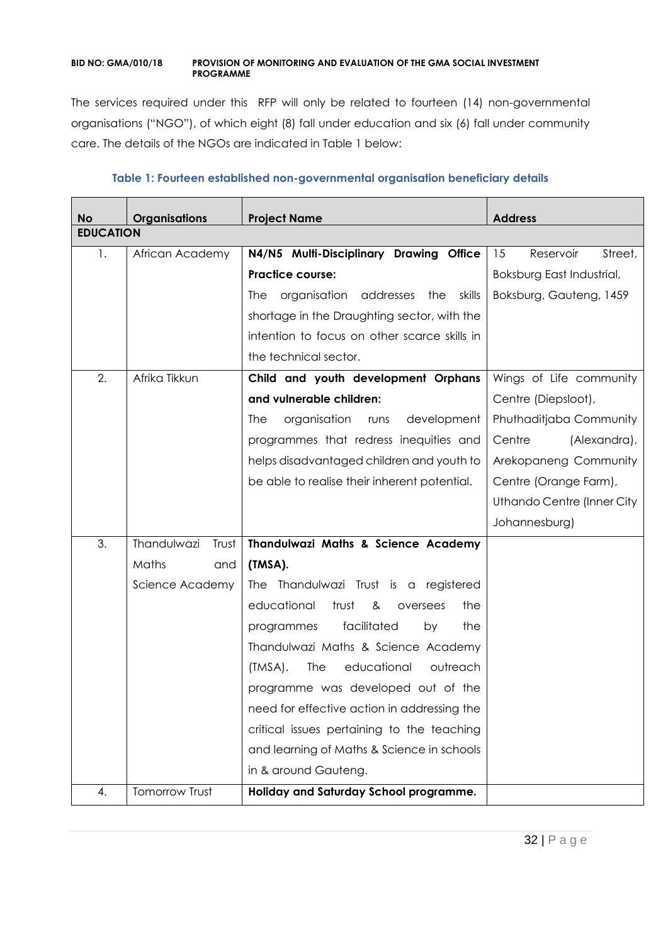The services required under this RFP will only be related to fourteen (14) non-governmental organisations ("NGO"), of which eight (8) fall under education and six (6) fall under community care. The details of the NGOs are indicated in Table 1 below:

| <b>No</b>        | <b>Organisations</b> | <b>Project Name</b>                            | <b>Address</b>             |
|------------------|----------------------|------------------------------------------------|----------------------------|
| <b>EDUCATION</b> |                      |                                                |                            |
| 1.               | African Academy      | N4/N5 Multi-Disciplinary Drawing Office        | 15<br>Reservoir<br>Street, |
|                  |                      | <b>Practice course:</b>                        | Boksburg East Industrial,  |
|                  |                      | organisation addresses<br>the<br>skills<br>The | Boksburg, Gauteng, 1459    |
|                  |                      | shortage in the Draughting sector, with the    |                            |
|                  |                      | intention to focus on other scarce skills in   |                            |
|                  |                      | the technical sector.                          |                            |
| 2.               | Afrika Tikkun        | Child and youth development Orphans            | Wings of Life community    |
|                  |                      | and vulnerable children:                       | Centre (Diepsloot),        |
|                  |                      | organisation<br>development<br>runs<br>The     | Phuthaditjaba Community    |
|                  |                      | programmes that redress inequities and         | Centre<br>(Alexandra),     |
|                  |                      | helps disadvantaged children and youth to      | Arekopaneng Community      |
|                  |                      | be able to realise their inherent potential.   | Centre (Orange Farm),      |
|                  |                      |                                                | Uthando Centre (Inner City |
|                  |                      |                                                | Johannesburg)              |
| 3.               | Thandulwazi<br>Trust | Thandulwazi Maths & Science Academy            |                            |
|                  | Maths<br>and         | (TMSA).                                        |                            |
|                  | Science Academy      | The Thandulwazi Trust is a registered          |                            |
|                  |                      | educational<br>trust<br>the<br>&<br>oversees   |                            |
|                  |                      | facilitated<br>programmes<br>the<br>by         |                            |
|                  |                      | Thandulwazi Maths & Science Academy            |                            |
|                  |                      | educational<br>outreach<br>(TMSA).<br>The      |                            |
|                  |                      | programme was developed out of the             |                            |
|                  |                      | need for effective action in addressing the    |                            |
|                  |                      | critical issues pertaining to the teaching     |                            |
|                  |                      | and learning of Maths & Science in schools     |                            |
|                  |                      | in & around Gauteng.                           |                            |
| 4.               | Tomorrow Trust       | Holiday and Saturday School programme.         |                            |

#### **Table 1: Fourteen established non-governmental organisation beneficiary details**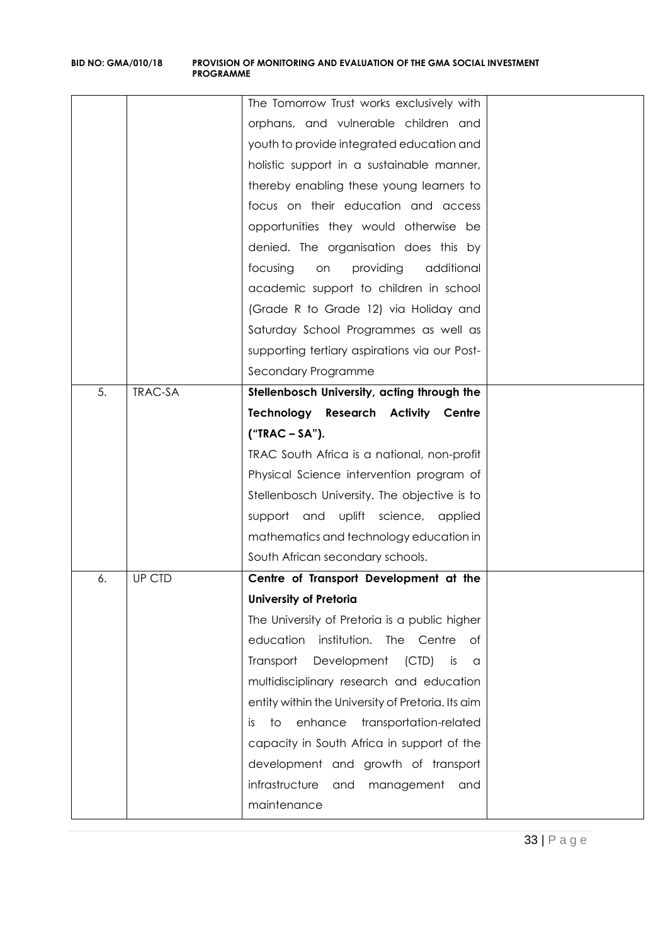|    |                | The Tomorrow Trust works exclusively with         |  |
|----|----------------|---------------------------------------------------|--|
|    |                | orphans, and vulnerable children and              |  |
|    |                | youth to provide integrated education and         |  |
|    |                | holistic support in a sustainable manner,         |  |
|    |                | thereby enabling these young learners to          |  |
|    |                | focus on their education and access               |  |
|    |                | opportunities they would otherwise be             |  |
|    |                | denied. The organisation does this by             |  |
|    |                | additional<br>focusing<br>providing<br>on         |  |
|    |                | academic support to children in school            |  |
|    |                | (Grade R to Grade 12) via Holiday and             |  |
|    |                | Saturday School Programmes as well as             |  |
|    |                | supporting tertiary aspirations via our Post-     |  |
|    |                | Secondary Programme                               |  |
| 5. | <b>TRAC-SA</b> | Stellenbosch University, acting through the       |  |
|    |                | <b>Technology Research Activity Centre</b>        |  |
|    |                | $("TRAC-SA").$                                    |  |
|    |                | TRAC South Africa is a national, non-profit       |  |
|    |                | Physical Science intervention program of          |  |
|    |                | Stellenbosch University. The objective is to      |  |
|    |                | support and uplift science, applied               |  |
|    |                | mathematics and technology education in           |  |
|    |                | South African secondary schools.                  |  |
| 6. | UP CTD         | Centre of Transport Development at the            |  |
|    |                | <b>University of Pretoria</b>                     |  |
|    |                | The University of Pretoria is a public higher     |  |
|    |                | education<br>institution. The Centre<br>Оf        |  |
|    |                | Transport<br>Development<br>(CTD)<br>is<br>a      |  |
|    |                | multidisciplinary research and education          |  |
|    |                | entity within the University of Pretoria. Its aim |  |
|    |                | enhance<br>transportation-related<br>to<br>İS.    |  |
|    |                | capacity in South Africa in support of the        |  |
|    |                | development and growth of transport               |  |
|    |                | infrastructure<br>and<br>management<br>and        |  |
|    |                | maintenance                                       |  |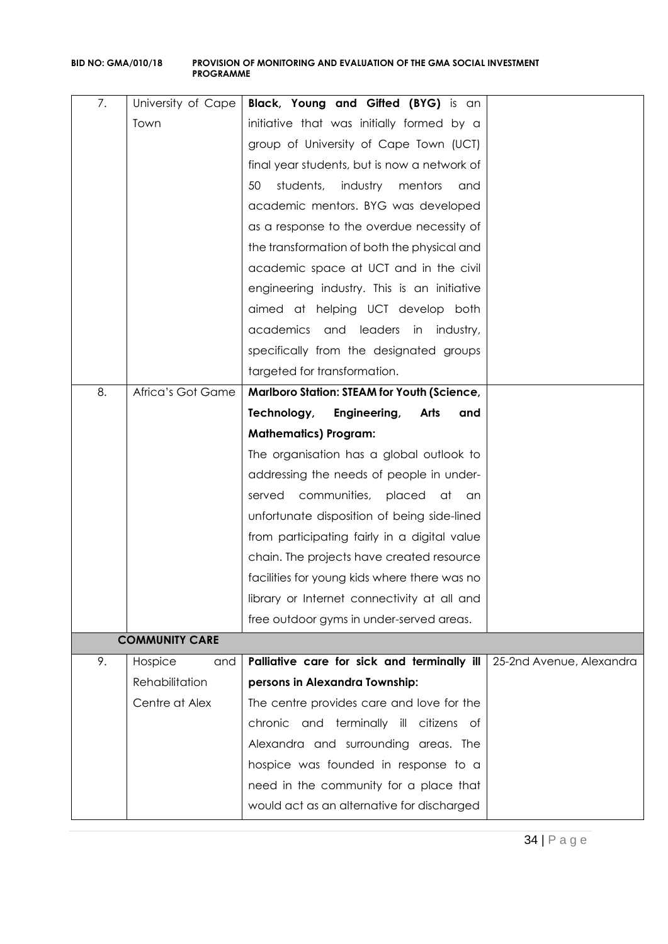| 7.            | University of Cape    | Black, Young and Gifted (BYG) is an             |                          |
|---------------|-----------------------|-------------------------------------------------|--------------------------|
|               |                       |                                                 |                          |
| Town          |                       | initiative that was initially formed by a       |                          |
|               |                       | group of University of Cape Town (UCT)          |                          |
|               |                       | final year students, but is now a network of    |                          |
|               |                       | 50<br>students,<br>industry<br>mentors<br>and   |                          |
|               |                       | academic mentors. BYG was developed             |                          |
|               |                       | as a response to the overdue necessity of       |                          |
|               |                       | the transformation of both the physical and     |                          |
|               |                       | academic space at UCT and in the civil          |                          |
|               |                       | engineering industry. This is an initiative     |                          |
|               |                       | aimed at helping UCT develop both               |                          |
|               |                       | academics and<br>leaders<br>in<br>industry,     |                          |
|               |                       | specifically from the designated groups         |                          |
|               |                       | targeted for transformation.                    |                          |
| 8.            | Africa's Got Game     | Marlboro Station: STEAM for Youth (Science,     |                          |
|               |                       | Technology,<br>Engineering,<br>Arts<br>and      |                          |
|               |                       | <b>Mathematics) Program:</b>                    |                          |
|               |                       | The organisation has a global outlook to        |                          |
|               |                       | addressing the needs of people in under-        |                          |
|               |                       | communities,<br>placed<br>served<br>at<br>an an |                          |
|               |                       | unfortunate disposition of being side-lined     |                          |
|               |                       | from participating fairly in a digital value    |                          |
|               |                       | chain. The projects have created resource       |                          |
|               |                       | facilities for young kids where there was no    |                          |
|               |                       | library or Internet connectivity at all and     |                          |
|               |                       | free outdoor gyms in under-served areas.        |                          |
|               | <b>COMMUNITY CARE</b> |                                                 |                          |
| 9.<br>Hospice | and                   | Palliative care for sick and terminally ill     | 25-2nd Avenue, Alexandra |
|               | Rehabilitation        | persons in Alexandra Township:                  |                          |
|               | Centre at Alex        | The centre provides care and love for the       |                          |
|               |                       | chronic and terminally ill citizens of          |                          |
|               |                       | Alexandra and surrounding areas. The            |                          |
|               |                       | hospice was founded in response to a            |                          |
|               |                       | need in the community for a place that          |                          |
|               |                       | would act as an alternative for discharged      |                          |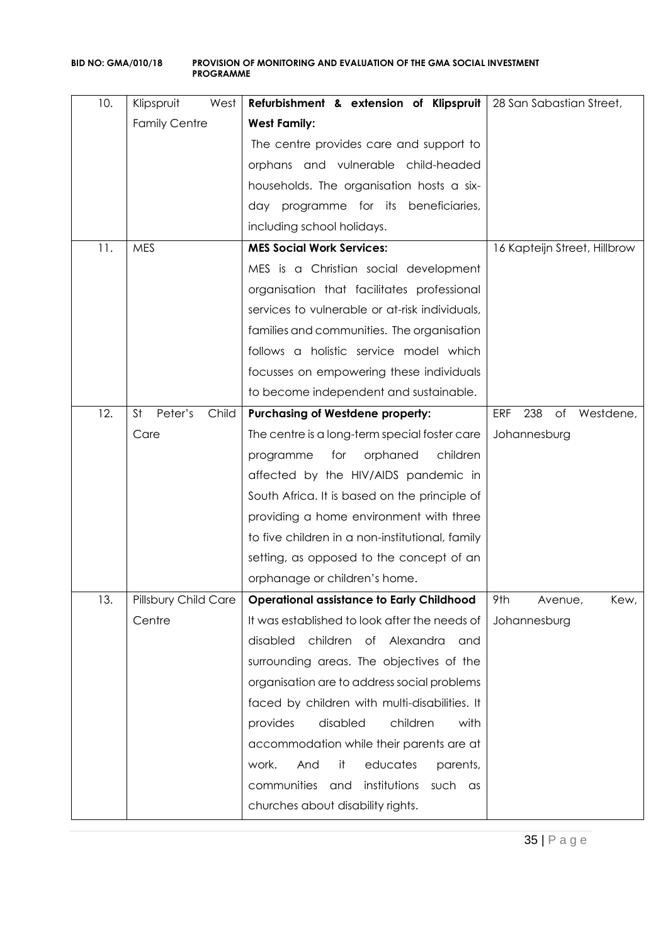| 10. | Klipspruit<br>West            | Refurbishment & extension of Klipspruit                 | 28 San Sabastian Street,             |
|-----|-------------------------------|---------------------------------------------------------|--------------------------------------|
|     | <b>Family Centre</b>          | <b>West Family:</b>                                     |                                      |
|     |                               | The centre provides care and support to                 |                                      |
|     |                               | orphans and vulnerable child-headed                     |                                      |
|     |                               | households. The organisation hosts a six-               |                                      |
|     |                               | day programme for its beneficiaries,                    |                                      |
|     |                               | including school holidays.                              |                                      |
| 11. | <b>MES</b>                    | <b>MES Social Work Services:</b>                        | 16 Kapteijn Street, Hillbrow         |
|     |                               | MES is a Christian social development                   |                                      |
|     |                               | organisation that facilitates professional              |                                      |
|     |                               | services to vulnerable or at-risk individuals,          |                                      |
|     |                               | families and communities. The organisation              |                                      |
|     |                               | follows a holistic service model which                  |                                      |
|     |                               | focusses on empowering these individuals                |                                      |
|     |                               | to become independent and sustainable.                  |                                      |
| 12. | <b>St</b><br>Peter's<br>Child | <b>Purchasing of Westdene property:</b>                 | 238<br><b>ERF</b><br>of<br>Westdene, |
|     | Care                          | The centre is a long-term special foster care           | Johannesburg                         |
|     |                               | orphaned<br>programme<br>for<br>children                |                                      |
|     |                               | affected by the HIV/AIDS pandemic in                    |                                      |
|     |                               | South Africa. It is based on the principle of           |                                      |
|     |                               | providing a home environment with three                 |                                      |
|     |                               | to five children in a non-institutional, family         |                                      |
|     |                               | setting, as opposed to the concept of an                |                                      |
|     |                               | orphanage or children's home.                           |                                      |
| 13. | Pillsbury Child Care          | <b>Operational assistance to Early Childhood</b>        | 9th<br>Kew,<br>Avenue,               |
|     | Centre                        | It was established to look after the needs of           | Johannesburg                         |
|     |                               | children of Alexandra<br>disabled<br>and                |                                      |
|     |                               | surrounding areas. The objectives of the                |                                      |
|     |                               | organisation are to address social problems             |                                      |
|     |                               | faced by children with multi-disabilities. It           |                                      |
|     |                               | disabled<br>children<br>provides<br>with                |                                      |
|     |                               | accommodation while their parents are at                |                                      |
|     |                               | work.<br>it<br>educates<br>parents,<br>And              |                                      |
|     |                               | communities<br>institutions<br>such<br>and<br><b>as</b> |                                      |
|     |                               | churches about disability rights.                       |                                      |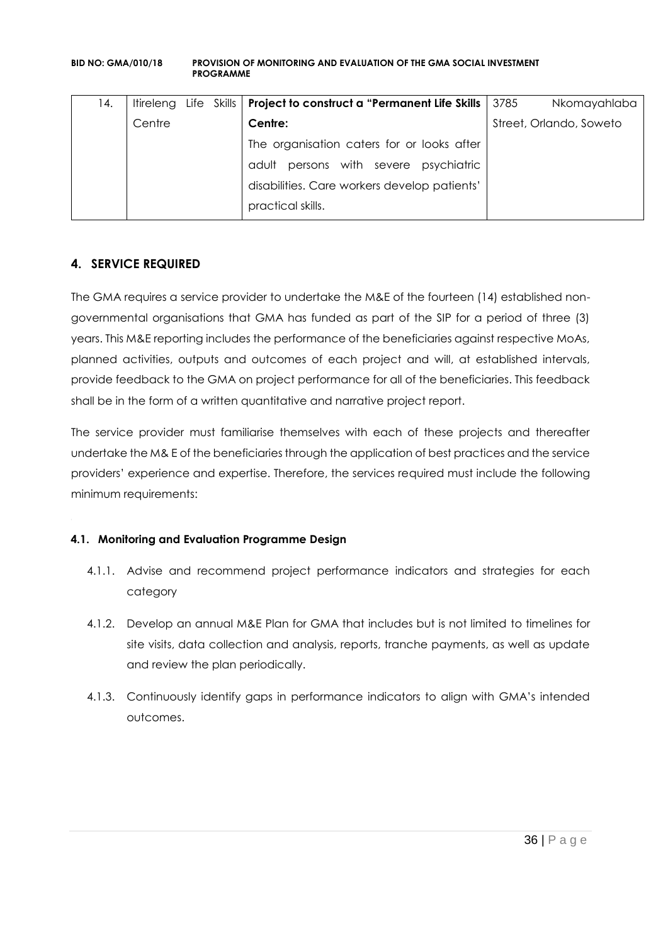| 14. | Itireleng |  | Life Skills   Project to construct a "Permanent Life Skills | 3785 | Nkomayahlaba            |
|-----|-----------|--|-------------------------------------------------------------|------|-------------------------|
|     | Centre    |  | Centre:                                                     |      | Street, Orlando, Soweto |
|     |           |  | The organisation caters for or looks after                  |      |                         |
|     |           |  | persons with severe<br>psychiatric<br>adult                 |      |                         |
|     |           |  | disabilities. Care workers develop patients'                |      |                         |
|     |           |  | practical skills.                                           |      |                         |

## **4. SERVICE REQUIRED**

The GMA requires a service provider to undertake the M&E of the fourteen (14) established nongovernmental organisations that GMA has funded as part of the SIP for a period of three (3) years. This M&E reporting includes the performance of the beneficiaries against respective MoAs, planned activities, outputs and outcomes of each project and will, at established intervals, provide feedback to the GMA on project performance for all of the beneficiaries. This feedback shall be in the form of a written quantitative and narrative project report.

The service provider must familiarise themselves with each of these projects and thereafter undertake the M& E of the beneficiaries through the application of best practices and the service providers' experience and expertise. Therefore, the services required must include the following minimum requirements:

## **4.1. Monitoring and Evaluation Programme Design**

- 4.1.1. Advise and recommend project performance indicators and strategies for each category
- 4.1.2. Develop an annual M&E Plan for GMA that includes but is not limited to timelines for site visits, data collection and analysis, reports, tranche payments, as well as update and review the plan periodically.
- 4.1.3. Continuously identify gaps in performance indicators to align with GMA's intended outcomes.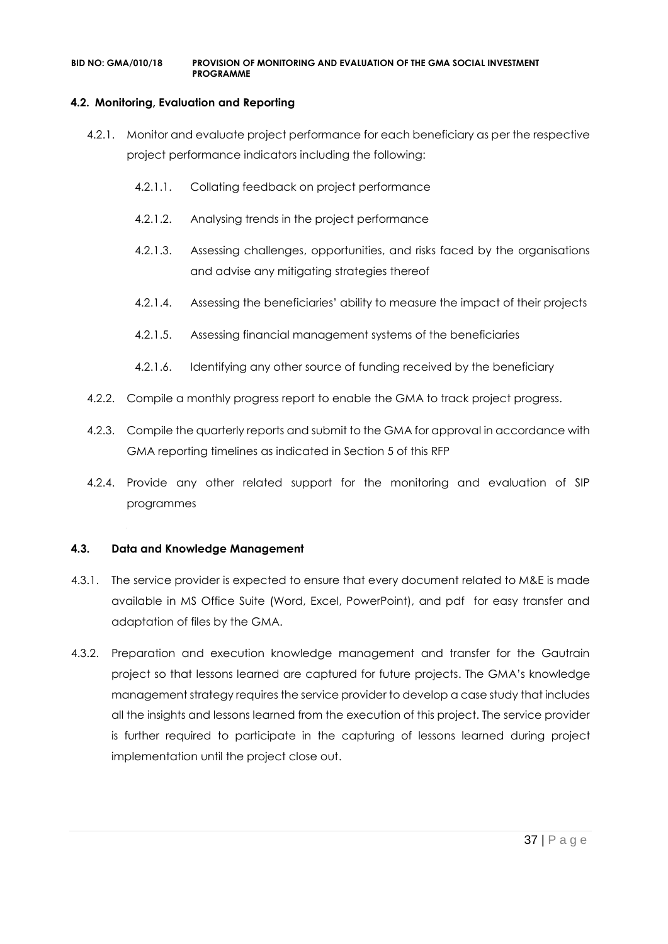### **4.2. Monitoring, Evaluation and Reporting**

- 4.2.1. Monitor and evaluate project performance for each beneficiary as per the respective project performance indicators including the following:
	- 4.2.1.1. Collating feedback on project performance
	- 4.2.1.2. Analysing trends in the project performance
	- 4.2.1.3. Assessing challenges, opportunities, and risks faced by the organisations and advise any mitigating strategies thereof
	- 4.2.1.4. Assessing the beneficiaries' ability to measure the impact of their projects
	- 4.2.1.5. Assessing financial management systems of the beneficiaries
	- 4.2.1.6. Identifying any other source of funding received by the beneficiary
- 4.2.2. Compile a monthly progress report to enable the GMA to track project progress.
- 4.2.3. Compile the quarterly reports and submit to the GMA for approval in accordance with GMA reporting timelines as indicated in Section 5 of this RFP
- 4.2.4. Provide any other related support for the monitoring and evaluation of SIP programmes

#### **4.3. Data and Knowledge Management**

- 4.3.1. The service provider is expected to ensure that every document related to M&E is made available in MS Office Suite (Word, Excel, PowerPoint), and pdf for easy transfer and adaptation of files by the GMA.
- 4.3.2. Preparation and execution knowledge management and transfer for the Gautrain project so that lessons learned are captured for future projects. The GMA's knowledge management strategy requires the service provider to develop a case study that includes all the insights and lessons learned from the execution of this project. The service provider is further required to participate in the capturing of lessons learned during project implementation until the project close out.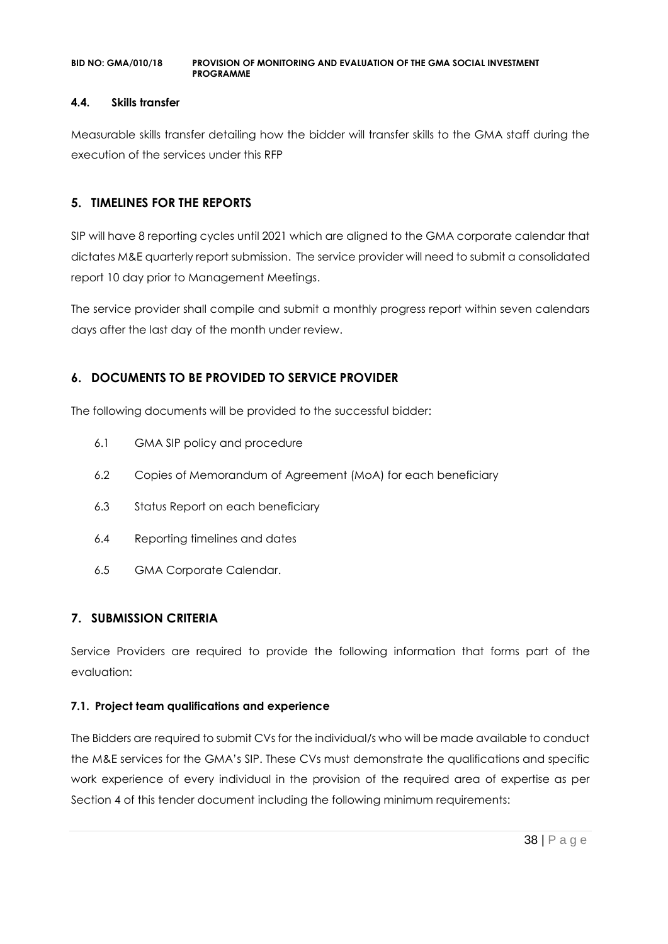#### **4.4. Skills transfer**

Measurable skills transfer detailing how the bidder will transfer skills to the GMA staff during the execution of the services under this RFP

### **5. TIMELINES FOR THE REPORTS**

SIP will have 8 reporting cycles until 2021 which are aligned to the GMA corporate calendar that dictates M&E quarterly report submission. The service provider will need to submit a consolidated report 10 day prior to Management Meetings.

The service provider shall compile and submit a monthly progress report within seven calendars days after the last day of the month under review.

### **6. DOCUMENTS TO BE PROVIDED TO SERVICE PROVIDER**

The following documents will be provided to the successful bidder:

- 6.1 GMA SIP policy and procedure
- 6.2 Copies of Memorandum of Agreement (MoA) for each beneficiary
- 6.3 Status Report on each beneficiary
- 6.4 Reporting timelines and dates
- 6.5 GMA Corporate Calendar.

### **7. SUBMISSION CRITERIA**

Service Providers are required to provide the following information that forms part of the evaluation:

### **7.1. Project team qualifications and experience**

The Bidders are required to submit CVs for the individual/s who will be made available to conduct the M&E services for the GMA's SIP. These CVs must demonstrate the qualifications and specific work experience of every individual in the provision of the required area of expertise as per Section 4 of this tender document including the following minimum requirements: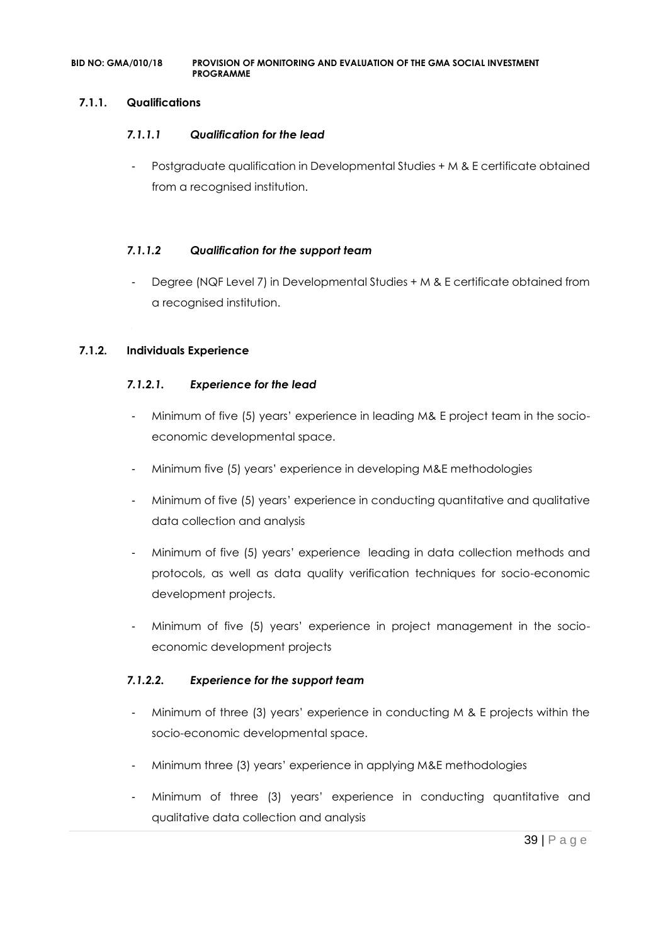### **7.1.1. Qualifications**

#### *7.1.1.1 Qualification for the lead*

- Postgraduate qualification in Developmental Studies + M & E certificate obtained from a recognised institution.

#### *7.1.1.2 Qualification for the support team*

Degree (NQF Level 7) in Developmental Studies + M & E certificate obtained from a recognised institution.

#### **7.1.2. Individuals Experience**

#### *7.1.2.1. Experience for the lead*

- Minimum of five (5) years' experience in leading M& E project team in the socioeconomic developmental space.
- Minimum five (5) years' experience in developing M&E methodologies
- Minimum of five (5) years' experience in conducting quantitative and qualitative data collection and analysis
- Minimum of five (5) years' experience leading in data collection methods and protocols, as well as data quality verification techniques for socio-economic development projects.
- Minimum of five (5) years' experience in project management in the socioeconomic development projects

### *7.1.2.2. Experience for the support team*

- Minimum of three (3) years' experience in conducting M & E projects within the socio-economic developmental space.
- Minimum three (3) years' experience in applying M&E methodologies
- Minimum of three (3) years' experience in conducting quantitative and qualitative data collection and analysis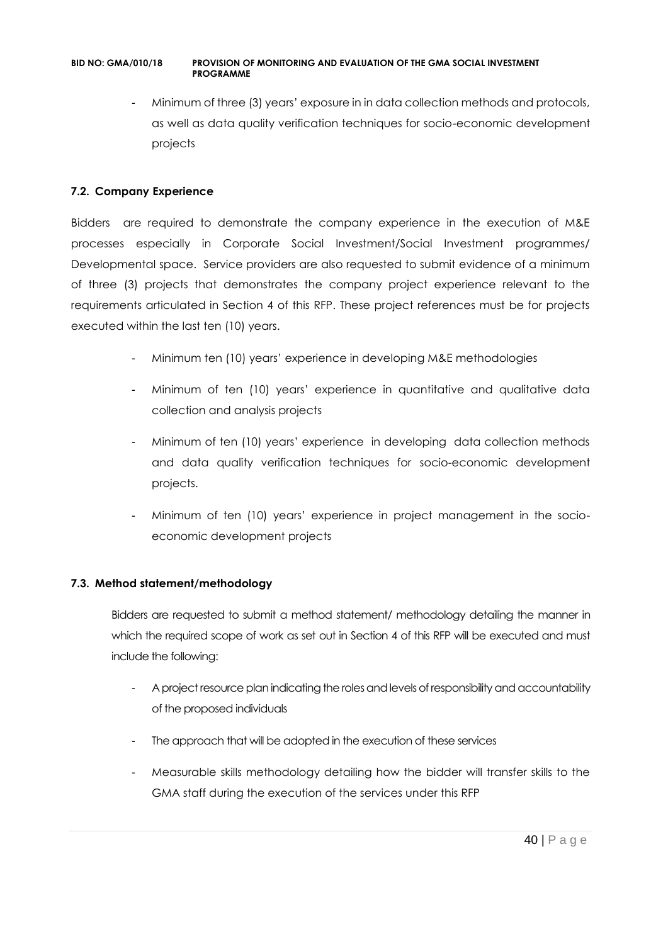Minimum of three (3) years' exposure in in data collection methods and protocols, as well as data quality verification techniques for socio-economic development projects

### **7.2. Company Experience**

Bidders are required to demonstrate the company experience in the execution of M&E processes especially in Corporate Social Investment/Social Investment programmes/ Developmental space. Service providers are also requested to submit evidence of a minimum of three (3) projects that demonstrates the company project experience relevant to the requirements articulated in Section 4 of this RFP. These project references must be for projects executed within the last ten (10) years.

- Minimum ten (10) years' experience in developing M&E methodologies
- Minimum of ten (10) years' experience in quantitative and qualitative data collection and analysis projects
- Minimum of ten (10) years' experience in developing data collection methods and data quality verification techniques for socio-economic development projects.
- Minimum of ten (10) years' experience in project management in the socioeconomic development projects

### **7.3. Method statement/methodology**

Bidders are requested to submit a method statement/ methodology detailing the manner in which the required scope of work as set out in Section 4 of this RFP will be executed and must include the following:

- A project resource plan indicating the roles and levels of responsibility and accountability of the proposed individuals
- The approach that will be adopted in the execution of these services
- Measurable skills methodology detailing how the bidder will transfer skills to the GMA staff during the execution of the services under this RFP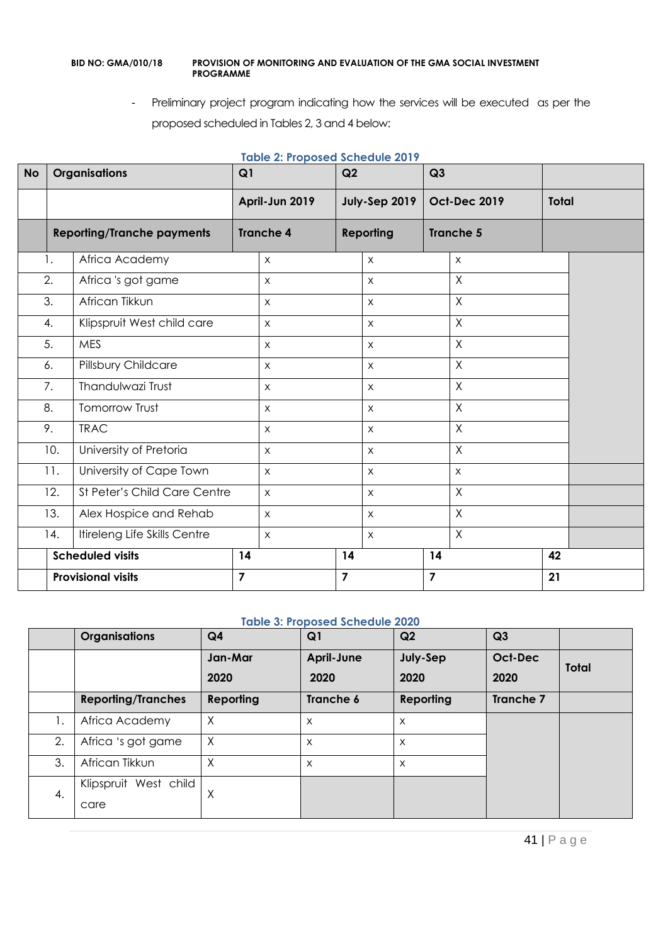- Preliminary project program indicating how the services will be executed as per the proposed scheduled in Tables 2, 3 and 4 below:

| <b>No</b> | <b>Organisations</b> |                                   | Q1             | Q2               |                | Q3               |                |                     |              |  |
|-----------|----------------------|-----------------------------------|----------------|------------------|----------------|------------------|----------------|---------------------|--------------|--|
|           |                      |                                   |                | April-Jun 2019   |                | July-Sep 2019    |                | <b>Oct-Dec 2019</b> | <b>Total</b> |  |
|           |                      | <b>Reporting/Tranche payments</b> |                | <b>Tranche 4</b> |                | <b>Reporting</b> |                | <b>Tranche 5</b>    |              |  |
|           | 1.                   | Africa Academy                    |                | $\mathsf{X}$     |                | $\pmb{\times}$   |                | $\pmb{\times}$      |              |  |
|           | 2.                   | Africa 's got game                |                | $\mathsf{X}$     |                | $\pmb{\times}$   |                | $\mathsf{X}$        |              |  |
|           | 3.                   | African Tikkun                    |                | $\mathsf{X}$     |                | X                |                | $\times$            |              |  |
|           | 4.                   | Klipspruit West child care        |                | $\mathsf{X}$     |                | $\mathsf{X}$     |                | $\sf X$             |              |  |
|           | 5.                   | <b>MES</b>                        |                | $\pmb{\times}$   |                | $\mathsf X$      |                | $\times$            |              |  |
|           | 6.                   | Pillsbury Childcare               |                | $\mathsf{X}$     |                | $\mathsf{X}$     |                | $\times$            |              |  |
|           | 7.                   | Thandulwazi Trust                 |                | $\pmb{\times}$   |                | $\mathsf X$      |                | $\times$            |              |  |
|           | 8.                   | Tomorrow Trust                    |                | $\mathsf{X}$     |                | $\mathsf X$      |                | $\times$            |              |  |
|           | 9.                   | <b>TRAC</b>                       |                | X                |                | X                |                | $\times$            |              |  |
|           | 10.                  | University of Pretoria            |                | $\mathsf{X}$     |                | $\mathsf{X}$     |                | $\sf X$             |              |  |
|           | 11.                  | University of Cape Town           |                | $\mathsf X$      |                | $\mathsf X$      |                | $\pmb{\times}$      |              |  |
|           | 12.                  | St Peter's Child Care Centre      |                | $\mathsf{x}$     |                | $\mathsf X$      |                | $\sf X$             |              |  |
|           | 13.                  | Alex Hospice and Rehab            |                | $\pmb{\times}$   |                | $\mathsf{X}$     |                | $\times$            |              |  |
|           | 14.                  | Itireleng Life Skills Centre      |                | $\pmb{\times}$   |                | X                |                | $\times$            |              |  |
|           |                      | <b>Scheduled visits</b>           | 14             |                  | 14             |                  | 14             |                     | 42           |  |
|           |                      | <b>Provisional visits</b>         | $\overline{7}$ |                  | $\overline{7}$ |                  | $\overline{7}$ |                     | 21           |  |

### **Table 2: Proposed Schedule 2019**

### **Table 3: Proposed Schedule 2020**

|    | <b>Organisations</b>          | Q <sub>4</sub>  | Q <sub>1</sub>            | Q <sub>2</sub>   | Q <sub>3</sub>  |              |
|----|-------------------------------|-----------------|---------------------------|------------------|-----------------|--------------|
|    |                               | Jan-Mar<br>2020 | <b>April-June</b><br>2020 | July-Sep<br>2020 | Oct-Dec<br>2020 | <b>Total</b> |
|    | <b>Reporting/Tranches</b>     | Reporting       | Tranche 6                 | Reporting        | Tranche 7       |              |
| 1. | Africa Academy                | Χ               | X                         | X                |                 |              |
| 2. | Africa 's got game            | X               | X                         | X                |                 |              |
| 3. | African Tikkun                | X               | X                         | X                |                 |              |
| 4. | Klipspruit West child<br>care | X               |                           |                  |                 |              |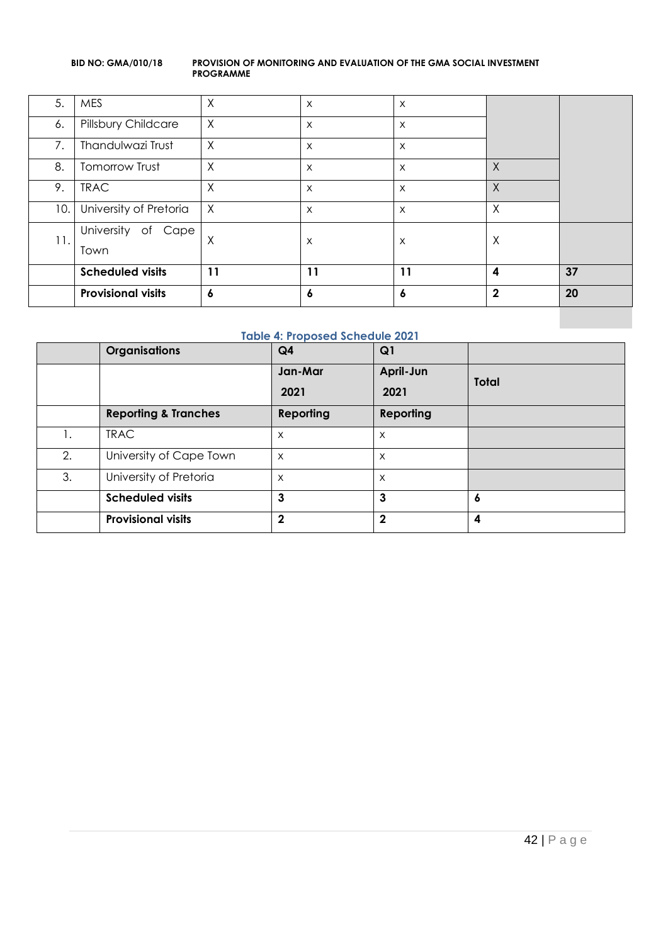|     | <b>Provisional visits</b> | 6            | 6        | 6            | $\overline{2}$   | 20 |
|-----|---------------------------|--------------|----------|--------------|------------------|----|
|     | <b>Scheduled visits</b>   | 11           | 11       | 11           | $\boldsymbol{4}$ | 37 |
|     | Town                      |              |          |              |                  |    |
| 11. | University of<br>Cape     | X            | X        | Χ            | X                |    |
| 10. | University of Pretoria    | $\mathsf{X}$ | $\times$ | $\times$     | $\times$         |    |
| 9.  | <b>TRAC</b>               | $\sf X$      | $\times$ | X            | $\chi$           |    |
| 8.  | Tomorrow Trust            | $\times$     | $\times$ | $\times$     | $\sf X$          |    |
| 7.  | Thandulwazi Trust         | $\times$     | $\times$ | $\times$     |                  |    |
| 6.  | Pillsbury Childcare       | $\times$     | $\times$ | $\mathsf{X}$ |                  |    |
| 5.  | <b>MES</b>                | X            | $\times$ | $\times$     |                  |    |

#### **Table 4: Proposed Schedule 2021**

|    | <b>Organisations</b>            | Q <sub>4</sub> | Q1           |              |
|----|---------------------------------|----------------|--------------|--------------|
|    |                                 | Jan-Mar        | April-Jun    | <b>Total</b> |
|    |                                 | 2021           | 2021         |              |
|    | <b>Reporting &amp; Tranches</b> | Reporting      | Reporting    |              |
| Ι. | <b>TRAC</b>                     | X              | X            |              |
| 2. | University of Cape Town         | $\times$       | $\times$     |              |
| 3. | University of Pretoria          | X              | X            |              |
|    | <b>Scheduled visits</b>         | 3              | 3            | 6            |
|    | <b>Provisional visits</b>       | $\mathbf{2}$   | $\mathbf{2}$ | 4            |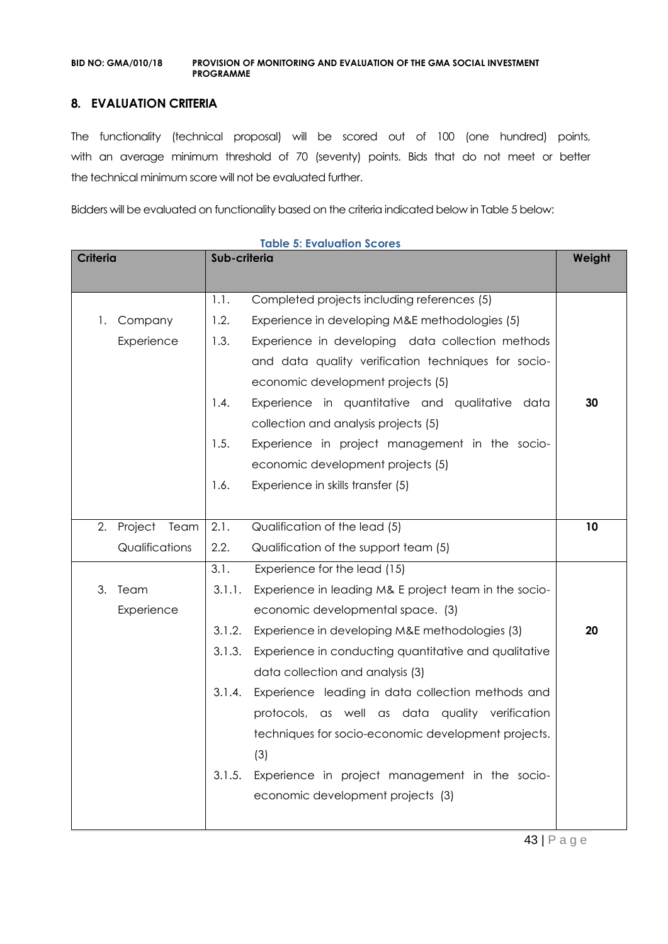### **8. EVALUATION CRITERIA**

The functionality (technical proposal) will be scored out of 100 (one hundred) points, with an average minimum threshold of 70 (seventy) points. Bids that do not meet or better the technical minimum score will not be evaluated further.

Bidders will be evaluated on functionality based on the criteria indicated below in Table 5 below:

| <b>Criteria</b> |                 | Sub-criteria | Weight                                                |    |
|-----------------|-----------------|--------------|-------------------------------------------------------|----|
|                 |                 |              |                                                       |    |
|                 |                 | 1.1.         | Completed projects including references (5)           |    |
| 1.              | Company         | 1.2.         | Experience in developing M&E methodologies (5)        |    |
|                 | Experience      | 1.3.         | Experience in developing data collection methods      |    |
|                 |                 |              | and data quality verification techniques for socio-   |    |
|                 |                 |              | economic development projects (5)                     |    |
|                 |                 | 1.4.         | Experience in quantitative and qualitative data       | 30 |
|                 |                 |              | collection and analysis projects (5)                  |    |
|                 |                 | 1.5.         | Experience in project management in the socio-        |    |
|                 |                 |              | economic development projects (5)                     |    |
|                 |                 | 1.6.         | Experience in skills transfer (5)                     |    |
|                 |                 |              |                                                       |    |
| 2.              | Project<br>Team | 2.1.         | Qualification of the lead (5)                         | 10 |
|                 | Qualifications  | 2.2.         | Qualification of the support team (5)                 |    |
|                 |                 | 3.1.         | Experience for the lead (15)                          |    |
| 3.              | Team            | 3.1.1.       | Experience in leading M& E project team in the socio- |    |
|                 | Experience      |              | economic developmental space. (3)                     |    |
|                 |                 | 3.1.2.       | Experience in developing M&E methodologies (3)        | 20 |
|                 |                 | 3.1.3.       | Experience in conducting quantitative and qualitative |    |
|                 |                 |              | data collection and analysis (3)                      |    |
|                 |                 | 3.1.4.       | Experience leading in data collection methods and     |    |
|                 |                 |              | protocols, as well as data quality verification       |    |
|                 |                 |              | techniques for socio-economic development projects.   |    |
|                 |                 |              | (3)                                                   |    |
|                 |                 | 3.1.5.       | Experience in project management in the socio-        |    |
|                 |                 |              | economic development projects (3)                     |    |
|                 |                 |              |                                                       |    |

**Table 5: Evaluation Scores**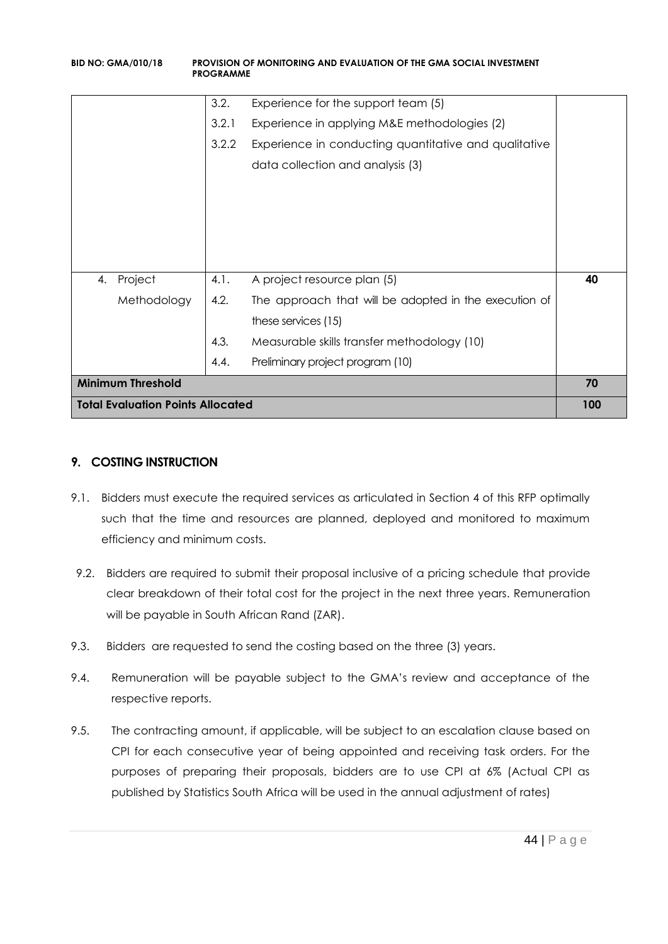|                                          | <b>PROGRAMME</b> |                                                       |    |  |  |
|------------------------------------------|------------------|-------------------------------------------------------|----|--|--|
|                                          | 3.2.             | Experience for the support team (5)                   |    |  |  |
|                                          | 3.2.1            | Experience in applying M&E methodologies (2)          |    |  |  |
|                                          | 3.2.2            | Experience in conducting quantitative and qualitative |    |  |  |
|                                          |                  | data collection and analysis (3)                      |    |  |  |
|                                          |                  |                                                       |    |  |  |
|                                          |                  |                                                       |    |  |  |
|                                          |                  |                                                       |    |  |  |
|                                          |                  |                                                       |    |  |  |
| Project<br>4.                            | 4.1.             | A project resource plan (5)                           | 40 |  |  |
| Methodology                              | 4.2.             | The approach that will be adopted in the execution of |    |  |  |
|                                          |                  | these services (15)                                   |    |  |  |
|                                          | 4.3.             | Measurable skills transfer methodology (10)           |    |  |  |
|                                          | 4.4.             | Preliminary project program (10)                      |    |  |  |
| <b>Minimum Threshold</b>                 |                  |                                                       |    |  |  |
| <b>Total Evaluation Points Allocated</b> |                  |                                                       |    |  |  |

### **9. COSTING INSTRUCTION**

- 9.1. Bidders must execute the required services as articulated in Section 4 of this RFP optimally such that the time and resources are planned, deployed and monitored to maximum efficiency and minimum costs.
- 9.2. Bidders are required to submit their proposal inclusive of a pricing schedule that provide clear breakdown of their total cost for the project in the next three years. Remuneration will be payable in South African Rand (ZAR).
- 9.3. Bidders are requested to send the costing based on the three (3) years.
- 9.4. Remuneration will be payable subject to the GMA's review and acceptance of the respective reports.
- 9.5. The contracting amount, if applicable, will be subject to an escalation clause based on CPI for each consecutive year of being appointed and receiving task orders. For the purposes of preparing their proposals, bidders are to use CPI at 6% (Actual CPI as published by Statistics South Africa will be used in the annual adjustment of rates)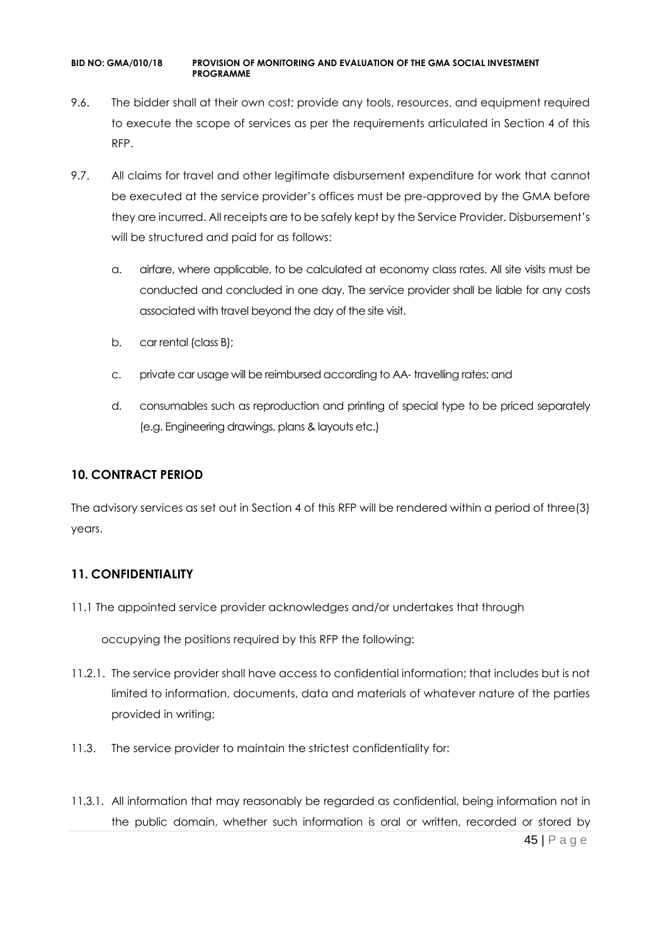- 9.6. The bidder shall at their own cost; provide any tools, resources, and equipment required to execute the scope of services as per the requirements articulated in Section 4 of this RFP.
- 9.7. All claims for travel and other legitimate disbursement expenditure for work that cannot be executed at the service provider's offices must be pre-approved by the GMA before they are incurred. All receipts are to be safely kept by the Service Provider. Disbursement's will be structured and paid for as follows:
	- a. airfare, where applicable, to be calculated at economy class rates. All site visits must be conducted and concluded in one day. The service provider shall be liable for any costs associated with travel beyond the day of the site visit.
	- b. car rental (class B);
	- c. private car usage will be reimbursed according to AA- travelling rates; and
	- d. consumables such as reproduction and printing of special type to be priced separately (e.g. Engineering drawings, plans & layouts etc.)

### **10. CONTRACT PERIOD**

The advisory services as set out in Section 4 of this RFP will be rendered within a period of three(3) years.

### **11. CONFIDENTIALITY**

11.1 The appointed service provider acknowledges and/or undertakes that through

occupying the positions required by this RFP the following:

- 11.2.1. The service provider shall have access to confidential information; that includes but is not limited to information, documents, data and materials of whatever nature of the parties provided in writing;
- 11.3. The service provider to maintain the strictest confidentiality for:
- 11.3.1. All information that may reasonably be regarded as confidential, being information not in the public domain, whether such information is oral or written, recorded or stored by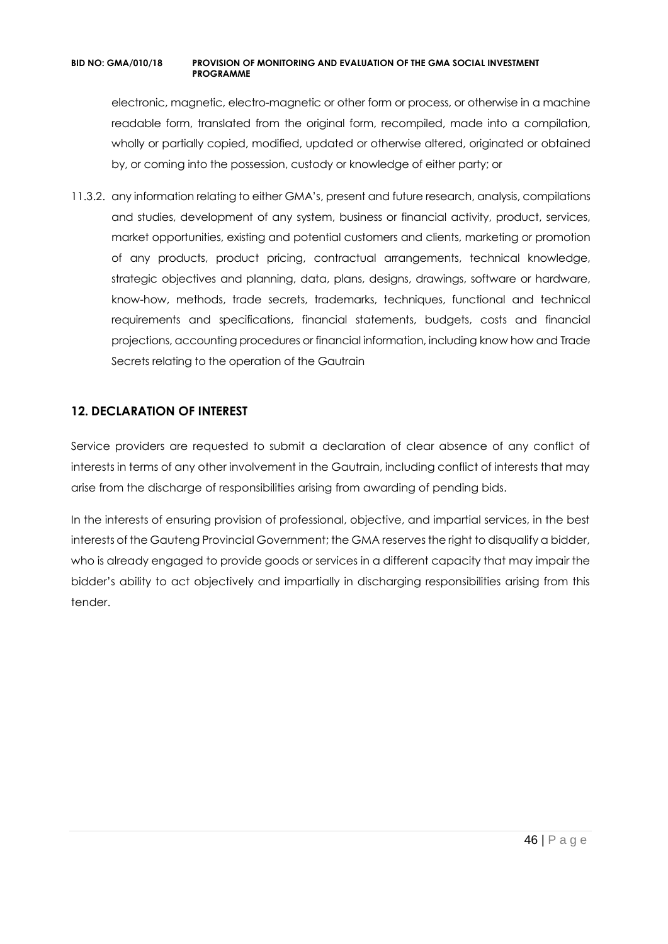electronic, magnetic, electro-magnetic or other form or process, or otherwise in a machine readable form, translated from the original form, recompiled, made into a compilation, wholly or partially copied, modified, updated or otherwise altered, originated or obtained by, or coming into the possession, custody or knowledge of either party; or

11.3.2. any information relating to either GMA's, present and future research, analysis, compilations and studies, development of any system, business or financial activity, product, services, market opportunities, existing and potential customers and clients, marketing or promotion of any products, product pricing, contractual arrangements, technical knowledge, strategic objectives and planning, data, plans, designs, drawings, software or hardware, know-how, methods, trade secrets, trademarks, techniques, functional and technical requirements and specifications, financial statements, budgets, costs and financial projections, accounting procedures or financial information, including know how and Trade Secrets relating to the operation of the Gautrain

### **12. DECLARATION OF INTEREST**

Service providers are requested to submit a declaration of clear absence of any conflict of interests in terms of any other involvement in the Gautrain, including conflict of interests that may arise from the discharge of responsibilities arising from awarding of pending bids.

In the interests of ensuring provision of professional, objective, and impartial services, in the best interests of the Gauteng Provincial Government; the GMA reserves the right to disqualify a bidder, who is already engaged to provide goods or services in a different capacity that may impair the bidder's ability to act objectively and impartially in discharging responsibilities arising from this tender.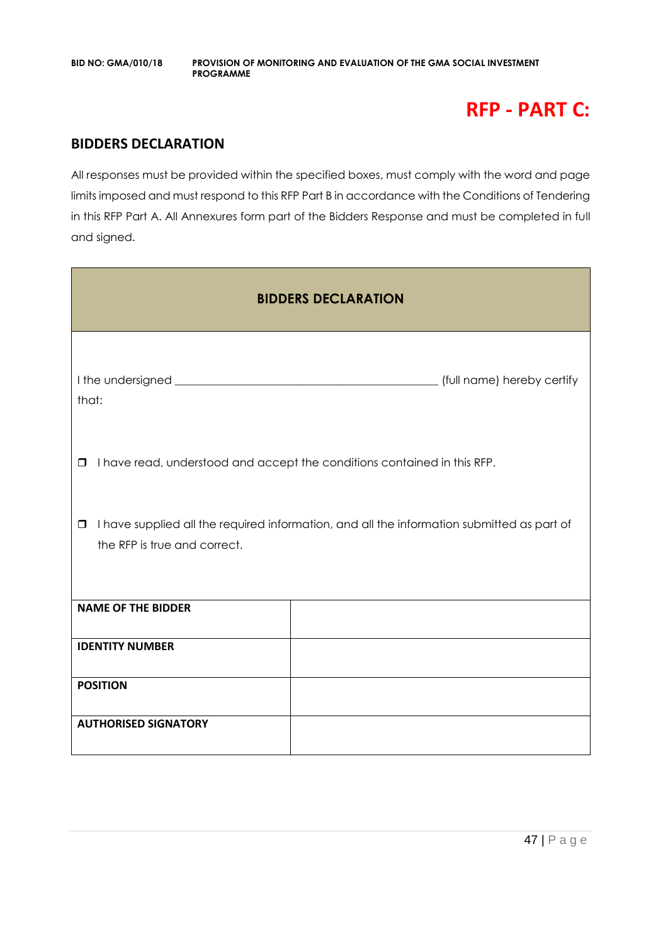# **RFP - PART C:**

### **BIDDERS DECLARATION**

All responses must be provided within the specified boxes, must comply with the word and page limits imposed and must respond to this RFP Part B in accordance with the Conditions of Tendering in this RFP Part A. All Annexures form part of the Bidders Response and must be completed in full and signed.

| <b>BIDDERS DECLARATION</b>                                                                                                           |  |  |  |  |
|--------------------------------------------------------------------------------------------------------------------------------------|--|--|--|--|
| that:                                                                                                                                |  |  |  |  |
| I have read, understood and accept the conditions contained in this RFP.<br>$\Box$                                                   |  |  |  |  |
| I have supplied all the required information, and all the information submitted as part of<br>$\Box$<br>the RFP is true and correct. |  |  |  |  |
| <b>NAME OF THE BIDDER</b>                                                                                                            |  |  |  |  |
| <b>IDENTITY NUMBER</b>                                                                                                               |  |  |  |  |
| <b>POSITION</b>                                                                                                                      |  |  |  |  |
| <b>AUTHORISED SIGNATORY</b>                                                                                                          |  |  |  |  |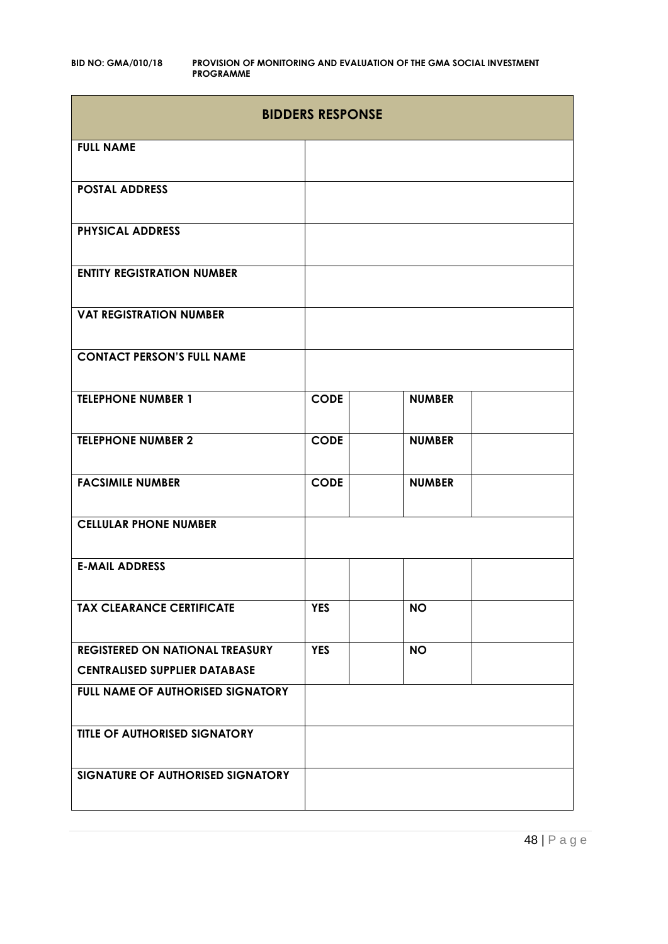|                                        | <b>BIDDERS RESPONSE</b> |               |  |  |  |
|----------------------------------------|-------------------------|---------------|--|--|--|
| <b>FULL NAME</b>                       |                         |               |  |  |  |
| <b>POSTAL ADDRESS</b>                  |                         |               |  |  |  |
| <b>PHYSICAL ADDRESS</b>                |                         |               |  |  |  |
| <b>ENTITY REGISTRATION NUMBER</b>      |                         |               |  |  |  |
| <b>VAT REGISTRATION NUMBER</b>         |                         |               |  |  |  |
| <b>CONTACT PERSON'S FULL NAME</b>      |                         |               |  |  |  |
| <b>TELEPHONE NUMBER 1</b>              | <b>CODE</b>             | <b>NUMBER</b> |  |  |  |
| <b>TELEPHONE NUMBER 2</b>              | <b>CODE</b>             | <b>NUMBER</b> |  |  |  |
| <b>FACSIMILE NUMBER</b>                | <b>CODE</b>             | <b>NUMBER</b> |  |  |  |
| <b>CELLULAR PHONE NUMBER</b>           |                         |               |  |  |  |
| <b>E-MAIL ADDRESS</b>                  |                         |               |  |  |  |
| <b>TAX CLEARANCE CERTIFICATE</b>       | <b>YES</b>              | <b>NO</b>     |  |  |  |
| <b>REGISTERED ON NATIONAL TREASURY</b> | <b>YES</b>              | <b>NO</b>     |  |  |  |
| <b>CENTRALISED SUPPLIER DATABASE</b>   |                         |               |  |  |  |
| FULL NAME OF AUTHORISED SIGNATORY      |                         |               |  |  |  |
| TITLE OF AUTHORISED SIGNATORY          |                         |               |  |  |  |
| SIGNATURE OF AUTHORISED SIGNATORY      |                         |               |  |  |  |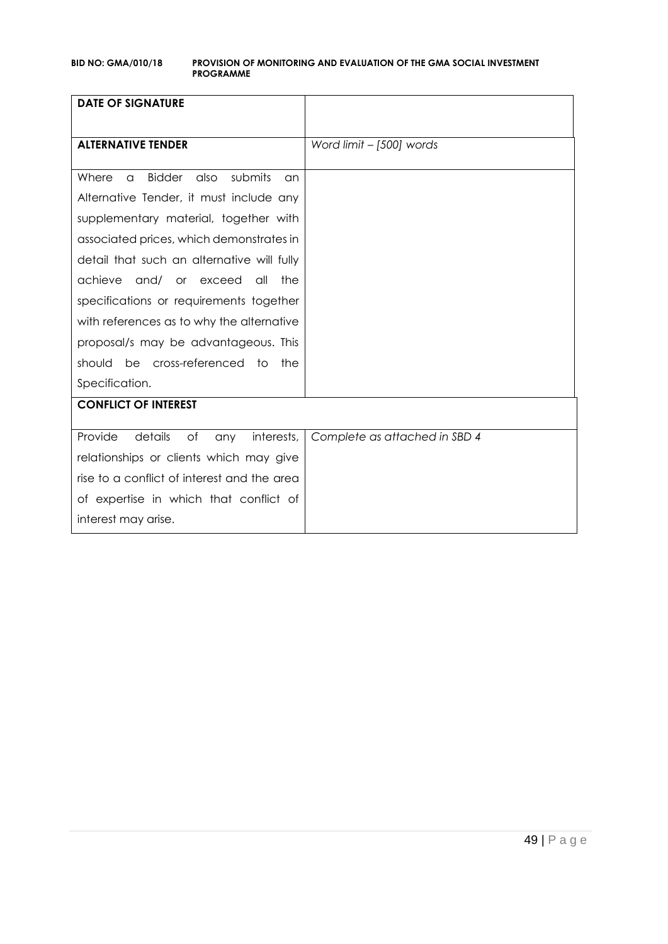| <b>DATE OF SIGNATURE</b>                                    |                               |
|-------------------------------------------------------------|-------------------------------|
|                                                             |                               |
| <b>ALTERNATIVE TENDER</b>                                   | Word limit - [500] words      |
|                                                             |                               |
| <b>Bidder</b><br>submits<br>Where<br>also<br>$\alpha$<br>an |                               |
| Alternative Tender, it must include any                     |                               |
| supplementary material, together with                       |                               |
| associated prices, which demonstrates in                    |                               |
| detail that such an alternative will fully                  |                               |
| achieve<br>and/ or exceed<br>all<br>the                     |                               |
| specifications or requirements together                     |                               |
| with references as to why the alternative                   |                               |
| proposal/s may be advantageous. This                        |                               |
| should be cross-referenced to<br>the                        |                               |
| Specification.                                              |                               |
| <b>CONFLICT OF INTEREST</b>                                 |                               |
|                                                             |                               |
| Provide<br>details<br>of<br>interests,<br>any               | Complete as attached in SBD 4 |
| relationships or clients which may give                     |                               |
| rise to a conflict of interest and the area                 |                               |
| of expertise in which that conflict of                      |                               |
| interest may arise.                                         |                               |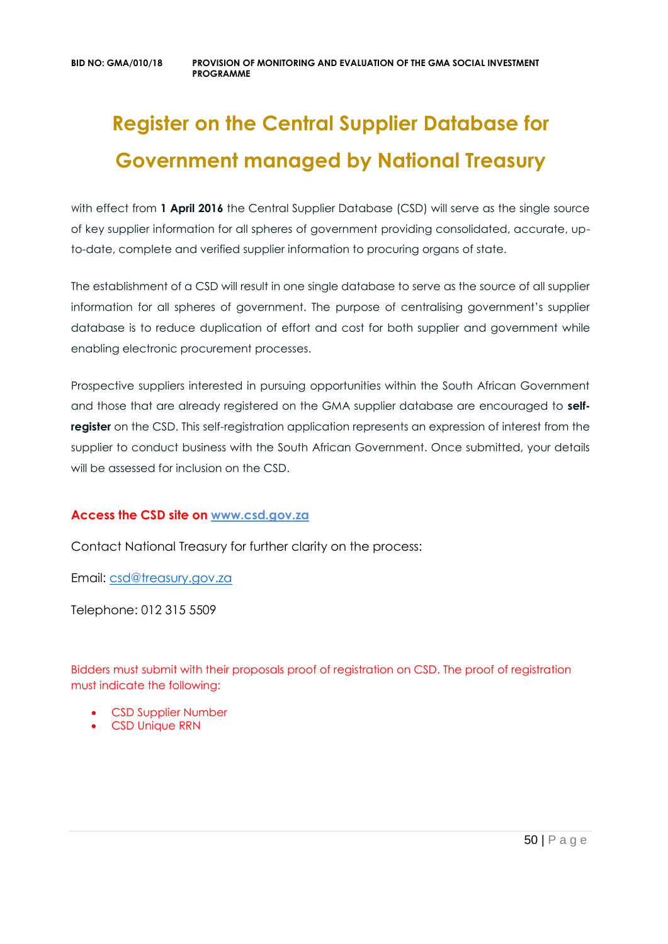# **Register on the Central Supplier Database for Government managed by National Treasury**

with effect from 1 April 2016 the Central Supplier Database (CSD) will serve as the single source of key supplier information for all spheres of government providing consolidated, accurate, upto-date, complete and verified supplier information to procuring organs of state.

The establishment of a CSD will result in one single database to serve as the source of all supplier information for all spheres of government. The purpose of centralising government's supplier database is to reduce duplication of effort and cost for both supplier and government while enabling electronic procurement processes.

Prospective suppliers interested in pursuing opportunities within the South African Government and those that are already registered on the GMA supplier database are encouraged to **selfregister** on the CSD. This self-registration application represents an expression of interest from the supplier to conduct business with the South African Government. Once submitted, your details will be assessed for inclusion on the CSD.

### **Access the CSD site on [www.csd.gov.za](http://www.csd.gov.za/)**

Contact National Treasury for further clarity on the process:

Email: [csd@treasury.gov.za](mailto:csd@treasury.gov.za)

Telephone: 012 315 5509

Bidders must submit with their proposals proof of registration on CSD. The proof of registration must indicate the following:

- CSD Supplier Number
- CSD Unique RRN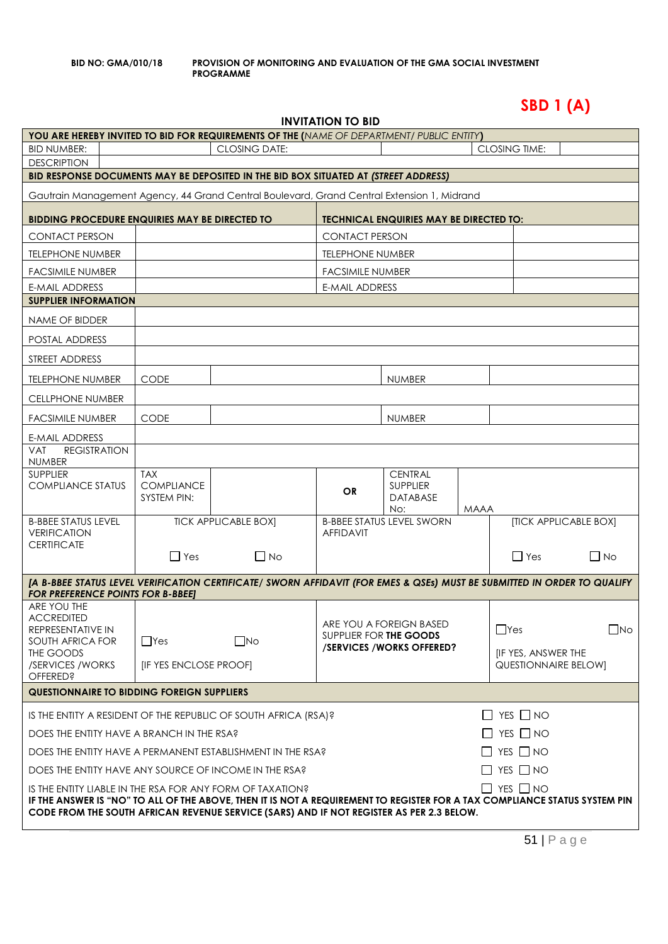**SBD 1 (A)**

| INVITATION TO BID |  |
|-------------------|--|
|-------------------|--|

| YOU ARE HEREBY INVITED TO BID FOR REQUIREMENTS OF THE (NAME OF DEPARTMENT/ PUBLIC ENTITY)                                                                                                                                                                                                                   |                                                |                             | III                     |                                                                               |             |                                                           |                       |
|-------------------------------------------------------------------------------------------------------------------------------------------------------------------------------------------------------------------------------------------------------------------------------------------------------------|------------------------------------------------|-----------------------------|-------------------------|-------------------------------------------------------------------------------|-------------|-----------------------------------------------------------|-----------------------|
| <b>BID NUMBER:</b>                                                                                                                                                                                                                                                                                          | <b>CLOSING DATE:</b><br><b>CLOSING TIME:</b>   |                             |                         |                                                                               |             |                                                           |                       |
| <b>DESCRIPTION</b>                                                                                                                                                                                                                                                                                          |                                                |                             |                         |                                                                               |             |                                                           |                       |
| BID RESPONSE DOCUMENTS MAY BE DEPOSITED IN THE BID BOX SITUATED AT (STREET ADDRESS)                                                                                                                                                                                                                         |                                                |                             |                         |                                                                               |             |                                                           |                       |
| Gautrain Management Agency, 44 Grand Central Boulevard, Grand Central Extension 1, Midrand                                                                                                                                                                                                                  |                                                |                             |                         |                                                                               |             |                                                           |                       |
| <b>BIDDING PROCEDURE ENQUIRIES MAY BE DIRECTED TO</b>                                                                                                                                                                                                                                                       |                                                |                             |                         | <b>TECHNICAL ENQUIRIES MAY BE DIRECTED TO:</b>                                |             |                                                           |                       |
| <b>CONTACT PERSON</b>                                                                                                                                                                                                                                                                                       |                                                |                             | <b>CONTACT PERSON</b>   |                                                                               |             |                                                           |                       |
| <b>TELEPHONE NUMBER</b>                                                                                                                                                                                                                                                                                     |                                                |                             | <b>TELEPHONE NUMBER</b> |                                                                               |             |                                                           |                       |
| <b>FACSIMILE NUMBER</b>                                                                                                                                                                                                                                                                                     |                                                |                             | <b>FACSIMILE NUMBER</b> |                                                                               |             |                                                           |                       |
| <b>E-MAIL ADDRESS</b>                                                                                                                                                                                                                                                                                       |                                                |                             | <b>E-MAIL ADDRESS</b>   |                                                                               |             |                                                           |                       |
| <b>SUPPLIER INFORMATION</b>                                                                                                                                                                                                                                                                                 |                                                |                             |                         |                                                                               |             |                                                           |                       |
| NAME OF BIDDER                                                                                                                                                                                                                                                                                              |                                                |                             |                         |                                                                               |             |                                                           |                       |
| POSTAL ADDRESS                                                                                                                                                                                                                                                                                              |                                                |                             |                         |                                                                               |             |                                                           |                       |
| STREET ADDRESS                                                                                                                                                                                                                                                                                              |                                                |                             |                         |                                                                               |             |                                                           |                       |
| <b>TELEPHONE NUMBER</b>                                                                                                                                                                                                                                                                                     | <b>CODE</b>                                    |                             |                         | <b>NUMBER</b>                                                                 |             |                                                           |                       |
| <b>CELLPHONE NUMBER</b>                                                                                                                                                                                                                                                                                     |                                                |                             |                         |                                                                               |             |                                                           |                       |
| <b>FACSIMILE NUMBER</b>                                                                                                                                                                                                                                                                                     | <b>CODE</b>                                    |                             |                         | <b>NUMBER</b>                                                                 |             |                                                           |                       |
| <b>E-MAIL ADDRESS</b>                                                                                                                                                                                                                                                                                       |                                                |                             |                         |                                                                               |             |                                                           |                       |
| <b>REGISTRATION</b><br><b>VAT</b><br><b>NUMBER</b>                                                                                                                                                                                                                                                          |                                                |                             |                         |                                                                               |             |                                                           |                       |
| <b>SUPPLIER</b><br><b>COMPLIANCE STATUS</b>                                                                                                                                                                                                                                                                 | <b>TAX</b><br><b>COMPLIANCE</b><br>SYSTEM PIN: |                             | <b>OR</b>               | <b>CENTRAL</b><br>SUPPLIER<br><b>DATABASE</b>                                 |             |                                                           |                       |
| <b>B-BBEE STATUS LEVEL</b><br><b>VERIFICATION</b>                                                                                                                                                                                                                                                           |                                                | <b>TICK APPLICABLE BOX]</b> | <b>AFFIDAVIT</b>        | No:<br><b>B-BBEE STATUS LEVEL SWORN</b>                                       | <b>MAAA</b> |                                                           | [TICK APPLICABLE BOX] |
| <b>CERTIFICATE</b>                                                                                                                                                                                                                                                                                          | $\Box$ Yes                                     | $\Box$ No                   |                         |                                                                               |             | $\Box$ Yes                                                | $\Box$ No             |
| [A B-BBEE STATUS LEVEL VERIFICATION CERTIFICATE/ SWORN AFFIDAVIT (FOR EMES & QSEs) MUST BE SUBMITTED IN ORDER TO QUALIFY<br><b>FOR PREFERENCE POINTS FOR B-BBEET</b>                                                                                                                                        |                                                |                             |                         |                                                                               |             |                                                           |                       |
| ARE YOU THE<br><b>ACCREDITED</b><br>REPRESENTATIVE IN<br>SOUTH AFRICA FOR<br>THE GOODS<br>/SERVICES / WORKS<br><b>OFFERED?</b>                                                                                                                                                                              | $\Box$ Yes<br>[IF YES ENCLOSE PROOF]           | $\square$ No                |                         | ARE YOU A FOREIGN BASED<br>SUPPLIER FOR THE GOODS<br>/SERVICES/WORKS OFFERED? |             | $\Box$ Yes<br>[IF YES, ANSWER THE<br>QUESTIONNAIRE BELOW] | $\Box$ No             |
| <b>QUESTIONNAIRE TO BIDDING FOREIGN SUPPLIERS</b>                                                                                                                                                                                                                                                           |                                                |                             |                         |                                                                               |             |                                                           |                       |
| IS THE ENTITY A RESIDENT OF THE REPUBLIC OF SOUTH AFRICA (RSA)?                                                                                                                                                                                                                                             |                                                |                             |                         |                                                                               |             | $\Box$ YES $\Box$ NO                                      |                       |
| $\Box$ YES $\Box$ NO<br>DOES THE ENTITY HAVE A BRANCH IN THE RSA?                                                                                                                                                                                                                                           |                                                |                             |                         |                                                                               |             |                                                           |                       |
| $\Box$ YES $\Box$ NO<br>DOES THE ENTITY HAVE A PERMANENT ESTABLISHMENT IN THE RSA?                                                                                                                                                                                                                          |                                                |                             |                         |                                                                               |             |                                                           |                       |
| $\Box$ YES $\Box$ NO<br>DOES THE ENTITY HAVE ANY SOURCE OF INCOME IN THE RSA?                                                                                                                                                                                                                               |                                                |                             |                         |                                                                               |             |                                                           |                       |
| $\Box$ YES $\Box$ NO<br>IS THE ENTITY LIABLE IN THE RSA FOR ANY FORM OF TAXATION?<br>IF THE ANSWER IS "NO" TO ALL OF THE ABOVE, THEN IT IS NOT A REQUIREMENT TO REGISTER FOR A TAX COMPLIANCE STATUS SYSTEM PIN<br>CODE FROM THE SOUTH AFRICAN REVENUE SERVICE (SARS) AND IF NOT REGISTER AS PER 2.3 BELOW. |                                                |                             |                         |                                                                               |             |                                                           |                       |

51 | P a g e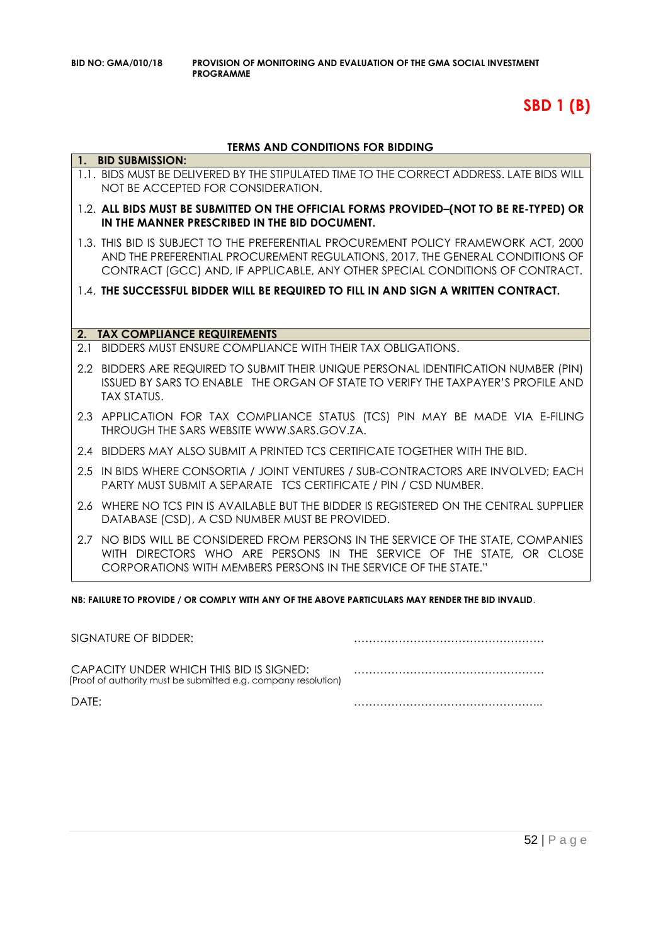# **SBD 1 (B)**

### **TERMS AND CONDITIONS FOR BIDDING**

|                | 1. BID SUBMISSION:                                                                                                                                                                                                                                   |
|----------------|------------------------------------------------------------------------------------------------------------------------------------------------------------------------------------------------------------------------------------------------------|
|                | 1.1. BIDS MUST BE DELIVERED BY THE STIPULATED TIME TO THE CORRECT ADDRESS. LATE BIDS WILL<br>NOT BE ACCEPTED FOR CONSIDERATION.                                                                                                                      |
|                | 1.2. ALL BIDS MUST BE SUBMITTED ON THE OFFICIAL FORMS PROVIDED-(NOT TO BE RE-TYPED) OR<br>IN THE MANNER PRESCRIBED IN THE BID DOCUMENT.                                                                                                              |
|                | 1.3. THIS BID IS SUBJECT TO THE PREFERENTIAL PROCUREMENT POLICY FRAMEWORK ACT, 2000<br>AND THE PREFERENTIAL PROCUREMENT REGULATIONS, 2017, THE GENERAL CONDITIONS OF<br>CONTRACT (GCC) AND, IF APPLICABLE, ANY OTHER SPECIAL CONDITIONS OF CONTRACT. |
|                | 1.4. THE SUCCESSFUL BIDDER WILL BE REQUIRED TO FILL IN AND SIGN A WRITTEN CONTRACT.                                                                                                                                                                  |
|                |                                                                                                                                                                                                                                                      |
| 2 <sub>1</sub> | <b>TAX COMPLIANCE REQUIREMENTS</b>                                                                                                                                                                                                                   |
| 2.1            | BIDDERS MUST ENSURE COMPLIANCE WITH THEIR TAX OBLIGATIONS.                                                                                                                                                                                           |
|                | 2.2 BIDDERS ARE REQUIRED TO SUBMIT THEIR UNIQUE PERSONAL IDENTIFICATION NUMBER (PIN)<br>ISSUED BY SARS TO ENABLE THE ORGAN OF STATE TO VERIFY THE TAXPAYER'S PROFILE AND<br><b>TAX STATUS.</b>                                                       |
|                | 2.3 APPLICATION FOR TAX COMPLIANCE STATUS (TCS) PIN MAY BE MADE VIA E-FILING<br>THROUGH THE SARS WEBSITE WWW.SARS.GOV.ZA.                                                                                                                            |
|                | 2.4 BIDDERS MAY ALSO SUBMIT A PRINTED TCS CERTIFICATE TOGETHER WITH THE BID.                                                                                                                                                                         |
|                | 2.5 IN BIDS WHERE CONSORTIA / JOINT VENTURES / SUB-CONTRACTORS ARE INVOLVED; EACH<br><b>PARTY MUST SUBMIT A SEPARATE TCS CERTIFICATE / PIN / CSD NUMBER.</b>                                                                                         |
|                | 2.6 WHERE NO TCS PIN IS AVAILABLE BUT THE BIDDER IS REGISTERED ON THE CENTRAL SUPPLIER<br>DATABASE (CSD), A CSD NUMBER MUST BE PROVIDED.                                                                                                             |
|                | 2.7 NO BIDS WILL BE CONSIDERED FROM PERSONS IN THE SERVICE OF THE STATE, COMPANIES<br>WITH DIRECTORS WHO ARE PERSONS IN THE SERVICE OF THE STATE, OR CLOSE<br>CORPORATIONS WITH MEMBERS PERSONS IN THE SERVICE OF THE STATE."                        |

**NB: FAILURE TO PROVIDE / OR COMPLY WITH ANY OF THE ABOVE PARTICULARS MAY RENDER THE BID INVALID**.

| SIGNATURE OF BIDDER:                                                                                       |  |
|------------------------------------------------------------------------------------------------------------|--|
| CAPACITY UNDER WHICH THIS BID IS SIGNED:<br>(Proof of authority must be submitted e.g. company resolution) |  |
| DATF:                                                                                                      |  |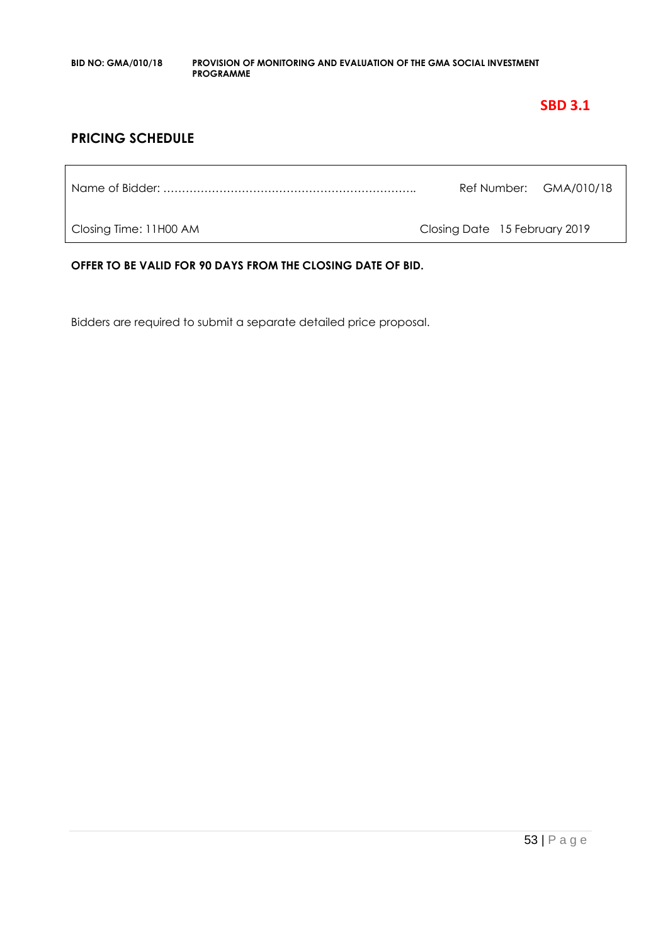### **SBD 3.1**

### **PRICING SCHEDULE**

|                        |                               | Ref Number: GMA/010/18 |
|------------------------|-------------------------------|------------------------|
| Closing Time: 11H00 AM | Closing Date 15 February 2019 |                        |

**OFFER TO BE VALID FOR 90 DAYS FROM THE CLOSING DATE OF BID.**

Bidders are required to submit a separate detailed price proposal.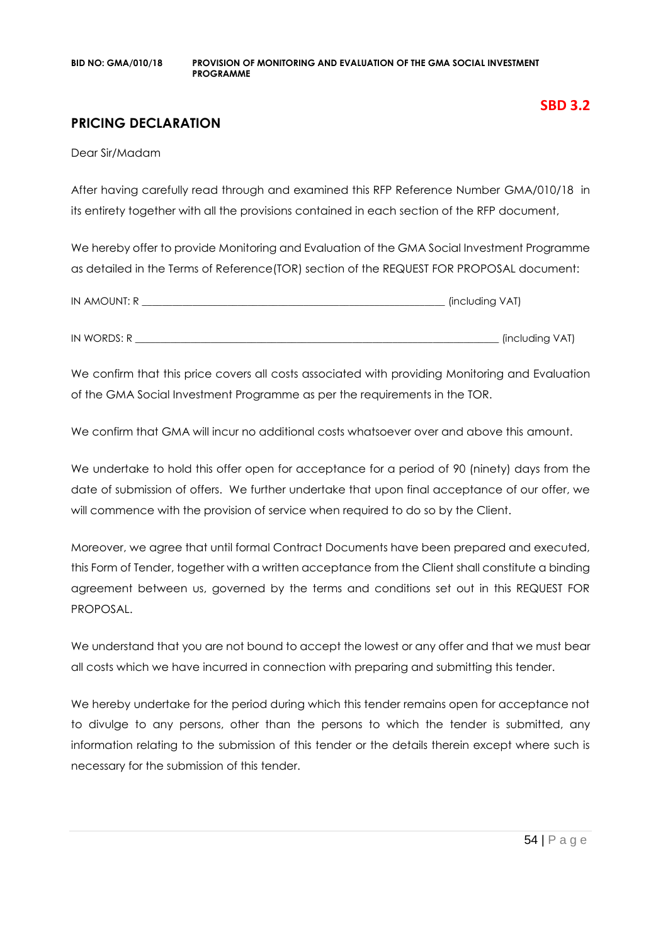### **PRICING DECLARATION**

Dear Sir/Madam

After having carefully read through and examined this RFP Reference Number GMA/010/18 in its entirety together with all the provisions contained in each section of the RFP document,

We hereby offer to provide Monitoring and Evaluation of the GMA Social Investment Programme as detailed in the Terms of Reference(TOR) section of the REQUEST FOR PROPOSAL document:

| IN AMOUNT: R | (including VAT) |
|--------------|-----------------|
|              |                 |
| IN WORDS: R  | (including VAT) |

We confirm that this price covers all costs associated with providing Monitoring and Evaluation of the GMA Social Investment Programme as per the requirements in the TOR.

We confirm that GMA will incur no additional costs whatsoever over and above this amount.

We undertake to hold this offer open for acceptance for a period of 90 (ninety) days from the date of submission of offers. We further undertake that upon final acceptance of our offer, we will commence with the provision of service when required to do so by the Client.

Moreover, we agree that until formal Contract Documents have been prepared and executed, this Form of Tender, together with a written acceptance from the Client shall constitute a binding agreement between us, governed by the terms and conditions set out in this REQUEST FOR PROPOSAL.

We understand that you are not bound to accept the lowest or any offer and that we must bear all costs which we have incurred in connection with preparing and submitting this tender.

We hereby undertake for the period during which this tender remains open for acceptance not to divulge to any persons, other than the persons to which the tender is submitted, any information relating to the submission of this tender or the details therein except where such is necessary for the submission of this tender.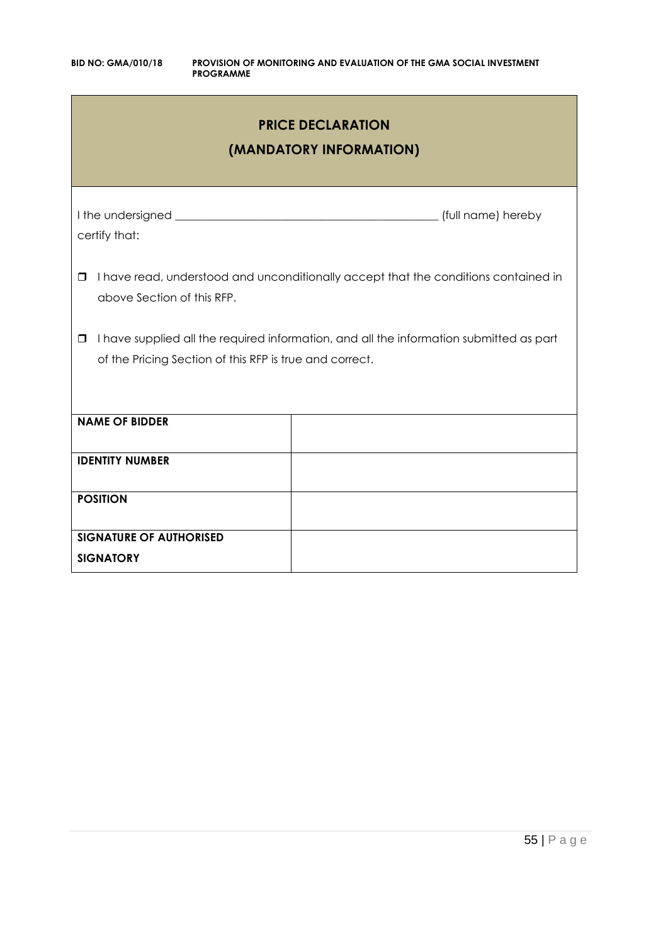| <b>PRICE DECLARATION</b><br>(MANDATORY INFORMATION)                                                                                                          |                    |  |  |  |
|--------------------------------------------------------------------------------------------------------------------------------------------------------------|--------------------|--|--|--|
| certify that:                                                                                                                                                | (full name) hereby |  |  |  |
| I have read, understood and unconditionally accept that the conditions contained in<br>$\Box$<br>above Section of this RFP.                                  |                    |  |  |  |
| I have supplied all the required information, and all the information submitted as part<br>$\Box$<br>of the Pricing Section of this RFP is true and correct. |                    |  |  |  |
| <b>NAME OF BIDDER</b>                                                                                                                                        |                    |  |  |  |
| <b>IDENTITY NUMBER</b>                                                                                                                                       |                    |  |  |  |
| <b>POSITION</b>                                                                                                                                              |                    |  |  |  |
| <b>SIGNATURE OF AUTHORISED</b><br><b>SIGNATORY</b>                                                                                                           |                    |  |  |  |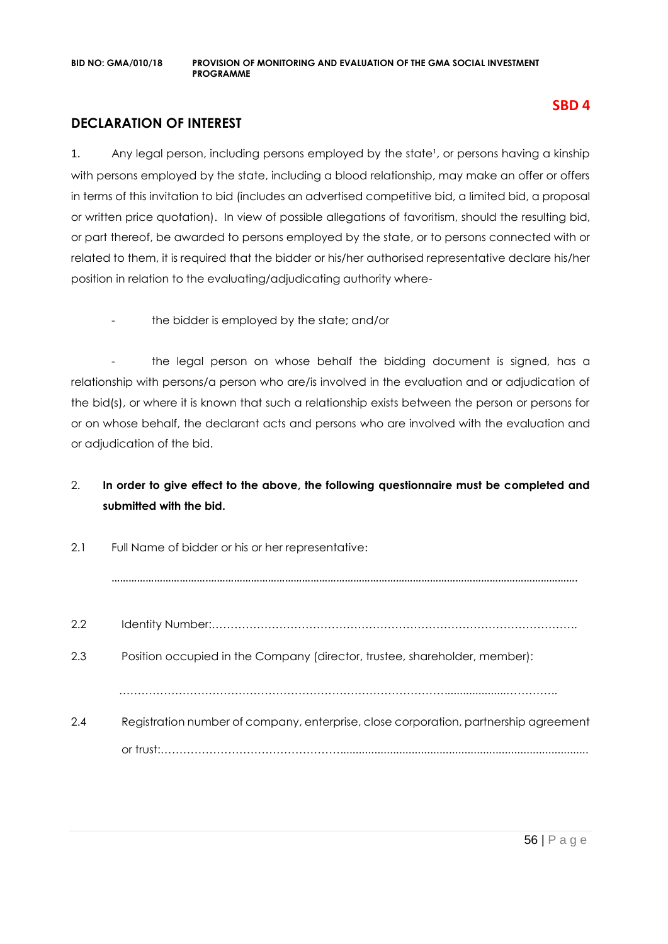### **DECLARATION OF INTEREST**

1. Any legal person, including persons employed by the state<sup>1</sup>, or persons having a kinship with persons employed by the state, including a blood relationship, may make an offer or offers in terms of this invitation to bid (includes an advertised competitive bid, a limited bid, a proposal or written price quotation). In view of possible allegations of favoritism, should the resulting bid, or part thereof, be awarded to persons employed by the state, or to persons connected with or related to them, it is required that the bidder or his/her authorised representative declare his/her position in relation to the evaluating/adjudicating authority where-

the bidder is employed by the state; and/or

- the legal person on whose behalf the bidding document is signed, has a relationship with persons/a person who are/is involved in the evaluation and or adjudication of the bid(s), or where it is known that such a relationship exists between the person or persons for or on whose behalf, the declarant acts and persons who are involved with the evaluation and or adjudication of the bid.

### 2. **In order to give effect to the above, the following questionnaire must be completed and submitted with the bid.**

| 2.1 | Full Name of bidder or his or her representative:                                    |  |  |
|-----|--------------------------------------------------------------------------------------|--|--|
|     |                                                                                      |  |  |
| 2.2 |                                                                                      |  |  |
| 2.3 | Position occupied in the Company (director, trustee, shareholder, member):           |  |  |
|     |                                                                                      |  |  |
| 2.4 | Registration number of company, enterprise, close corporation, partnership agreement |  |  |
|     |                                                                                      |  |  |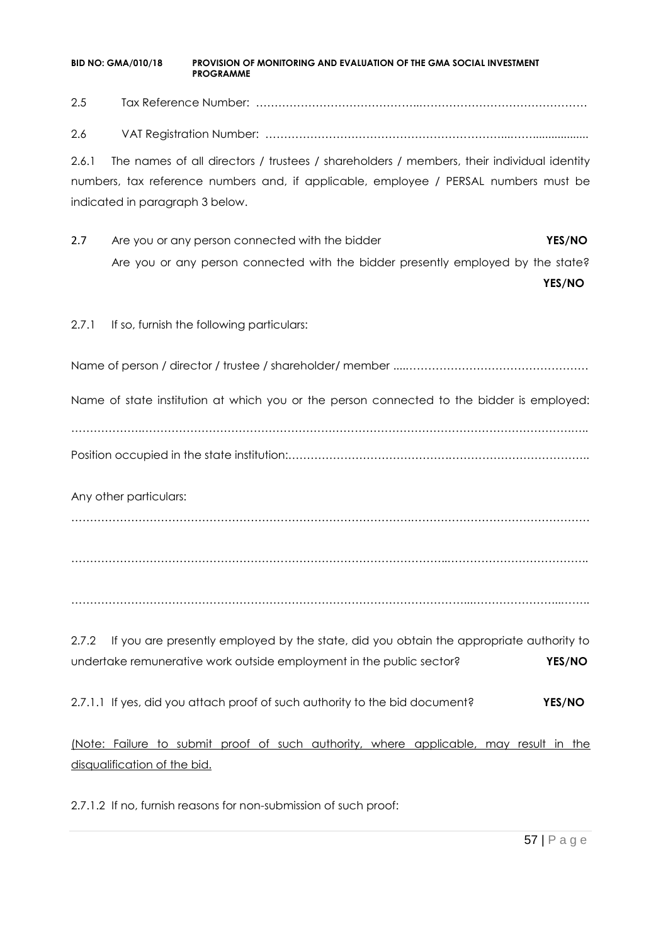2.5 Tax Reference Number: ……………………………………..………………………………………

2.6 VAT Registration Number: ………………………………………………………...……..................

2.6.1 The names of all directors / trustees / shareholders / members, their individual identity numbers, tax reference numbers and, if applicable, employee / PERSAL numbers must be indicated in paragraph 3 below.

2.7 Are you or any person connected with the bidder **YES/NO** Are you or any person connected with the bidder presently employed by the state?

**YES/NO**

2.7.1 If so, furnish the following particulars:

Name of person / director / trustee / shareholder/ member ....………………………………………….

Name of state institution at which you or the person connected to the bidder is employed:

……………….…………………………………………………………………………………………………….….. Position occupied in the state institution:…………………………………….………………………………..

Any other particulars:

……………………………………………………………………………….…………………………………………

………………………………………………………………………………………..………………………………..

……………………………………………………………………………………………...…………………...……..

2.7.2 If you are presently employed by the state, did you obtain the appropriate authority to undertake remunerative work outside employment in the public sector? **YES/NO**

2.7.1.1 If yes, did you attach proof of such authority to the bid document? **YES/NO**

(Note: Failure to submit proof of such authority, where applicable, may result in the disqualification of the bid.

2.7.1.2 If no, furnish reasons for non-submission of such proof: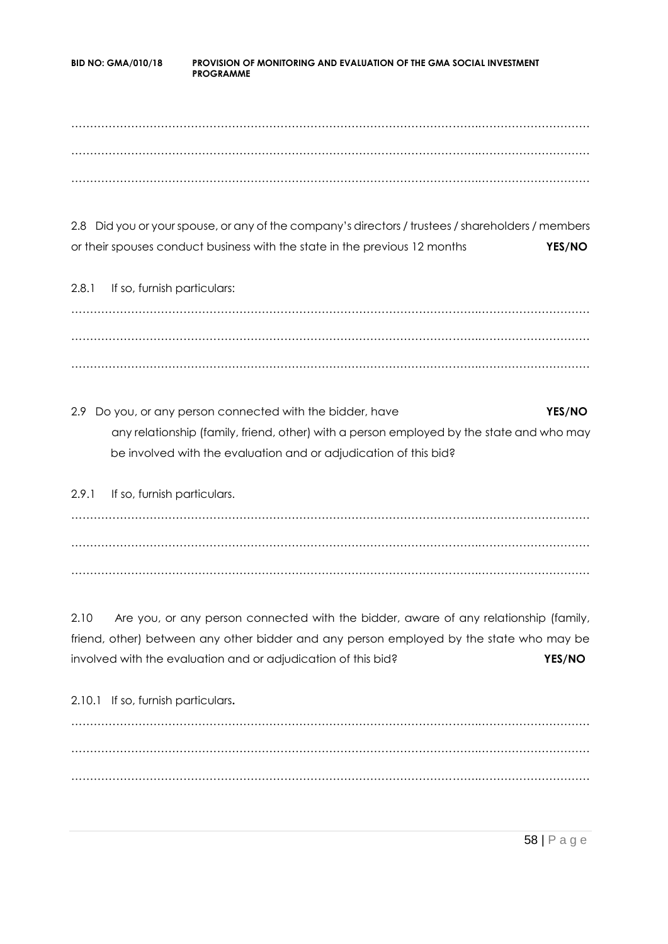……………………………………………………………………………………………….………………………… ……………………………………………………………………………………………….………………………… ……………………………………………………………………………………………….…………………………

2.8 Did you or your spouse, or any of the company's directors / trustees / shareholders / members or their spouses conduct business with the state in the previous 12 months **YES/NO**

2.8.1 If so, furnish particulars: ……………………………………………………………………………………………….………………………… ……………………………………………………………………………………………….………………………… ……………………………………………………………………………………………….…………………………

2.9 Do you, or any person connected with the bidder, have **YES/NO** any relationship (family, friend, other) with a person employed by the state and who may be involved with the evaluation and or adjudication of this bid?

2.9.1 If so, furnish particulars. ……………………………………………………………………………………………….………………………… ……………………………………………………………………………………………….………………………… ……………………………………………………………………………………………….…………………………

2.10 Are you, or any person connected with the bidder, aware of any relationship (family, friend, other) between any other bidder and any person employed by the state who may be involved with the evaluation and or adjudication of this bid? **YES/NO**

2.10.1 If so, furnish particulars**.** ……………………………………………………………………………………………….………………………… ……………………………………………………………………………………………….………………………… ……………………………………………………………………………………………….…………………………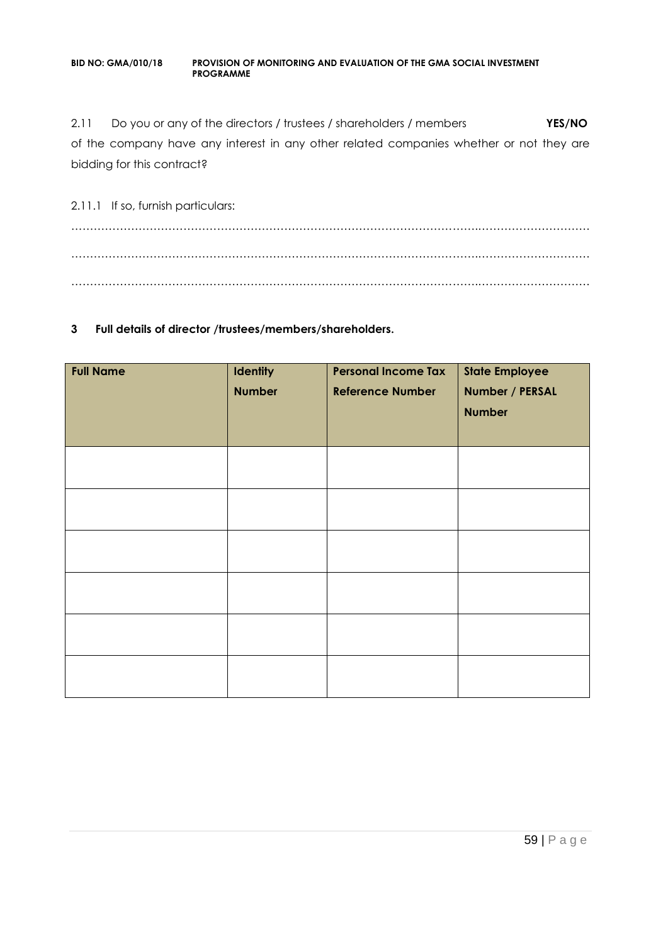2.11 Do you or any of the directors / trustees / shareholders / members **YES/NO** of the company have any interest in any other related companies whether or not they are bidding for this contract?

2.11.1 If so, furnish particulars: ……………………………………………………………………………………………….………………………… ……………………………………………………………………………………………….………………………… ……………………………………………………………………………………………….…………………………

#### **3 Full details of director /trustees/members/shareholders.**

| <b>Full Name</b> | Identity<br><b>Number</b> | <b>Personal Income Tax</b><br><b>Reference Number</b> | <b>State Employee</b><br>Number / PERSAL<br><b>Number</b> |
|------------------|---------------------------|-------------------------------------------------------|-----------------------------------------------------------|
|                  |                           |                                                       |                                                           |
|                  |                           |                                                       |                                                           |
|                  |                           |                                                       |                                                           |
|                  |                           |                                                       |                                                           |
|                  |                           |                                                       |                                                           |
|                  |                           |                                                       |                                                           |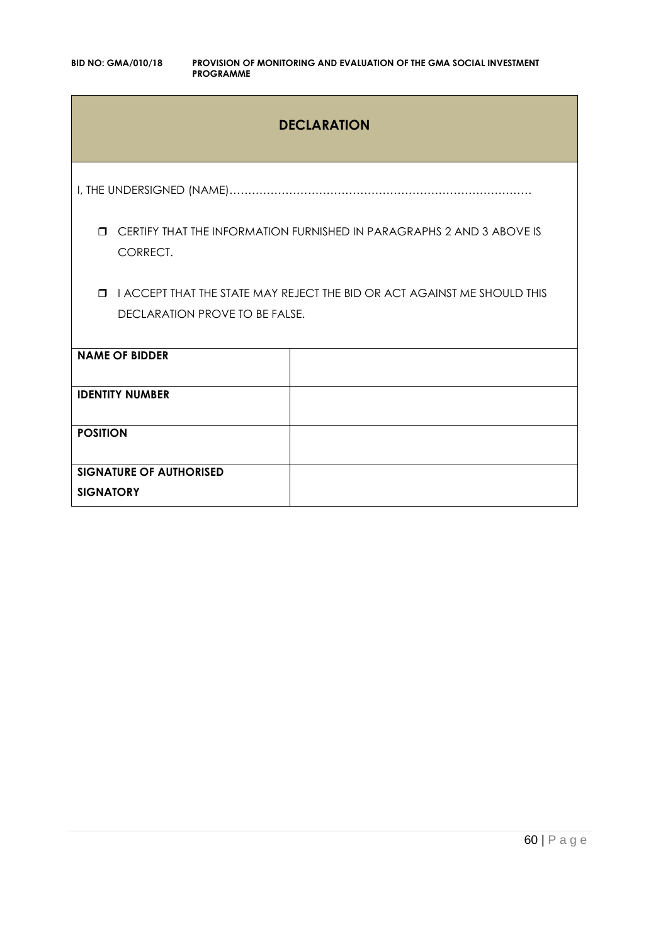### **DECLARATION**

I, THE UNDERSIGNED (NAME)………………………………………………………………………

 CERTIFY THAT THE INFORMATION FURNISHED IN PARAGRAPHS 2 AND 3 ABOVE IS CORRECT.

**I I ACCEPT THAT THE STATE MAY REJECT THE BID OR ACT AGAINST ME SHOULD THIS** DECLARATION PROVE TO BE FALSE.

| <b>NAME OF BIDDER</b>                              |  |
|----------------------------------------------------|--|
| <b>IDENTITY NUMBER</b>                             |  |
| <b>POSITION</b>                                    |  |
| <b>SIGNATURE OF AUTHORISED</b><br><b>SIGNATORY</b> |  |
|                                                    |  |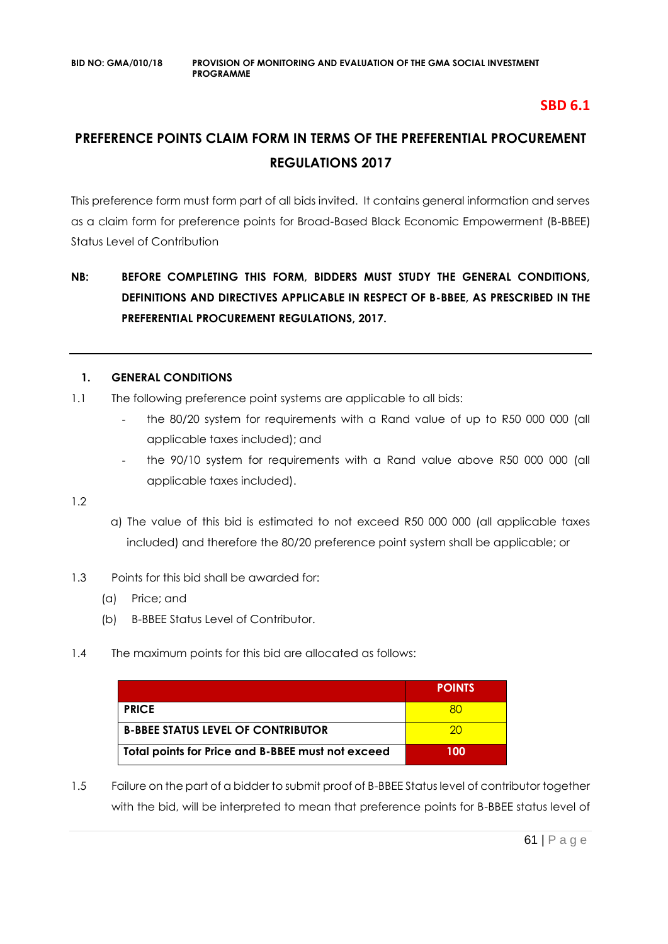### **SBD 6.1**

## **PREFERENCE POINTS CLAIM FORM IN TERMS OF THE PREFERENTIAL PROCUREMENT REGULATIONS 2017**

This preference form must form part of all bids invited. It contains general information and serves as a claim form for preference points for Broad-Based Black Economic Empowerment (B-BBEE) Status Level of Contribution

### **NB: BEFORE COMPLETING THIS FORM, BIDDERS MUST STUDY THE GENERAL CONDITIONS, DEFINITIONS AND DIRECTIVES APPLICABLE IN RESPECT OF B-BBEE, AS PRESCRIBED IN THE PREFERENTIAL PROCUREMENT REGULATIONS, 2017.**

### **1. GENERAL CONDITIONS**

- 1.1 The following preference point systems are applicable to all bids:
	- the 80/20 system for requirements with a Rand value of up to R50 000 000 (all applicable taxes included); and
	- the 90/10 system for requirements with a Rand value above R50 000 000 (all applicable taxes included).

1.2

- a) The value of this bid is estimated to not exceed R50 000 000 (all applicable taxes included) and therefore the 80/20 preference point system shall be applicable; or
- 1.3 Points for this bid shall be awarded for:
	- (a) Price; and
	- (b) B-BBEE Status Level of Contributor.
- 1.4 The maximum points for this bid are allocated as follows:

|                                                   | <b>POINTS</b> |
|---------------------------------------------------|---------------|
| <b>PRICE</b>                                      |               |
| <b>B-BBEE STATUS LEVEL OF CONTRIBUTOR</b>         | ാറ            |
| Total points for Price and B-BBEE must not exceed | 100           |

1.5 Failure on the part of a bidder to submit proof of B-BBEE Status level of contributor together with the bid, will be interpreted to mean that preference points for B-BBEE status level of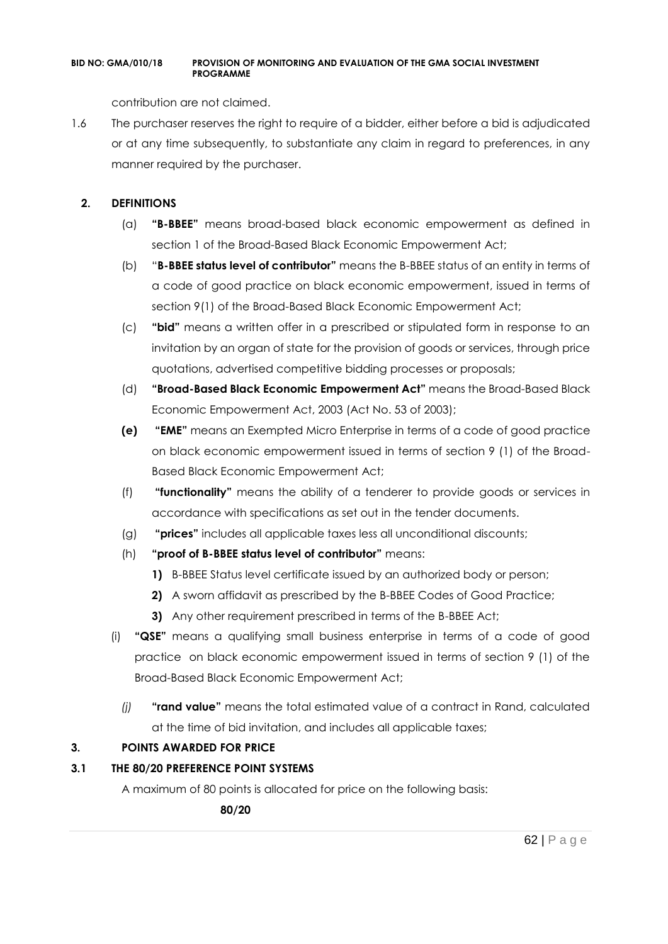contribution are not claimed.

1.6 The purchaser reserves the right to require of a bidder, either before a bid is adjudicated or at any time subsequently, to substantiate any claim in regard to preferences, in any manner required by the purchaser.

### **2. DEFINITIONS**

- (a) **"B-BBEE"** means broad-based black economic empowerment as defined in section 1 of the Broad-Based Black Economic Empowerment Act;
- (b) "**B-BBEE status level of contributor"** means the B-BBEE status of an entity in terms of a code of good practice on black economic empowerment, issued in terms of section 9(1) of the Broad-Based Black Economic Empowerment Act;
- (c) **"bid"** means a written offer in a prescribed or stipulated form in response to an invitation by an organ of state for the provision of goods or services, through price quotations, advertised competitive bidding processes or proposals;
- (d) **"Broad-Based Black Economic Empowerment Act"** means the Broad-Based Black Economic Empowerment Act, 2003 (Act No. 53 of 2003);
- **(e) "EME"** means an Exempted Micro Enterprise in terms of a code of good practice on black economic empowerment issued in terms of section 9 (1) of the Broad-Based Black Economic Empowerment Act;
- (f) **"functionality"** means the ability of a tenderer to provide goods or services in accordance with specifications as set out in the tender documents.
- (g) **"prices"** includes all applicable taxes less all unconditional discounts;
- (h) **"proof of B-BBEE status level of contributor"** means:
	- **1)** B-BBEE Status level certificate issued by an authorized body or person;
	- **2)** A sworn affidavit as prescribed by the B-BBEE Codes of Good Practice;
	- **3)** Any other requirement prescribed in terms of the B-BBEE Act;
- (i) **"QSE"** means a qualifying small business enterprise in terms of a code of good practice on black economic empowerment issued in terms of section 9 (1) of the Broad-Based Black Economic Empowerment Act;
	- *(j)* **"rand value"** means the total estimated value of a contract in Rand, calculated at the time of bid invitation, and includes all applicable taxes;

### **3. POINTS AWARDED FOR PRICE**

### **3.1 THE 80/20 PREFERENCE POINT SYSTEMS**

A maximum of 80 points is allocated for price on the following basis:

 **80/20**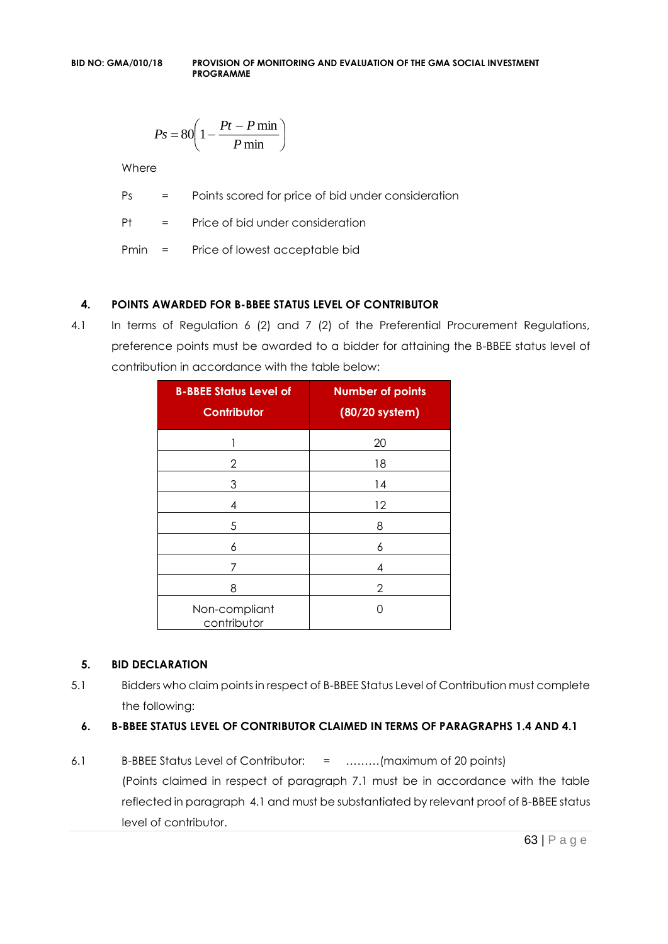$$
Ps = 80 \left( 1 - \frac{Pt - P \min}{P \min} \right)
$$

**Where** 

Ps = Points scored for price of bid under consideration

Pt = Price of bid under consideration

Pmin = Price of lowest acceptable bid

### **4. POINTS AWARDED FOR B-BBEE STATUS LEVEL OF CONTRIBUTOR**

4.1 In terms of Regulation 6 (2) and 7 (2) of the Preferential Procurement Regulations, preference points must be awarded to a bidder for attaining the B-BBEE status level of contribution in accordance with the table below:

| <b>B-BBEE Status Level of</b><br><b>Contributor</b> | <b>Number of points</b><br>(80/20 system) |  |
|-----------------------------------------------------|-------------------------------------------|--|
| 1                                                   | 20                                        |  |
| 2                                                   | 18                                        |  |
| 3                                                   | 14                                        |  |
| 4                                                   | 12                                        |  |
| 5                                                   | 8                                         |  |
| 6                                                   | 6                                         |  |
| 7                                                   | 4                                         |  |
| 8                                                   | 2                                         |  |
| Non-compliant<br>contributor                        | O                                         |  |

#### **5. BID DECLARATION**

5.1 Bidders who claim points in respect of B-BBEE Status Level of Contribution must complete the following:

### **6. B-BBEE STATUS LEVEL OF CONTRIBUTOR CLAIMED IN TERMS OF PARAGRAPHS 1.4 AND 4.1**

6.1 B-BBEE Status Level of Contributor: = ………(maximum of 20 points) (Points claimed in respect of paragraph 7.1 must be in accordance with the table reflected in paragraph 4.1 and must be substantiated by relevant proof of B-BBEE status level of contributor.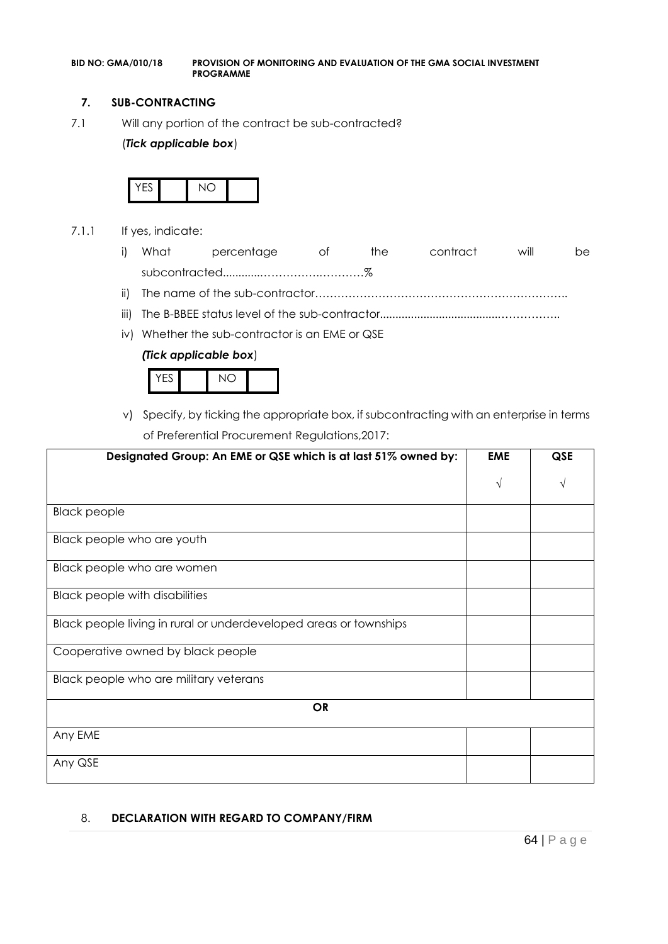#### **7. SUB-CONTRACTING**

7.1 Will any portion of the contract be sub-contracted?

#### (*Tick applicable box*)



- 7.1.1 If yes, indicate:
	- i) What percentage of the contract will be subcontracted............…………….…………%
	- ii) The name of the sub-contractor…………………………………………………………..
	- iii) The B-BBEE status level of the sub-contractor......................................……………..
	- iv) Whether the sub-contractor is an EME or QSE

#### *(Tick applicable box*)



v) Specify, by ticking the appropriate box, if subcontracting with an enterprise in terms of Preferential Procurement Regulations,2017:

| Designated Group: An EME or QSE which is at last 51% owned by:    | <b>EME</b> | QSE |
|-------------------------------------------------------------------|------------|-----|
|                                                                   | N          |     |
| <b>Black people</b>                                               |            |     |
| Black people who are youth                                        |            |     |
| Black people who are women                                        |            |     |
| <b>Black people with disabilities</b>                             |            |     |
| Black people living in rural or underdeveloped areas or townships |            |     |
| Cooperative owned by black people                                 |            |     |
| Black people who are military veterans                            |            |     |
| <b>OR</b>                                                         |            |     |
| Any EME                                                           |            |     |
| Any QSE                                                           |            |     |

#### 8. **DECLARATION WITH REGARD TO COMPANY/FIRM**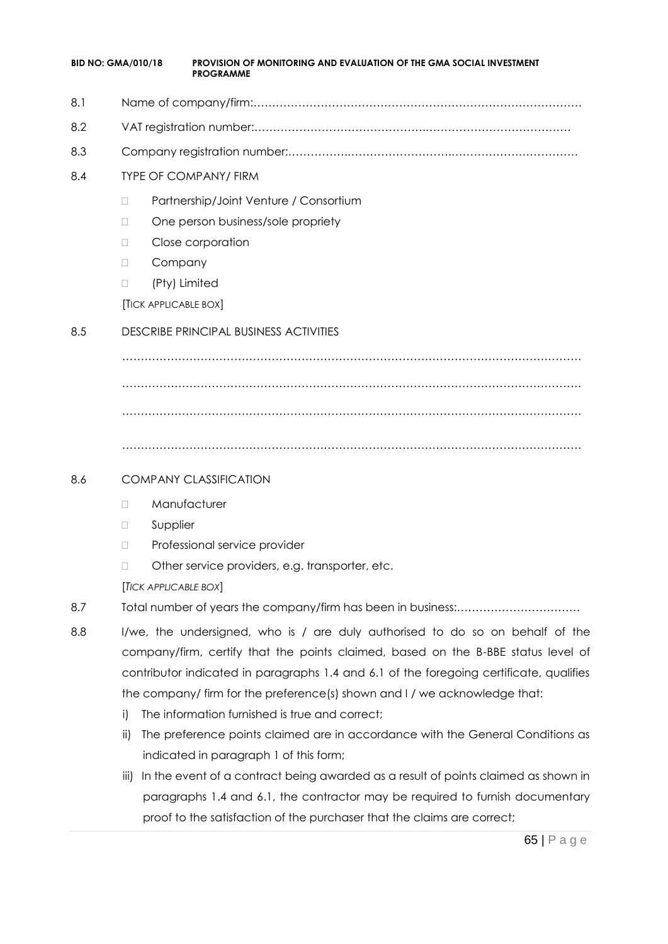| <b>BID NO: GMA/010/18</b> |                       | <b>PROVISION OF MONITORING AND EVALUATION OF THE GMA SOCIAL INVESTMENT</b><br><b>PROGRAMME</b> |
|---------------------------|-----------------------|------------------------------------------------------------------------------------------------|
| 8.1                       |                       |                                                                                                |
| 8.2                       |                       |                                                                                                |
| 8.3                       |                       |                                                                                                |
| 8.4                       |                       | <b>TYPE OF COMPANY/ FIRM</b>                                                                   |
|                           | П                     | Partnership/Joint Venture / Consortium                                                         |
|                           | $\Box$                | One person business/sole propriety                                                             |
|                           | П                     | Close corporation                                                                              |
|                           | Company<br>$\Box$     |                                                                                                |
|                           | $\Box$                | (Pty) Limited                                                                                  |
|                           | [TICK APPLICABLE BOX] |                                                                                                |
| 8.5                       |                       | <b>DESCRIBE PRINCIPAL BUSINESS ACTIVITIES</b>                                                  |
|                           |                       |                                                                                                |
|                           |                       |                                                                                                |
|                           |                       |                                                                                                |
|                           |                       |                                                                                                |
| 8.6                       |                       | <b>COMPANY CLASSIFICATION</b>                                                                  |
|                           | П                     | Manufacturer                                                                                   |
|                           | Supplier<br>$\Box$    |                                                                                                |
|                           | П                     | Professional service provider                                                                  |
|                           | $\Box$                | Other service providers, e.g. transporter, etc.                                                |
|                           | [TICK APPLICABLE BOX] |                                                                                                |
| 8.7                       |                       |                                                                                                |
| 8.8                       |                       | I/we, the undersigned, who is / are duly authorised to do so on behalf of the                  |
|                           |                       | company/firm, certify that the points claimed, based on the B-BBE status level of              |
|                           |                       | contributor indicated in paragraphs 1.4 and 6.1 of the foregoing certificate, qualifies        |
|                           |                       | the company/ firm for the preference(s) shown and I / we acknowledge that:                     |
|                           | i)                    | The information furnished is true and correct;                                                 |
|                           | ii)                   | The preference points claimed are in accordance with the General Conditions as                 |
|                           |                       | indicated in paragraph 1 of this form;                                                         |
|                           | iii)                  | In the event of a contract being awarded as a result of points claimed as shown in             |
|                           |                       | paragraphs 1.4 and 6.1, the contractor may be required to furnish documentary                  |

65 | P a g e proof to the satisfaction of the purchaser that the claims are correct;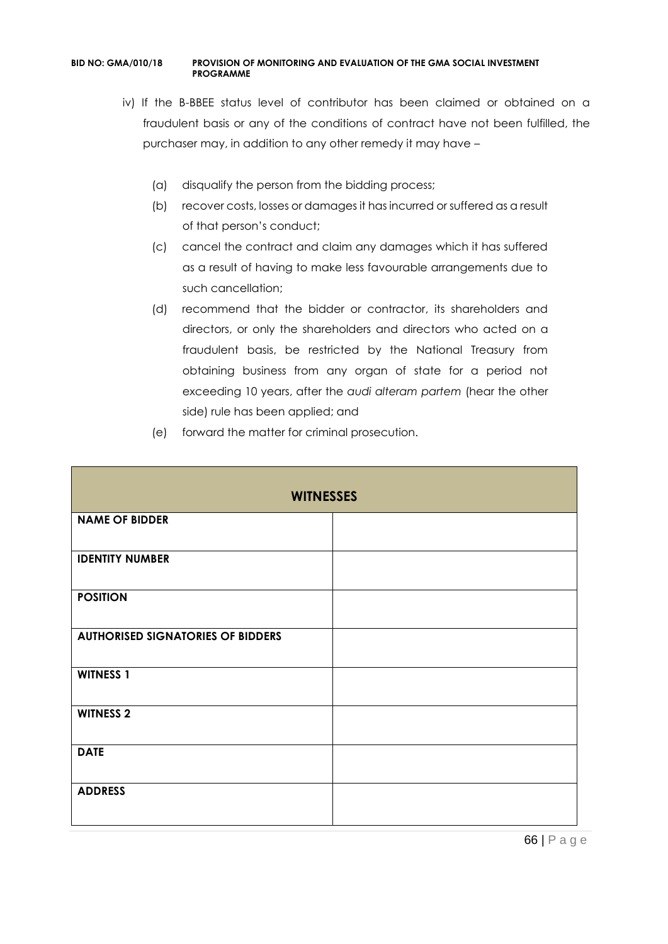- iv) If the B-BBEE status level of contributor has been claimed or obtained on a fraudulent basis or any of the conditions of contract have not been fulfilled, the purchaser may, in addition to any other remedy it may have –
	- (a) disqualify the person from the bidding process;
	- (b) recover costs, losses or damages it has incurred or suffered as a result of that person's conduct;
	- (c) cancel the contract and claim any damages which it has suffered as a result of having to make less favourable arrangements due to such cancellation;
	- (d) recommend that the bidder or contractor, its shareholders and directors, or only the shareholders and directors who acted on a fraudulent basis, be restricted by the National Treasury from obtaining business from any organ of state for a period not exceeding 10 years, after the *audi alteram partem* (hear the other side) rule has been applied; and
	- (e) forward the matter for criminal prosecution.

| <b>WITNESSES</b>                         |  |  |  |  |
|------------------------------------------|--|--|--|--|
| <b>NAME OF BIDDER</b>                    |  |  |  |  |
| <b>IDENTITY NUMBER</b>                   |  |  |  |  |
| <b>POSITION</b>                          |  |  |  |  |
| <b>AUTHORISED SIGNATORIES OF BIDDERS</b> |  |  |  |  |
| <b>WITNESS 1</b>                         |  |  |  |  |
| <b>WITNESS 2</b>                         |  |  |  |  |
| <b>DATE</b>                              |  |  |  |  |
| <b>ADDRESS</b>                           |  |  |  |  |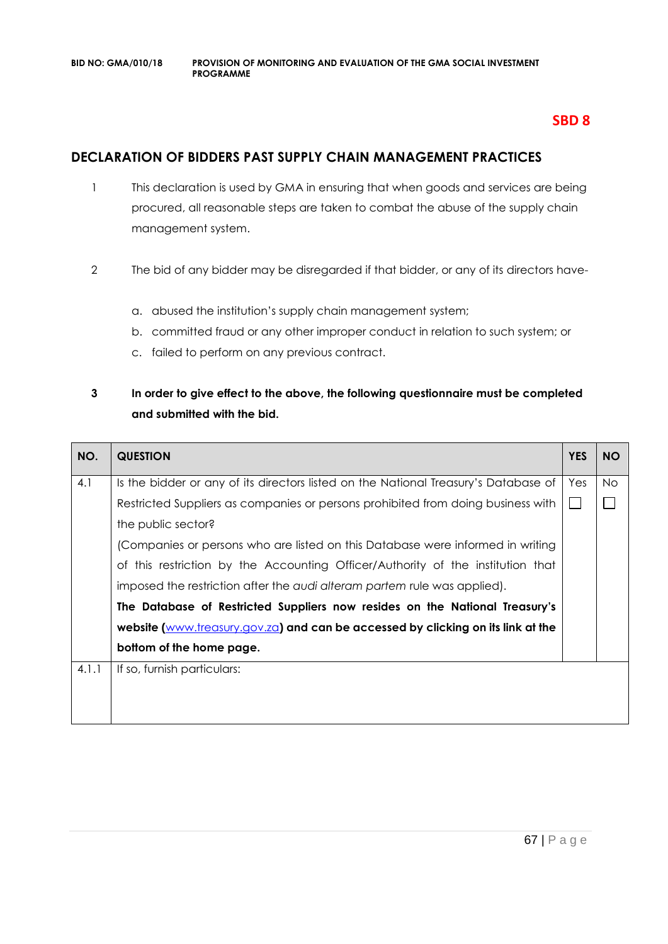### **SBD 8**

### **DECLARATION OF BIDDERS PAST SUPPLY CHAIN MANAGEMENT PRACTICES**

- 1 This declaration is used by GMA in ensuring that when goods and services are being procured, all reasonable steps are taken to combat the abuse of the supply chain management system.
- 2 The bid of any bidder may be disregarded if that bidder, or any of its directors have
	- a. abused the institution's supply chain management system;
	- b. committed fraud or any other improper conduct in relation to such system; or
	- c. failed to perform on any previous contract.

### **3 In order to give effect to the above, the following questionnaire must be completed and submitted with the bid.**

| NO.   | <b>QUESTION</b>                                                                     | <b>YES</b> | <b>NO</b> |
|-------|-------------------------------------------------------------------------------------|------------|-----------|
| 4.1   | Is the bidder or any of its directors listed on the National Treasury's Database of | Yes        | No.       |
|       | Restricted Suppliers as companies or persons prohibited from doing business with    |            |           |
|       | the public sector?                                                                  |            |           |
|       | (Companies or persons who are listed on this Database were informed in writing      |            |           |
|       | of this restriction by the Accounting Officer/Authority of the institution that     |            |           |
|       | imposed the restriction after the audi alteram partem rule was applied).            |            |           |
|       | The Database of Restricted Suppliers now resides on the National Treasury's         |            |           |
|       | website (www.treasury.gov.za) and can be accessed by clicking on its link at the    |            |           |
|       | bottom of the home page.                                                            |            |           |
| 4.1.1 | If so, furnish particulars:                                                         |            |           |
|       |                                                                                     |            |           |
|       |                                                                                     |            |           |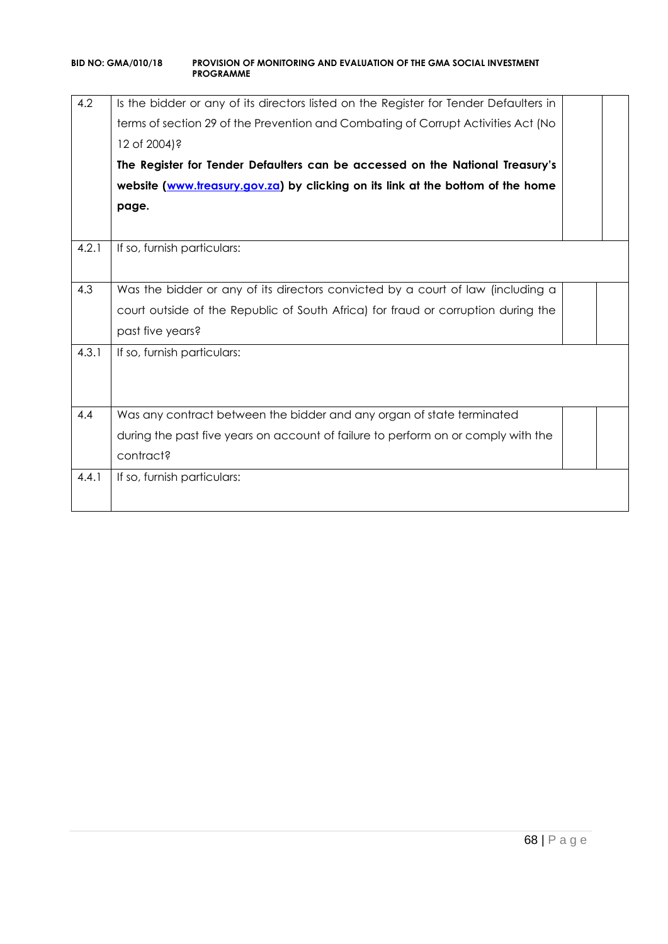| 4.2   | Is the bidder or any of its directors listed on the Register for Tender Defaulters in<br>terms of section 29 of the Prevention and Combating of Corrupt Activities Act (No<br>12 of 2004)?<br>The Register for Tender Defaulters can be accessed on the National Treasury's |  |  |  |  |
|-------|-----------------------------------------------------------------------------------------------------------------------------------------------------------------------------------------------------------------------------------------------------------------------------|--|--|--|--|
|       | website (www.treasury.gov.za) by clicking on its link at the bottom of the home                                                                                                                                                                                             |  |  |  |  |
|       | page.                                                                                                                                                                                                                                                                       |  |  |  |  |
|       |                                                                                                                                                                                                                                                                             |  |  |  |  |
| 4.2.1 | If so, furnish particulars:                                                                                                                                                                                                                                                 |  |  |  |  |
|       |                                                                                                                                                                                                                                                                             |  |  |  |  |
| 4.3   | Was the bidder or any of its directors convicted by a court of law (including a                                                                                                                                                                                             |  |  |  |  |
|       | court outside of the Republic of South Africa) for fraud or corruption during the                                                                                                                                                                                           |  |  |  |  |
|       | past five years?                                                                                                                                                                                                                                                            |  |  |  |  |
| 4.3.1 | If so, furnish particulars:                                                                                                                                                                                                                                                 |  |  |  |  |
|       |                                                                                                                                                                                                                                                                             |  |  |  |  |
|       |                                                                                                                                                                                                                                                                             |  |  |  |  |
| 4.4   | Was any contract between the bidder and any organ of state terminated                                                                                                                                                                                                       |  |  |  |  |
|       | during the past five years on account of failure to perform on or comply with the                                                                                                                                                                                           |  |  |  |  |
|       | contract?                                                                                                                                                                                                                                                                   |  |  |  |  |
| 4.4.1 | If so, furnish particulars:                                                                                                                                                                                                                                                 |  |  |  |  |
|       |                                                                                                                                                                                                                                                                             |  |  |  |  |
|       |                                                                                                                                                                                                                                                                             |  |  |  |  |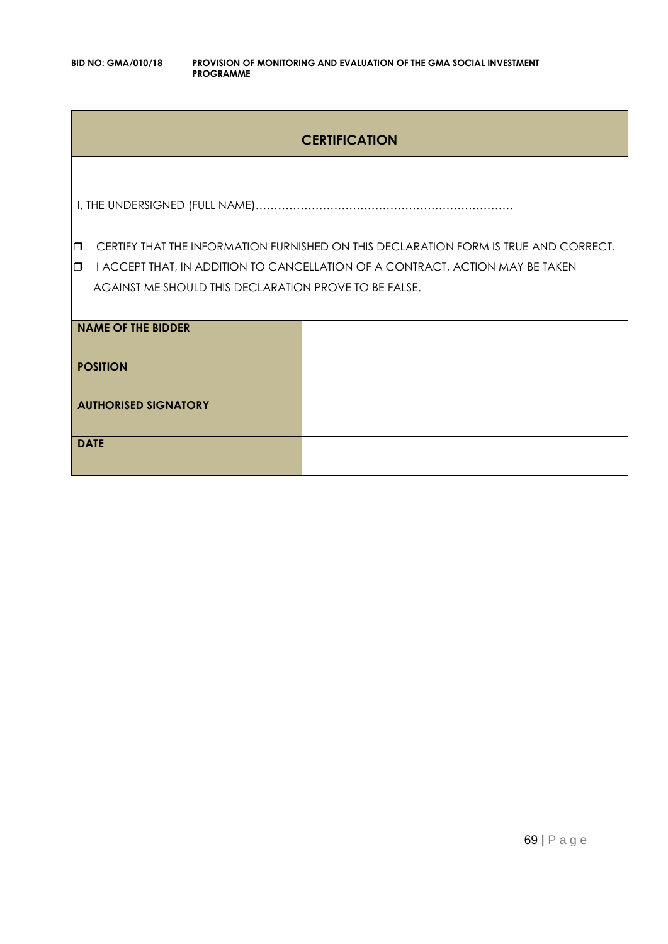### **CERTIFICATION**

I, THE UNDERSIGNED (FULL NAME)……………………………………………………………

**CERTIFY THAT THE INFORMATION FURNISHED ON THIS DECLARATION FORM IS TRUE AND CORRECT.** 

**I** I ACCEPT THAT, IN ADDITION TO CANCELLATION OF A CONTRACT, ACTION MAY BE TAKEN AGAINST ME SHOULD THIS DECLARATION PROVE TO BE FALSE.

| NAME OF THE BIDDER          |  |
|-----------------------------|--|
| <b>POSITION</b>             |  |
| <b>AUTHORISED SIGNATORY</b> |  |
| <b>DATE</b>                 |  |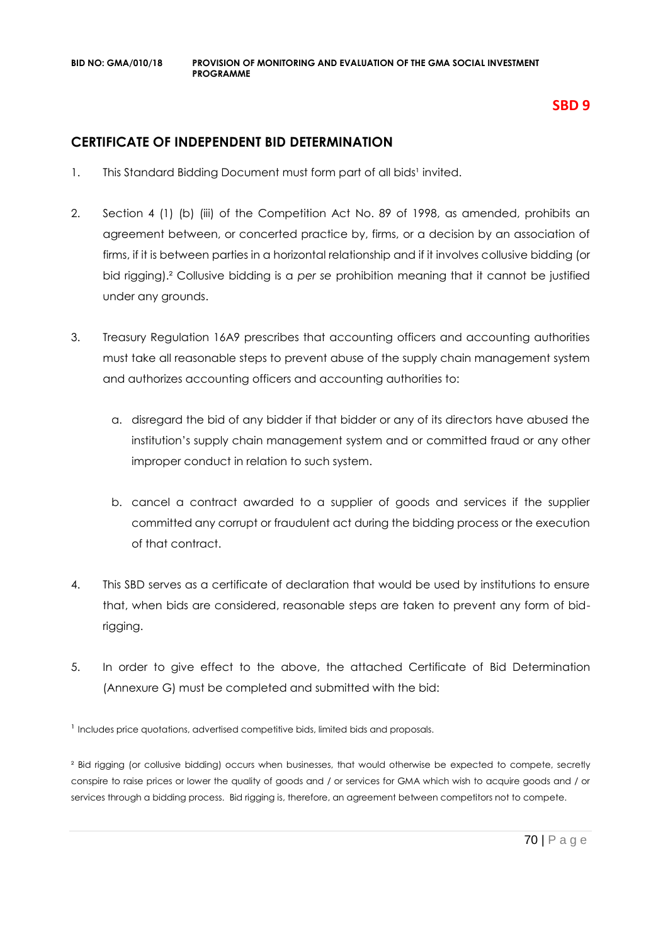### **SBD 9**

### **CERTIFICATE OF INDEPENDENT BID DETERMINATION**

- 1. This Standard Bidding Document must form part of all bids<sup>1</sup> invited.
- 2. Section 4 (1) (b) (iii) of the Competition Act No. 89 of 1998, as amended, prohibits an agreement between, or concerted practice by, firms, or a decision by an association of firms, if it is between parties in a horizontal relationship and if it involves collusive bidding (or bid rigging).² Collusive bidding is a *per se* prohibition meaning that it cannot be justified under any grounds.
- 3. Treasury Regulation 16A9 prescribes that accounting officers and accounting authorities must take all reasonable steps to prevent abuse of the supply chain management system and authorizes accounting officers and accounting authorities to:
	- a. disregard the bid of any bidder if that bidder or any of its directors have abused the institution's supply chain management system and or committed fraud or any other improper conduct in relation to such system.
	- b. cancel a contract awarded to a supplier of goods and services if the supplier committed any corrupt or fraudulent act during the bidding process or the execution of that contract.
- 4. This SBD serves as a certificate of declaration that would be used by institutions to ensure that, when bids are considered, reasonable steps are taken to prevent any form of bidrigging.
- 5. In order to give effect to the above, the attached Certificate of Bid Determination (Annexure G) must be completed and submitted with the bid:

<sup>1</sup> Includes price quotations, advertised competitive bids, limited bids and proposals.

<sup>2</sup> Bid rigging (or collusive bidding) occurs when businesses, that would otherwise be expected to compete, secretly conspire to raise prices or lower the quality of goods and / or services for GMA which wish to acquire goods and / or services through a bidding process. Bid rigging is, therefore, an agreement between competitors not to compete.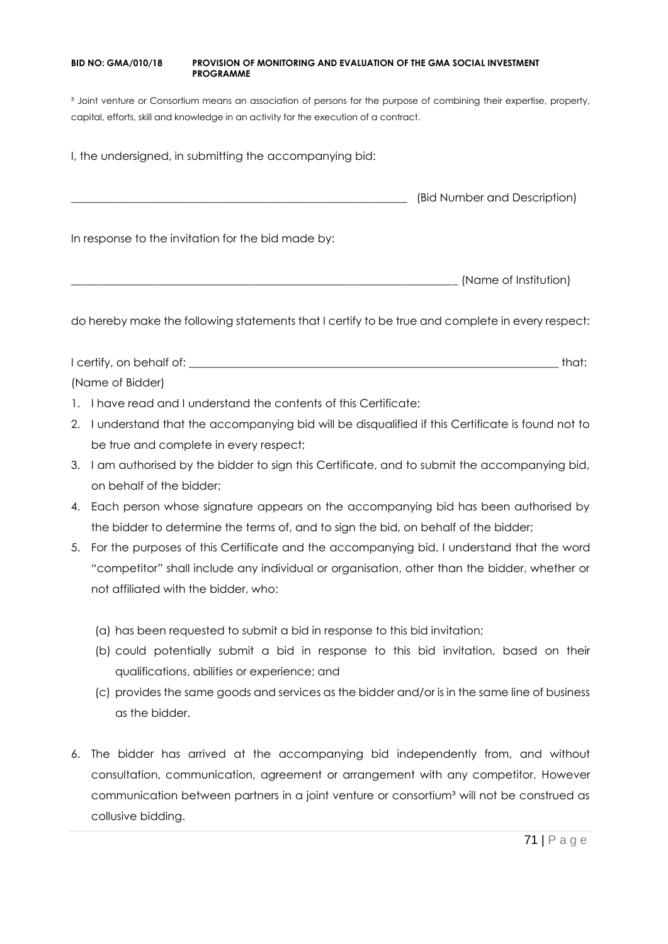<sup>3</sup> Joint venture or Consortium means an association of persons for the purpose of combining their expertise, property, capital, efforts, skill and knowledge in an activity for the execution of a contract.

I, the undersigned, in submitting the accompanying bid:

\_\_\_\_\_\_\_\_\_\_\_\_\_\_\_\_\_\_\_\_\_\_\_\_\_\_\_\_\_\_\_\_\_\_\_\_\_\_\_\_\_\_\_\_\_\_\_\_\_\_\_\_\_\_\_\_\_\_\_\_ (Bid Number and Description)

In response to the invitation for the bid made by:

\_\_\_\_\_\_\_\_\_\_\_\_\_\_\_\_\_\_\_\_\_\_\_\_\_\_\_\_\_\_\_\_\_\_\_\_\_\_\_\_\_\_\_\_\_\_\_\_\_\_\_\_\_\_\_\_\_\_\_\_\_\_\_\_\_\_\_\_\_ (Name of Institution)

do hereby make the following statements that I certify to be true and complete in every respect:

I certify, on behalf of: the state of the state of the state of the state of the state of the state of the state of the state of the state of the state of the state of the state of the state of the state of the state of th (Name of Bidder)

- 1. I have read and I understand the contents of this Certificate;
- 2. I understand that the accompanying bid will be disqualified if this Certificate is found not to be true and complete in every respect;
- 3. I am authorised by the bidder to sign this Certificate, and to submit the accompanying bid, on behalf of the bidder;
- 4. Each person whose signature appears on the accompanying bid has been authorised by the bidder to determine the terms of, and to sign the bid, on behalf of the bidder;
- 5. For the purposes of this Certificate and the accompanying bid, I understand that the word "competitor" shall include any individual or organisation, other than the bidder, whether or not affiliated with the bidder, who:
	- (a) has been requested to submit a bid in response to this bid invitation;
	- (b) could potentially submit a bid in response to this bid invitation, based on their qualifications, abilities or experience; and
	- (c) provides the same goods and services as the bidder and/or is in the same line of business as the bidder.
- 6. The bidder has arrived at the accompanying bid independently from, and without consultation, communication, agreement or arrangement with any competitor. However communication between partners in a joint venture or consortium<sup>3</sup> will not be construed as collusive bidding.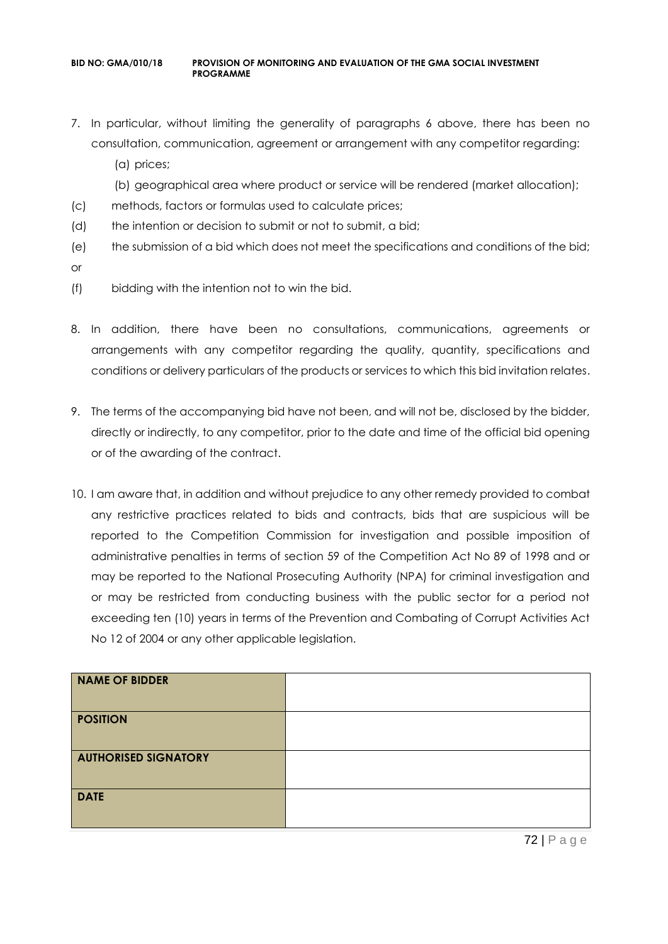- 7. In particular, without limiting the generality of paragraphs 6 above, there has been no consultation, communication, agreement or arrangement with any competitor regarding:
	- (a) prices;
	- (b) geographical area where product or service will be rendered (market allocation);
- (c) methods, factors or formulas used to calculate prices;
- (d) the intention or decision to submit or not to submit, a bid;
- (e) the submission of a bid which does not meet the specifications and conditions of the bid;
- or
- (f) bidding with the intention not to win the bid.
- 8. In addition, there have been no consultations, communications, agreements or arrangements with any competitor regarding the quality, quantity, specifications and conditions or delivery particulars of the products or services to which this bid invitation relates.
- 9. The terms of the accompanying bid have not been, and will not be, disclosed by the bidder, directly or indirectly, to any competitor, prior to the date and time of the official bid opening or of the awarding of the contract.
- 10. I am aware that, in addition and without prejudice to any other remedy provided to combat any restrictive practices related to bids and contracts, bids that are suspicious will be reported to the Competition Commission for investigation and possible imposition of administrative penalties in terms of section 59 of the Competition Act No 89 of 1998 and or may be reported to the National Prosecuting Authority (NPA) for criminal investigation and or may be restricted from conducting business with the public sector for a period not exceeding ten (10) years in terms of the Prevention and Combating of Corrupt Activities Act No 12 of 2004 or any other applicable legislation.

| NAME OF BIDDER              |  |
|-----------------------------|--|
| <b>POSITION</b>             |  |
| <b>AUTHORISED SIGNATORY</b> |  |
| <b>DATE</b>                 |  |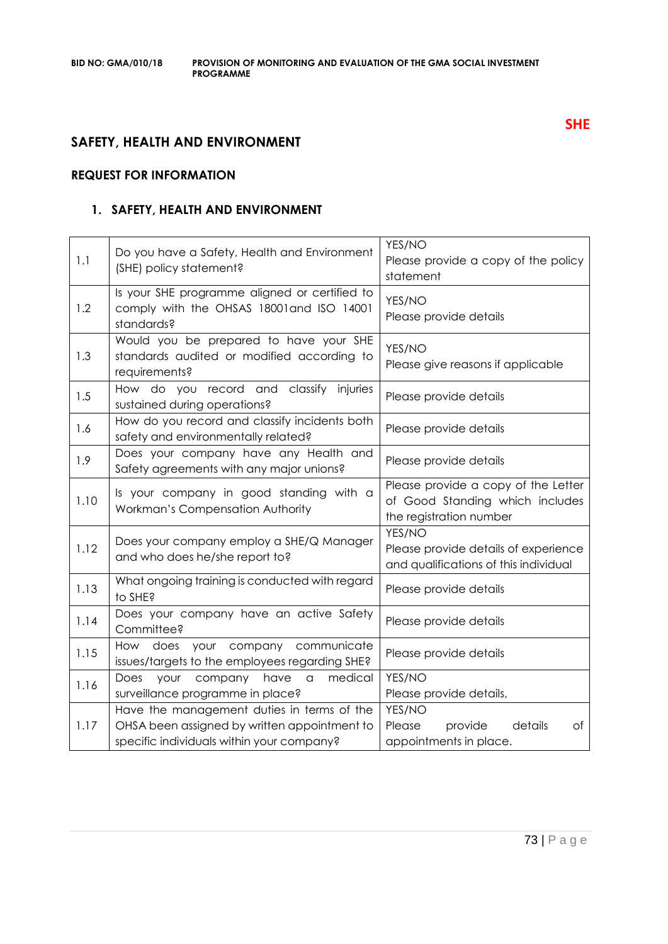# **SAFETY, HEALTH AND ENVIRONMENT**

# **REQUEST FOR INFORMATION**

# **1. SAFETY, HEALTH AND ENVIRONMENT**

| 1.1  | Do you have a Safety, Health and Environment<br>(SHE) policy statement?                                                                 | YES/NO<br>Please provide a copy of the policy<br>statement                                        |
|------|-----------------------------------------------------------------------------------------------------------------------------------------|---------------------------------------------------------------------------------------------------|
| 1.2  | Is your SHE programme aligned or certified to<br>comply with the OHSAS 18001 and ISO 14001<br>standards?                                | YES/NO<br>Please provide details                                                                  |
| 1.3  | Would you be prepared to have your SHE<br>standards audited or modified according to<br>requirements?                                   | YES/NO<br>Please give reasons if applicable                                                       |
| 1.5  | How do you record and classify injuries<br>sustained during operations?                                                                 | Please provide details                                                                            |
| 1.6  | How do you record and classify incidents both<br>safety and environmentally related?                                                    | Please provide details                                                                            |
| 1.9  | Does your company have any Health and<br>Safety agreements with any major unions?                                                       | Please provide details                                                                            |
| 1.10 | Is your company in good standing with a<br>Workman's Compensation Authority                                                             | Please provide a copy of the Letter<br>of Good Standing which includes<br>the registration number |
| 1.12 | Does your company employ a SHE/Q Manager<br>and who does he/she report to?                                                              | YES/NO<br>Please provide details of experience<br>and qualifications of this individual           |
| 1.13 | What ongoing training is conducted with regard<br>to SHE?                                                                               | Please provide details                                                                            |
| 1.14 | Does your company have an active Safety<br>Committee?                                                                                   | Please provide details                                                                            |
| 1.15 | How does your company<br>communicate<br>issues/targets to the employees regarding SHE?                                                  | Please provide details                                                                            |
| 1.16 | medical<br>Does<br>your<br>company<br>have<br>a<br>surveillance programme in place?                                                     | YES/NO<br>Please provide details,                                                                 |
| 1.17 | Have the management duties in terms of the<br>OHSA been assigned by written appointment to<br>specific individuals within your company? | YES/NO<br>details<br>Please<br>provide<br>оf<br>appointments in place.                            |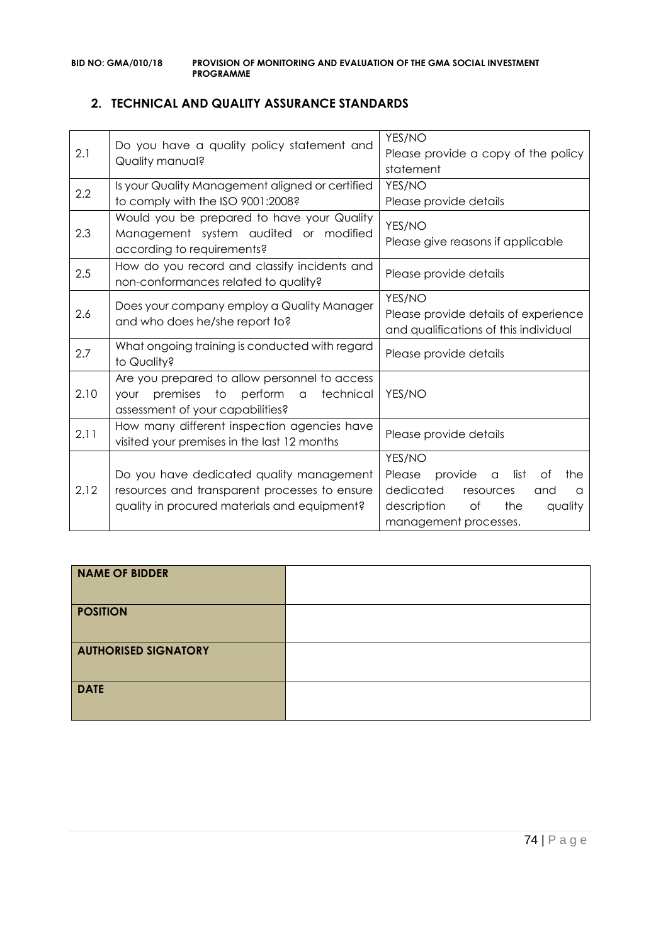# **2. TECHNICAL AND QUALITY ASSURANCE STANDARDS**

| 2.1  | Do you have a quality policy statement and<br>Quality manual?                                                                             | YES/NO<br>Please provide a copy of the policy<br>statement                                                                                                                |
|------|-------------------------------------------------------------------------------------------------------------------------------------------|---------------------------------------------------------------------------------------------------------------------------------------------------------------------------|
| 2.2  | Is your Quality Management aligned or certified<br>to comply with the ISO 9001:2008?                                                      | YES/NO<br>Please provide details                                                                                                                                          |
| 2.3  | Would you be prepared to have your Quality<br>Management system audited or modified<br>according to requirements?                         | YES/NO<br>Please give reasons if applicable                                                                                                                               |
| 2.5  | How do you record and classify incidents and<br>non-conformances related to quality?                                                      | Please provide details                                                                                                                                                    |
| 2.6  | Does your company employ a Quality Manager<br>and who does he/she report to?                                                              | YES/NO<br>Please provide details of experience<br>and qualifications of this individual                                                                                   |
| 2.7  | What ongoing training is conducted with regard<br>to Quality?                                                                             | Please provide details                                                                                                                                                    |
| 2.10 | Are you prepared to allow personnel to access<br>premises to perform a<br>technical<br><b>YOUr</b><br>assessment of your capabilities?    | YES/NO                                                                                                                                                                    |
| 2.11 | How many different inspection agencies have<br>visited your premises in the last 12 months                                                | Please provide details                                                                                                                                                    |
| 2.12 | Do you have dedicated quality management<br>resources and transparent processes to ensure<br>quality in procured materials and equipment? | YES/NO<br>provide<br>Please<br>list<br>Оf<br>the<br>$\alpha$<br>dedicated<br>resources<br>and<br>$\Omega$<br>description<br>of<br>the<br>quality<br>management processes. |

| <b>NAME OF BIDDER</b>       |  |
|-----------------------------|--|
| <b>POSITION</b>             |  |
| <b>AUTHORISED SIGNATORY</b> |  |
| <b>DATE</b>                 |  |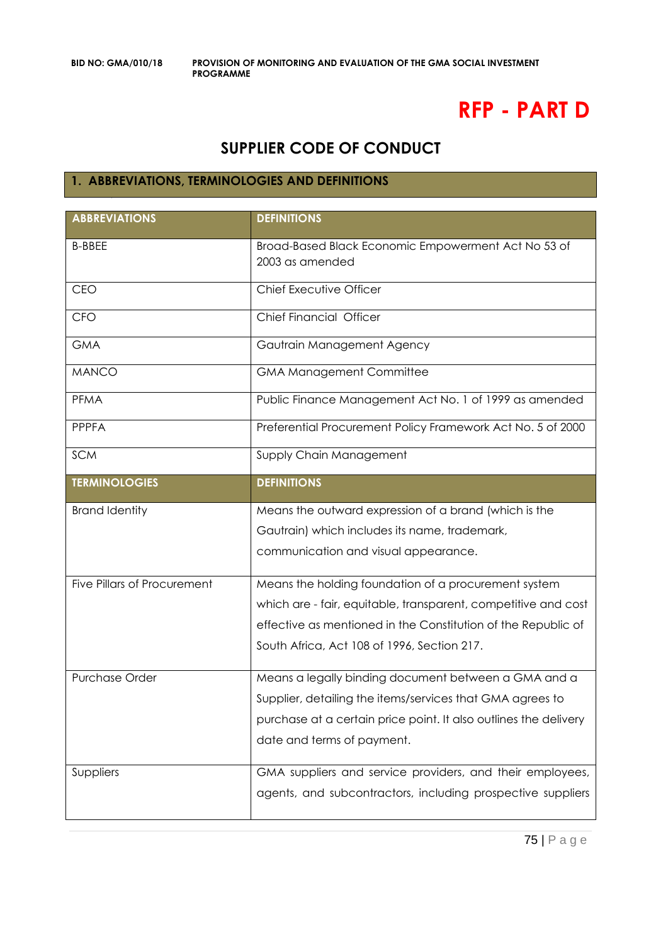# **RFP - PART D**

# **SUPPLIER CODE OF CONDUCT**

# **1. ABBREVIATIONS, TERMINOLOGIES AND DEFINITIONS**

| <b>ABBREVIATIONS</b>               | <b>DEFINITIONS</b>                                                     |
|------------------------------------|------------------------------------------------------------------------|
| <b>B-BBEE</b>                      | Broad-Based Black Economic Empowerment Act No 53 of<br>2003 as amended |
| CEO                                | Chief Executive Officer                                                |
| <b>CFO</b>                         | Chief Financial Officer                                                |
| <b>GMA</b>                         | Gautrain Management Agency                                             |
| <b>MANCO</b>                       | <b>GMA Management Committee</b>                                        |
| <b>PFMA</b>                        | Public Finance Management Act No. 1 of 1999 as amended                 |
| <b>PPPFA</b>                       | Preferential Procurement Policy Framework Act No. 5 of 2000            |
| <b>SCM</b>                         | Supply Chain Management                                                |
| <b>TERMINOLOGIES</b>               | <b>DEFINITIONS</b>                                                     |
| <b>Brand Identity</b>              | Means the outward expression of a brand (which is the                  |
|                                    | Gautrain) which includes its name, trademark,                          |
|                                    | communication and visual appearance.                                   |
| <b>Five Pillars of Procurement</b> | Means the holding foundation of a procurement system                   |
|                                    | which are - fair, equitable, transparent, competitive and cost         |
|                                    | effective as mentioned in the Constitution of the Republic of          |
|                                    | South Africa, Act 108 of 1996, Section 217.                            |
| Purchase Order                     | Means a legally binding document between a GMA and a                   |
|                                    | Supplier, detailing the items/services that GMA agrees to              |
|                                    | purchase at a certain price point. It also outlines the delivery       |
|                                    | date and terms of payment.                                             |
| Suppliers                          | GMA suppliers and service providers, and their employees,              |
|                                    | agents, and subcontractors, including prospective suppliers            |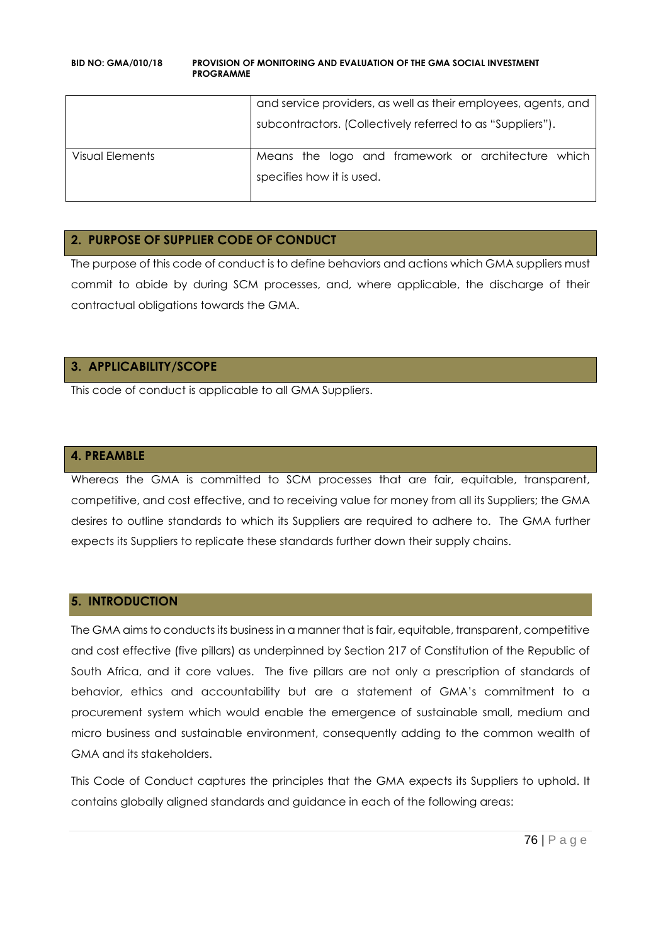| and service providers, as well as their employees, agents, and |  |
|----------------------------------------------------------------|--|
| subcontractors. (Collectively referred to as "Suppliers").     |  |
| Means the logo and framework or architecture which             |  |
| specifies how it is used.                                      |  |
|                                                                |  |

# **2. PURPOSE OF SUPPLIER CODE OF CONDUCT**

The purpose of this code of conduct is to define behaviors and actions which GMA suppliers must commit to abide by during SCM processes, and, where applicable, the discharge of their contractual obligations towards the GMA.

# **3. APPLICABILITY/SCOPE**

This code of conduct is applicable to all GMA Suppliers.

#### **4. PREAMBLE**

Whereas the GMA is committed to SCM processes that are fair, equitable, transparent, competitive, and cost effective, and to receiving value for money from all its Suppliers; the GMA desires to outline standards to which its Suppliers are required to adhere to. The GMA further expects its Suppliers to replicate these standards further down their supply chains.

#### **5. INTRODUCTION**

The GMA aims to conducts its business in a manner that is fair, equitable, transparent, competitive and cost effective (five pillars) as underpinned by Section 217 of Constitution of the Republic of South Africa, and it core values. The five pillars are not only a prescription of standards of behavior, ethics and accountability but are a statement of GMA's commitment to a procurement system which would enable the emergence of sustainable small, medium and micro business and sustainable environment, consequently adding to the common wealth of GMA and its stakeholders.

This Code of Conduct captures the principles that the GMA expects its Suppliers to uphold. It contains globally aligned standards and guidance in each of the following areas: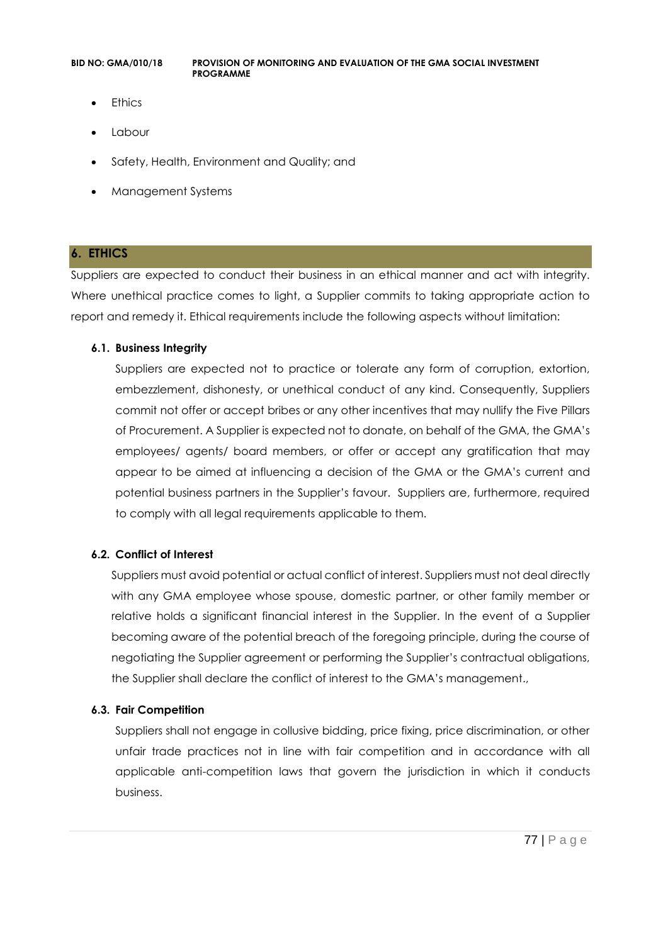- **Ethics**
- Labour
- Safety, Health, Environment and Quality; and
- Management Systems

# **6. ETHICS**

Suppliers are expected to conduct their business in an ethical manner and act with integrity. Where unethical practice comes to light, a Supplier commits to taking appropriate action to report and remedy it. Ethical requirements include the following aspects without limitation:

# **6.1. Business Integrity**

Suppliers are expected not to practice or tolerate any form of corruption, extortion, embezzlement, dishonesty, or unethical conduct of any kind. Consequently, Suppliers commit not offer or accept bribes or any other incentives that may nullify the Five Pillars of Procurement. A Supplier is expected not to donate, on behalf of the GMA, the GMA's employees/ agents/ board members, or offer or accept any gratification that may appear to be aimed at influencing a decision of the GMA or the GMA's current and potential business partners in the Supplier's favour. Suppliers are, furthermore, required to comply with all legal requirements applicable to them.

# **6.2. Conflict of Interest**

Suppliers must avoid potential or actual conflict of interest. Suppliers must not deal directly with any GMA employee whose spouse, domestic partner, or other family member or relative holds a significant financial interest in the Supplier. In the event of a Supplier becoming aware of the potential breach of the foregoing principle, during the course of negotiating the Supplier agreement or performing the Supplier's contractual obligations, the Supplier shall declare the conflict of interest to the GMA's management.,

# **6.3. Fair Competition**

Suppliers shall not engage in collusive bidding, price fixing, price discrimination, or other unfair trade practices not in line with fair competition and in accordance with all applicable anti-competition laws that govern the jurisdiction in which it conducts business.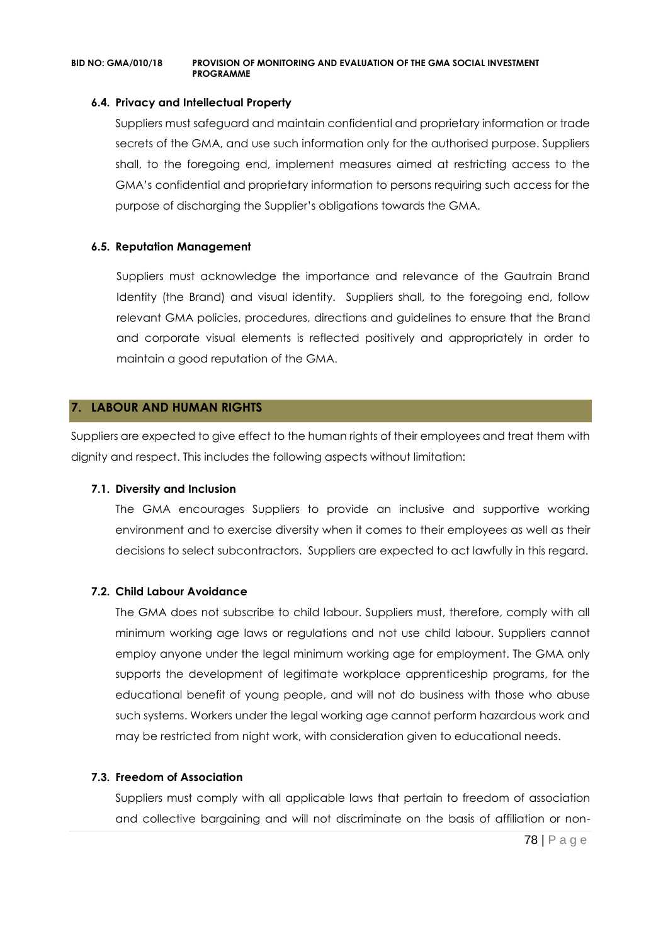#### **6.4. Privacy and Intellectual Property**

Suppliers must safeguard and maintain confidential and proprietary information or trade secrets of the GMA, and use such information only for the authorised purpose. Suppliers shall, to the foregoing end, implement measures aimed at restricting access to the GMA's confidential and proprietary information to persons requiring such access for the purpose of discharging the Supplier's obligations towards the GMA.

# **6.5. Reputation Management**

Suppliers must acknowledge the importance and relevance of the Gautrain Brand Identity (the Brand) and visual identity. Suppliers shall, to the foregoing end, follow relevant GMA policies, procedures, directions and guidelines to ensure that the Brand and corporate visual elements is reflected positively and appropriately in order to maintain a good reputation of the GMA.

# **7. LABOUR AND HUMAN RIGHTS**

Suppliers are expected to give effect to the human rights of their employees and treat them with dignity and respect. This includes the following aspects without limitation:

#### **7.1. Diversity and Inclusion**

The GMA encourages Suppliers to provide an inclusive and supportive working environment and to exercise diversity when it comes to their employees as well as their decisions to select subcontractors. Suppliers are expected to act lawfully in this regard.

#### **7.2. Child Labour Avoidance**

The GMA does not subscribe to child labour. Suppliers must, therefore, comply with all minimum working age laws or regulations and not use child labour. Suppliers cannot employ anyone under the legal minimum working age for employment. The GMA only supports the development of legitimate workplace apprenticeship programs, for the educational benefit of young people, and will not do business with those who abuse such systems. Workers under the legal working age cannot perform hazardous work and may be restricted from night work, with consideration given to educational needs.

#### **7.3. Freedom of Association**

Suppliers must comply with all applicable laws that pertain to freedom of association and collective bargaining and will not discriminate on the basis of affiliation or non-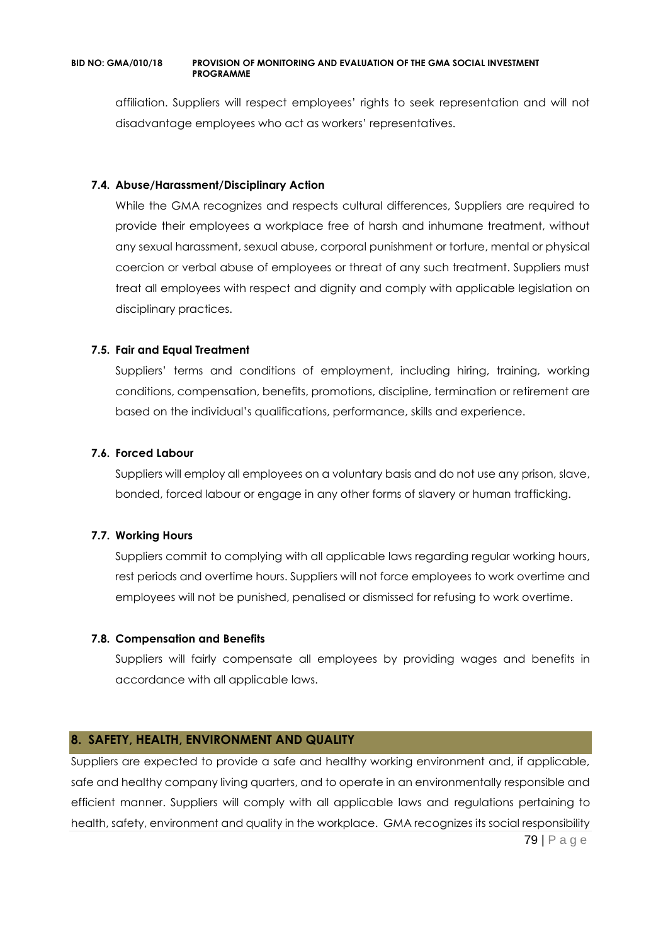affiliation. Suppliers will respect employees' rights to seek representation and will not disadvantage employees who act as workers' representatives.

### **7.4. Abuse/Harassment/Disciplinary Action**

While the GMA recognizes and respects cultural differences, Suppliers are required to provide their employees a workplace free of harsh and inhumane treatment, without any sexual harassment, sexual abuse, corporal punishment or torture, mental or physical coercion or verbal abuse of employees or threat of any such treatment. Suppliers must treat all employees with respect and dignity and comply with applicable legislation on disciplinary practices.

# **7.5. Fair and Equal Treatment**

Suppliers' terms and conditions of employment, including hiring, training, working conditions, compensation, benefits, promotions, discipline, termination or retirement are based on the individual's qualifications, performance, skills and experience.

# **7.6. Forced Labour**

Suppliers will employ all employees on a voluntary basis and do not use any prison, slave, bonded, forced labour or engage in any other forms of slavery or human trafficking.

#### **7.7. Working Hours**

Suppliers commit to complying with all applicable laws regarding regular working hours, rest periods and overtime hours. Suppliers will not force employees to work overtime and employees will not be punished, penalised or dismissed for refusing to work overtime.

#### **7.8. Compensation and Benefits**

Suppliers will fairly compensate all employees by providing wages and benefits in accordance with all applicable laws.

# **8. SAFETY, HEALTH, ENVIRONMENT AND QUALITY**

79 | P a g e Suppliers are expected to provide a safe and healthy working environment and, if applicable, safe and healthy company living quarters, and to operate in an environmentally responsible and efficient manner. Suppliers will comply with all applicable laws and regulations pertaining to health, safety, environment and quality in the workplace. GMA recognizes its social responsibility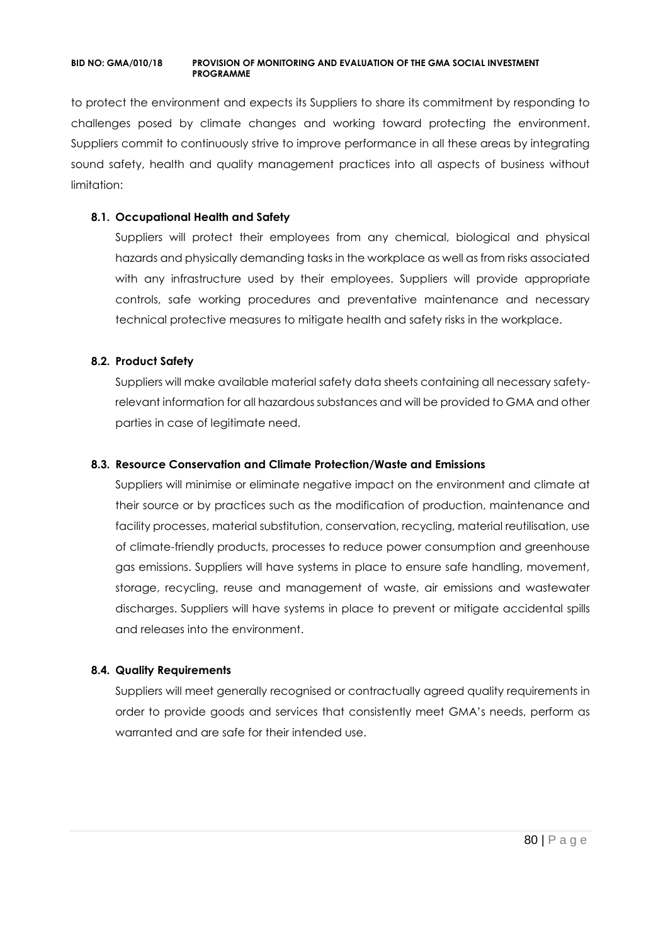to protect the environment and expects its Suppliers to share its commitment by responding to challenges posed by climate changes and working toward protecting the environment. Suppliers commit to continuously strive to improve performance in all these areas by integrating sound safety, health and quality management practices into all aspects of business without limitation:

# **8.1. Occupational Health and Safety**

Suppliers will protect their employees from any chemical, biological and physical hazards and physically demanding tasks in the workplace as well as from risks associated with any infrastructure used by their employees. Suppliers will provide appropriate controls, safe working procedures and preventative maintenance and necessary technical protective measures to mitigate health and safety risks in the workplace.

# **8.2. Product Safety**

Suppliers will make available material safety data sheets containing all necessary safetyrelevant information for all hazardous substances and will be provided to GMA and other parties in case of legitimate need.

# **8.3. Resource Conservation and Climate Protection/Waste and Emissions**

Suppliers will minimise or eliminate negative impact on the environment and climate at their source or by practices such as the modification of production, maintenance and facility processes, material substitution, conservation, recycling, material reutilisation, use of climate-friendly products, processes to reduce power consumption and greenhouse gas emissions. Suppliers will have systems in place to ensure safe handling, movement, storage, recycling, reuse and management of waste, air emissions and wastewater discharges. Suppliers will have systems in place to prevent or mitigate accidental spills and releases into the environment.

#### **8.4. Quality Requirements**

Suppliers will meet generally recognised or contractually agreed quality requirements in order to provide goods and services that consistently meet GMA's needs, perform as warranted and are safe for their intended use.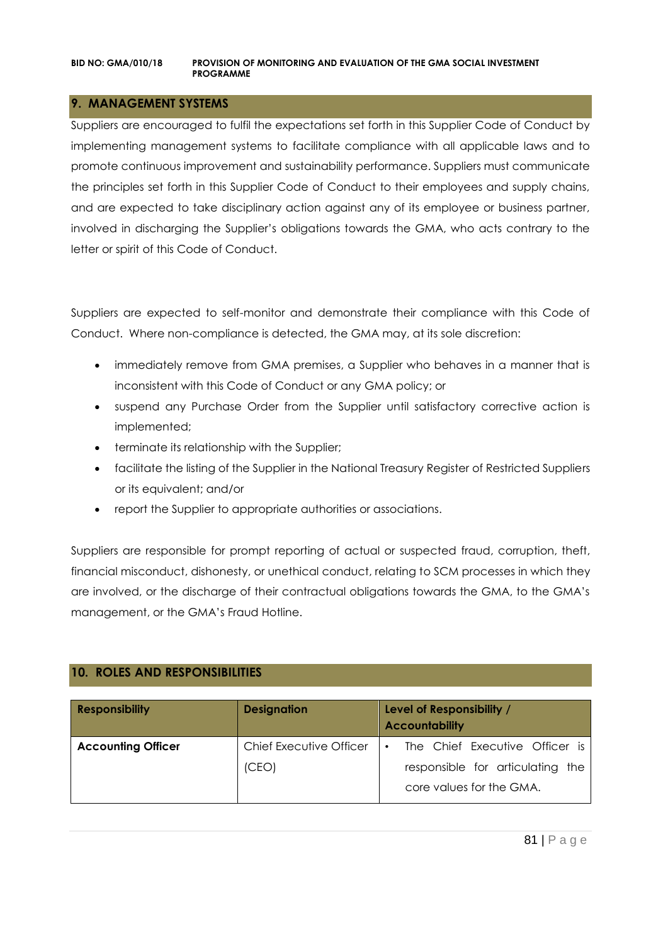# **9. MANAGEMENT SYSTEMS**

Suppliers are encouraged to fulfil the expectations set forth in this Supplier Code of Conduct by implementing management systems to facilitate compliance with all applicable laws and to promote continuous improvement and sustainability performance. Suppliers must communicate the principles set forth in this Supplier Code of Conduct to their employees and supply chains, and are expected to take disciplinary action against any of its employee or business partner, involved in discharging the Supplier's obligations towards the GMA, who acts contrary to the letter or spirit of this Code of Conduct.

Suppliers are expected to self-monitor and demonstrate their compliance with this Code of Conduct. Where non-compliance is detected, the GMA may, at its sole discretion:

- immediately remove from GMA premises, a Supplier who behaves in a manner that is inconsistent with this Code of Conduct or any GMA policy; or
- suspend any Purchase Order from the Supplier until satisfactory corrective action is implemented;
- terminate its relationship with the Supplier;
- facilitate the listing of the Supplier in the National Treasury Register of Restricted Suppliers or its equivalent; and/or
- report the Supplier to appropriate authorities or associations.

Suppliers are responsible for prompt reporting of actual or suspected fraud, corruption, theft, financial misconduct, dishonesty, or unethical conduct, relating to SCM processes in which they are involved, or the discharge of their contractual obligations towards the GMA, to the GMA's management, or the GMA's Fraud Hotline.

# **10. ROLES AND RESPONSIBILITIES**

| <b>Responsibility</b>     | <b>Designation</b>      | Level of Responsibility /<br><b>Accountability</b>           |
|---------------------------|-------------------------|--------------------------------------------------------------|
| <b>Accounting Officer</b> | Chief Executive Officer | The Chief Executive Officer is<br>$\bullet$                  |
|                           | (CEO)                   | responsible for articulating the<br>core values for the GMA. |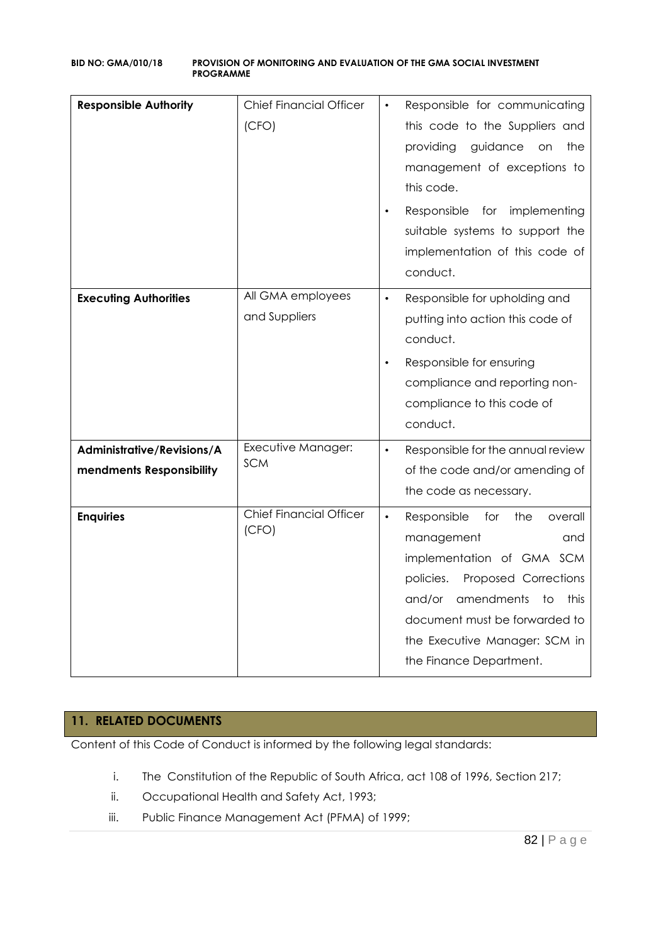| <b>Responsible Authority</b>                           | <b>Chief Financial Officer</b><br>(CFO)<br>All GMA employees | Responsible for communicating<br>this code to the Suppliers and<br>providing<br>guidance<br>the<br>on on<br>management of exceptions to<br>this code.<br>Responsible<br>for implementing<br>suitable systems to support the<br>implementation of this code of<br>conduct.   |
|--------------------------------------------------------|--------------------------------------------------------------|-----------------------------------------------------------------------------------------------------------------------------------------------------------------------------------------------------------------------------------------------------------------------------|
| <b>Executing Authorities</b>                           | and Suppliers                                                | Responsible for upholding and<br>$\bullet$<br>putting into action this code of<br>conduct.<br>Responsible for ensuring<br>$\bullet$<br>compliance and reporting non-<br>compliance to this code of<br>conduct.                                                              |
| Administrative/Revisions/A<br>mendments Responsibility | Executive Manager:<br><b>SCM</b>                             | Responsible for the annual review<br>$\bullet$<br>of the code and/or amending of<br>the code as necessary.                                                                                                                                                                  |
| <b>Enquiries</b>                                       | <b>Chief Financial Officer</b><br>(CFO)                      | $\bullet$<br>Responsible<br>for<br>the<br>overall<br>management<br>and<br>implementation of GMA SCM<br>policies.<br>Proposed Corrections<br>amendments<br>to<br>this<br>and/or<br>document must be forwarded to<br>the Executive Manager: SCM in<br>the Finance Department. |

# **11. RELATED DOCUMENTS**

Content of this Code of Conduct is informed by the following legal standards:

- i. The Constitution of the Republic of South Africa, act 108 of 1996, Section 217;
- ii. Occupational Health and Safety Act, 1993;
- iii. Public Finance Management Act (PFMA) of 1999;